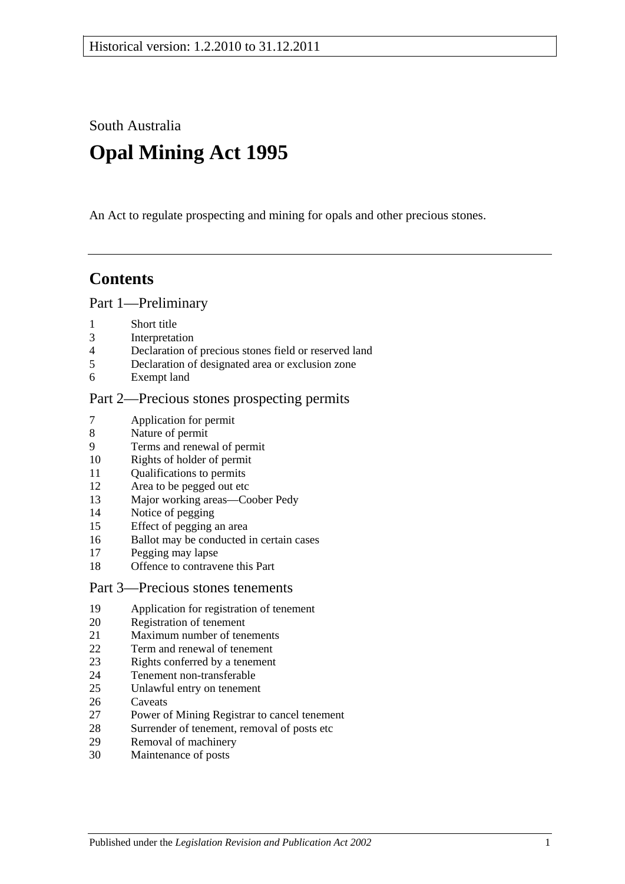South Australia

# **Opal Mining Act 1995**

An Act to regulate prospecting and mining for opals and other precious stones.

## **Contents**

#### [Part 1—Preliminary](#page-4-0)

- [Short title](#page-4-1)
- [Interpretation](#page-4-2)
- [Declaration of precious stones field or reserved land](#page-7-0)
- [Declaration of designated area or exclusion zone](#page-7-1)
- [Exempt land](#page-7-2)

## [Part 2—Precious stones prospecting permits](#page-10-0)

- [Application for permit](#page-10-1)
- [Nature of permit](#page-10-2)
- [Terms and renewal of permit](#page-10-3)
- [Rights of holder of permit](#page-11-0)
- [Qualifications to permits](#page-11-1)
- [Area to be pegged out etc](#page-13-0)
- [Major working areas—Coober Pedy](#page-13-1)
- [Notice of pegging](#page-14-0)
- [Effect of pegging an area](#page-14-1)
- [Ballot may be conducted in certain cases](#page-14-2)
- [Pegging may lapse](#page-16-0)
- [Offence to contravene this Part](#page-16-1)

#### [Part 3—Precious stones tenements](#page-18-0)

- [Application for registration of tenement](#page-18-1)
- [Registration of tenement](#page-18-2)
- [Maximum number of tenements](#page-19-0)
- [Term and renewal of tenement](#page-19-1)
- [Rights conferred by a tenement](#page-20-0)
- [Tenement non-transferable](#page-20-1)
- [Unlawful entry on tenement](#page-20-2)
- [Caveats](#page-21-0)
- [Power of Mining Registrar to cancel tenement](#page-22-0)
- [Surrender of tenement, removal of posts etc](#page-22-1)<br>29 Removal of machinery
- [Removal of machinery](#page-23-0)
- [Maintenance of posts](#page-24-0)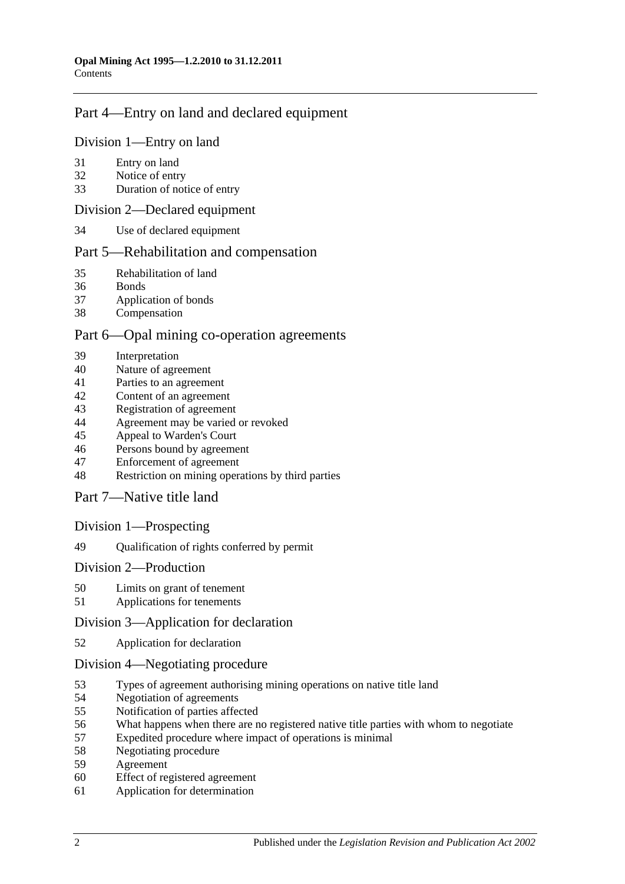## [Part 4—Entry on land and declared equipment](#page-26-0)

#### [Division 1—Entry on land](#page-26-1)

- [Entry on land](#page-26-2)
- [Notice of entry](#page-26-3)
- [Duration of notice of entry](#page-27-0)

#### [Division 2—Declared equipment](#page-28-0)

[Use of declared equipment](#page-28-1)

## [Part 5—Rehabilitation and compensation](#page-30-0)

- [Rehabilitation of land](#page-30-1)
- [Bonds](#page-31-0)
- [Application of bonds](#page-31-1)
- [Compensation](#page-32-0)

#### [Part 6—Opal mining co-operation agreements](#page-34-0)

- [Interpretation](#page-34-1)
- [Nature of agreement](#page-34-2)
- [Parties to an agreement](#page-34-3)
- [Content of an agreement](#page-34-4)
- [Registration of agreement](#page-35-0)<br>44 Agreement may be varied
- [Agreement may be varied or revoked](#page-35-1)
- [Appeal to Warden's Court](#page-36-0)
- [Persons bound by agreement](#page-36-1)
- [Enforcement of agreement](#page-36-2)
- [Restriction on mining operations by third parties](#page-37-0)

[Part 7—Native title land](#page-38-0)

#### [Division 1—Prospecting](#page-38-1)

[Qualification of rights conferred by permit](#page-38-2)

#### [Division 2—Production](#page-38-3)

- [Limits on grant of tenement](#page-38-4)
- [Applications for tenements](#page-38-5)

#### [Division 3—Application for declaration](#page-39-0)

[Application for declaration](#page-39-1)

#### [Division 4—Negotiating procedure](#page-39-2)

- [Types of agreement authorising mining operations on native title land](#page-39-3)<br>54 Negotiation of agreements
- [Negotiation of agreements](#page-40-0)
- [Notification of parties affected](#page-40-1)
- [What happens when there are no registered native title parties with whom to negotiate](#page-41-0)
- [Expedited procedure where impact of operations is minimal](#page-41-1)
- [Negotiating procedure](#page-41-2)
- [Agreement](#page-42-0)
- [Effect of registered agreement](#page-42-1)
- [Application for determination](#page-43-0)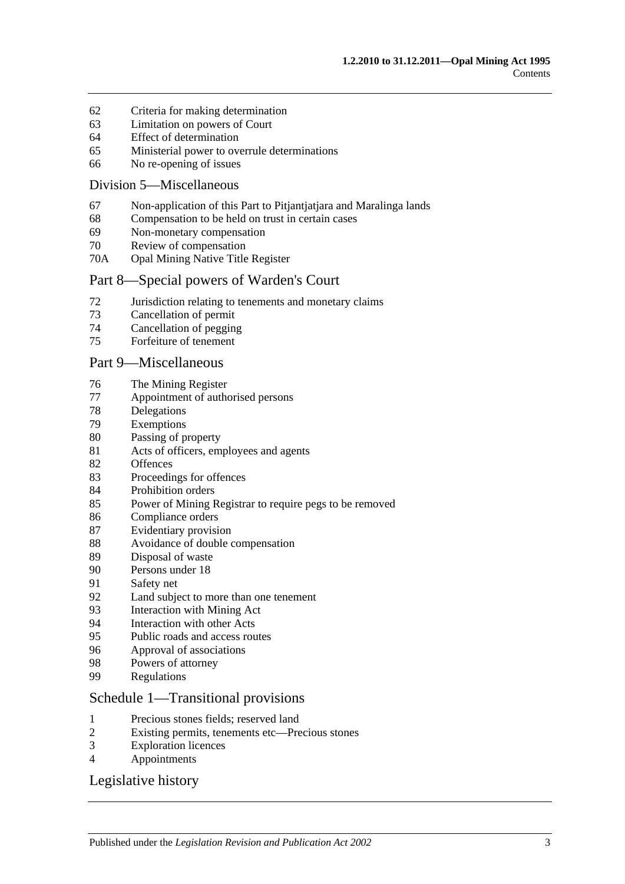- [Criteria for making determination](#page-43-1)
- [Limitation on powers of Court](#page-44-0)
- [Effect of determination](#page-45-0)
- [Ministerial power to overrule determinations](#page-45-1)
- [No re-opening of issues](#page-46-0)

#### [Division 5—Miscellaneous](#page-46-1)

- Non-application [of this Part to Pitjantjatjara and Maralinga lands](#page-46-2)
- [Compensation to be held on trust in certain cases](#page-46-3)
- [Non-monetary compensation](#page-46-4)
- [Review of compensation](#page-47-0)
- 70A [Opal Mining Native Title Register](#page-48-0)

#### [Part 8—Special powers of Warden's Court](#page-50-0)

- [Jurisdiction relating to tenements and monetary claims](#page-50-1)
- [Cancellation of permit](#page-50-2)
- [Cancellation of pegging](#page-51-0)
- [Forfeiture of tenement](#page-51-1)

#### [Part 9—Miscellaneous](#page-54-0)

- [The Mining Register](#page-54-1)
- [Appointment of authorised persons](#page-54-2)
- [Delegations](#page-56-0)
- [Exemptions](#page-56-1)
- [Passing of property](#page-56-2)
- [Acts of officers, employees and agents](#page-56-3)
- [Offences](#page-57-0)
- [Proceedings for offences](#page-57-1)
- [Prohibition orders](#page-58-0)
- [Power of Mining Registrar to require pegs to be removed](#page-58-1)
- [Compliance orders](#page-58-2)
- [Evidentiary provision](#page-59-0)
- [Avoidance of double compensation](#page-59-1)
- [Disposal of waste](#page-59-2)
- [Persons under 18](#page-60-0)
- [Safety net](#page-60-1)
- [Land subject to more than one tenement](#page-60-2)
- [Interaction with Mining Act](#page-60-3)
- [Interaction with other Acts](#page-61-0)
- [Public roads and access routes](#page-61-1)
- [Approval of associations](#page-61-2)
- [Powers of attorney](#page-62-0)
- [Regulations](#page-62-1)

#### [Schedule 1—Transitional provisions](#page-64-0)

- [Precious stones fields; reserved land](#page-64-1)
- [Existing permits, tenements etc—Precious stones](#page-64-2)
- [Exploration licences](#page-64-3)
- [Appointments](#page-64-4)

## [Legislative history](#page-66-0)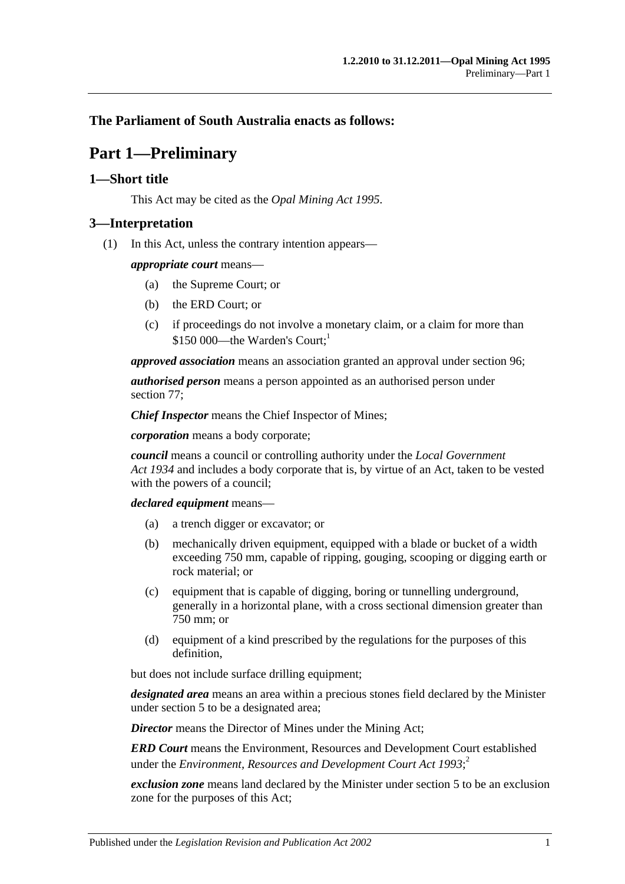## <span id="page-4-0"></span>**The Parliament of South Australia enacts as follows:**

## **Part 1—Preliminary**

## <span id="page-4-1"></span>**1—Short title**

This Act may be cited as the *Opal Mining Act 1995*.

## <span id="page-4-2"></span>**3—Interpretation**

(1) In this Act, unless the contrary intention appears—

*appropriate court* means—

- (a) the Supreme Court; or
- (b) the ERD Court; or
- (c) if proceedings do not involve a monetary claim, or a claim for more than  $$150,000$ —the Warden's Court:

*approved association* means an association granted an approval under [section](#page-61-2) 96;

*authorised person* means a person appointed as an authorised person under [section](#page-54-2) 77;

*Chief Inspector* means the Chief Inspector of Mines;

*corporation* means a body corporate;

*council* means a council or controlling authority under the *[Local Government](http://www.legislation.sa.gov.au/index.aspx?action=legref&type=act&legtitle=Local%20Government%20Act%201934)  Act [1934](http://www.legislation.sa.gov.au/index.aspx?action=legref&type=act&legtitle=Local%20Government%20Act%201934)* and includes a body corporate that is, by virtue of an Act, taken to be vested with the powers of a council;

*declared equipment* means—

- (a) a trench digger or excavator; or
- (b) mechanically driven equipment, equipped with a blade or bucket of a width exceeding 750 mm, capable of ripping, gouging, scooping or digging earth or rock material; or
- (c) equipment that is capable of digging, boring or tunnelling underground, generally in a horizontal plane, with a cross sectional dimension greater than 750 mm; or
- (d) equipment of a kind prescribed by the regulations for the purposes of this definition,

but does not include surface drilling equipment;

*designated area* means an area within a precious stones field declared by the Minister under [section](#page-7-1) 5 to be a designated area;

*Director* means the Director of Mines under the Mining Act;

*ERD Court* means the Environment, Resources and Development Court established under the *[Environment, Resources and Development Court Act](http://www.legislation.sa.gov.au/index.aspx?action=legref&type=act&legtitle=Environment%20Resources%20and%20Development%20Court%20Act%201993) 1993*; 2

*exclusion zone* means land declared by the Minister under [section](#page-7-1) 5 to be an exclusion zone for the purposes of this Act;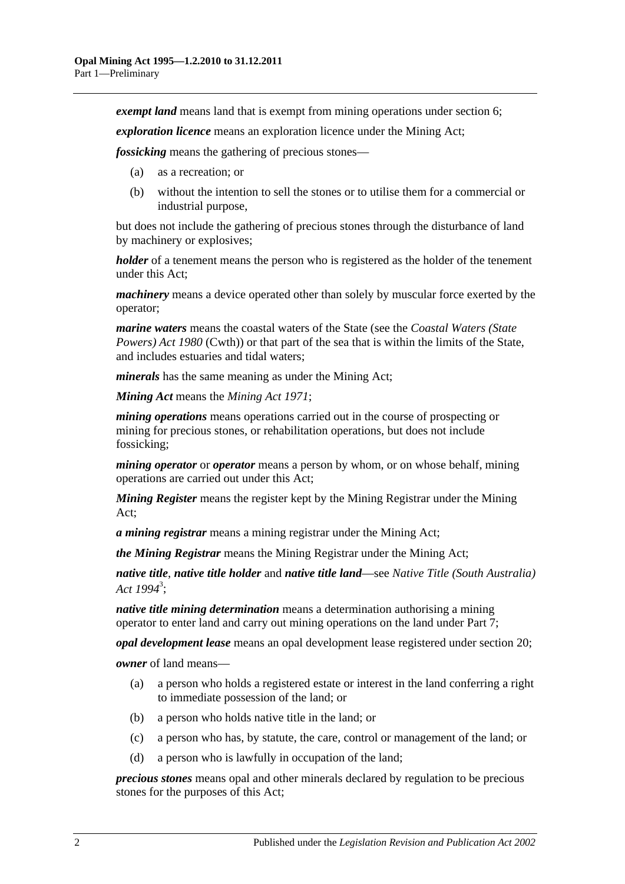*exempt land* means land that is exempt from mining operations under [section](#page-7-2) 6;

*exploration licence* means an exploration licence under the Mining Act;

*fossicking* means the gathering of precious stones—

- (a) as a recreation; or
- (b) without the intention to sell the stones or to utilise them for a commercial or industrial purpose,

but does not include the gathering of precious stones through the disturbance of land by machinery or explosives;

*holder* of a tenement means the person who is registered as the holder of the tenement under this Act;

*machinery* means a device operated other than solely by muscular force exerted by the operator;

*marine waters* means the coastal waters of the State (see the *Coastal Waters (State Powers) Act 1980* (Cwth)) or that part of the sea that is within the limits of the State, and includes estuaries and tidal waters;

*minerals* has the same meaning as under the Mining Act;

*Mining Act* means the *[Mining Act](http://www.legislation.sa.gov.au/index.aspx?action=legref&type=act&legtitle=Mining%20Act%201971) 1971*;

*mining operations* means operations carried out in the course of prospecting or mining for precious stones, or rehabilitation operations, but does not include fossicking;

*mining operator* or *operator* means a person by whom, or on whose behalf, mining operations are carried out under this Act;

*Mining Register* means the register kept by the Mining Registrar under the Mining Act;

*a mining registrar* means a mining registrar under the Mining Act;

*the Mining Registrar* means the Mining Registrar under the Mining Act;

*native title*, *native title holder* and *native title land*—see *[Native Title \(South Australia\)](http://www.legislation.sa.gov.au/index.aspx?action=legref&type=act&legtitle=Native%20Title%20(South%20Australia)%20Act%201994)  Act [1994](http://www.legislation.sa.gov.au/index.aspx?action=legref&type=act&legtitle=Native%20Title%20(South%20Australia)%20Act%201994)*<sup>3</sup> ;

*native title mining determination* means a determination authorising a mining operator to enter land and carry out mining operations on the land under [Part 7;](#page-38-0)

*opal development lease* means an opal development lease registered under [section](#page-18-2) 20;

*owner* of land means—

- (a) a person who holds a registered estate or interest in the land conferring a right to immediate possession of the land; or
- (b) a person who holds native title in the land; or
- (c) a person who has, by statute, the care, control or management of the land; or
- (d) a person who is lawfully in occupation of the land;

*precious stones* means opal and other minerals declared by regulation to be precious stones for the purposes of this Act;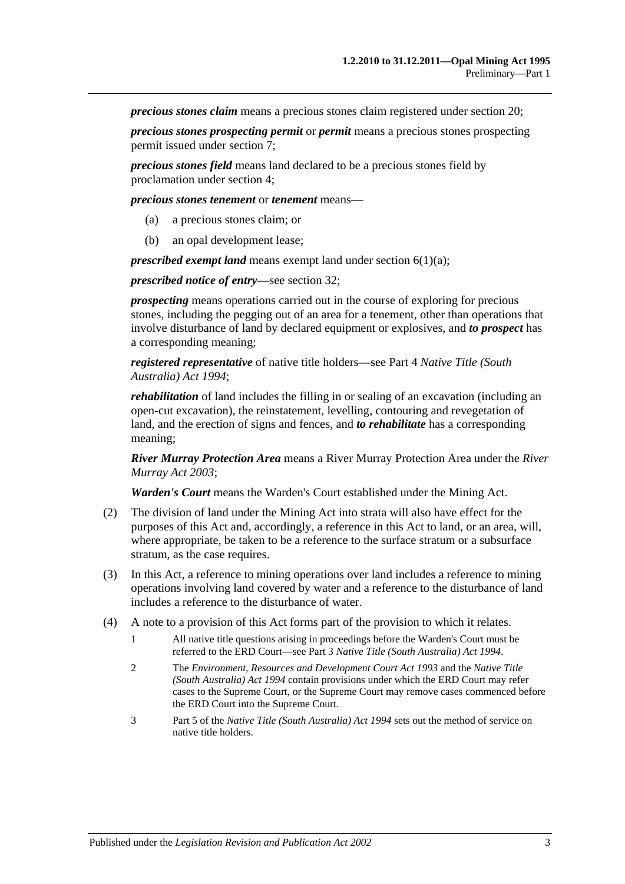*precious stones claim* means a precious stones claim registered under [section](#page-18-2) 20;

*precious stones prospecting permit* or *permit* means a precious stones prospecting permit issued under [section](#page-10-1) 7;

*precious stones field* means land declared to be a precious stones field by proclamation under [section](#page-7-0) 4;

*precious stones tenement* or *tenement* means—

- (a) a precious stones claim; or
- (b) an opal development lease;

*prescribed exempt land* means exempt land under [section](#page-7-3) 6(1)(a);

*prescribed notice of entry*—see [section](#page-26-3) 32;

*prospecting* means operations carried out in the course of exploring for precious stones, including the pegging out of an area for a tenement, other than operations that involve disturbance of land by declared equipment or explosives, and *to prospect* has a corresponding meaning;

*registered representative* of native title holders—see Part 4 *[Native Title \(South](http://www.legislation.sa.gov.au/index.aspx?action=legref&type=act&legtitle=Native%20Title%20(South%20Australia)%20Act%201994)  [Australia\) Act](http://www.legislation.sa.gov.au/index.aspx?action=legref&type=act&legtitle=Native%20Title%20(South%20Australia)%20Act%201994) 1994*;

*rehabilitation* of land includes the filling in or sealing of an excavation (including an open-cut excavation), the reinstatement, levelling, contouring and revegetation of land, and the erection of signs and fences, and *to rehabilitate* has a corresponding meaning;

*River Murray Protection Area* means a River Murray Protection Area under the *[River](http://www.legislation.sa.gov.au/index.aspx?action=legref&type=act&legtitle=River%20Murray%20Act%202003)  [Murray Act](http://www.legislation.sa.gov.au/index.aspx?action=legref&type=act&legtitle=River%20Murray%20Act%202003) 2003*;

*Warden's Court* means the Warden's Court established under the Mining Act.

- (2) The division of land under the Mining Act into strata will also have effect for the purposes of this Act and, accordingly, a reference in this Act to land, or an area, will, where appropriate, be taken to be a reference to the surface stratum or a subsurface stratum, as the case requires.
- (3) In this Act, a reference to mining operations over land includes a reference to mining operations involving land covered by water and a reference to the disturbance of land includes a reference to the disturbance of water.
- (4) A note to a provision of this Act forms part of the provision to which it relates.
	- 1 All native title questions arising in proceedings before the Warden's Court must be referred to the ERD Court—see Part 3 *[Native Title \(South Australia\) Act](http://www.legislation.sa.gov.au/index.aspx?action=legref&type=act&legtitle=Native%20Title%20(South%20Australia)%20Act%201994) 1994*.
	- 2 The *[Environment, Resources and Development Court Act](http://www.legislation.sa.gov.au/index.aspx?action=legref&type=act&legtitle=Environment%20Resources%20and%20Development%20Court%20Act%201993) 1993* and the *[Native Title](http://www.legislation.sa.gov.au/index.aspx?action=legref&type=act&legtitle=Native%20Title%20(South%20Australia)%20Act%201994)  [\(South Australia\) Act](http://www.legislation.sa.gov.au/index.aspx?action=legref&type=act&legtitle=Native%20Title%20(South%20Australia)%20Act%201994) 1994* contain provisions under which the ERD Court may refer cases to the Supreme Court, or the Supreme Court may remove cases commenced before the ERD Court into the Supreme Court.
	- 3 Part 5 of the *[Native Title \(South Australia\) Act](http://www.legislation.sa.gov.au/index.aspx?action=legref&type=act&legtitle=Native%20Title%20(South%20Australia)%20Act%201994) 1994* sets out the method of service on native title holders.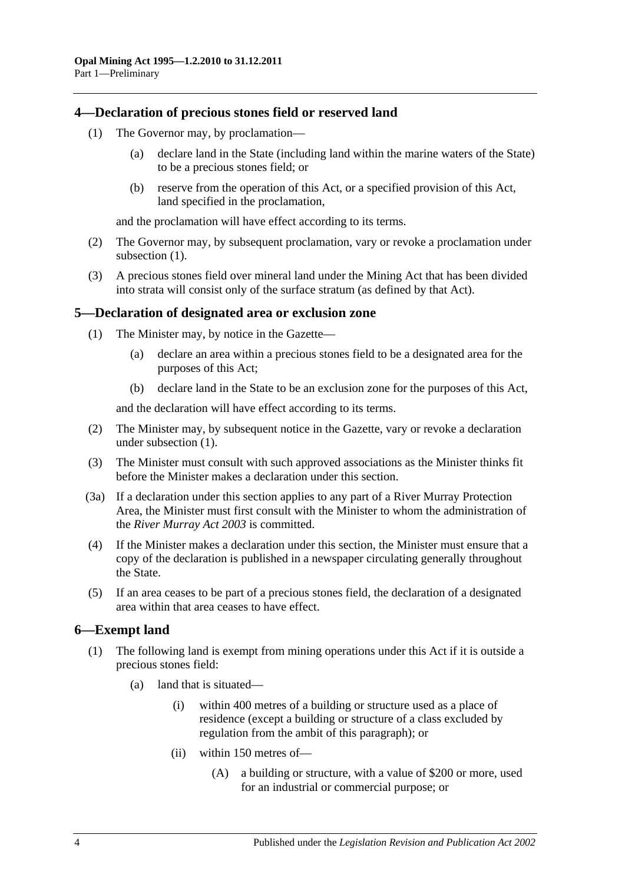## <span id="page-7-4"></span><span id="page-7-0"></span>**4—Declaration of precious stones field or reserved land**

- (1) The Governor may, by proclamation—
	- (a) declare land in the State (including land within the marine waters of the State) to be a precious stones field; or
	- (b) reserve from the operation of this Act, or a specified provision of this Act, land specified in the proclamation,

and the proclamation will have effect according to its terms.

- (2) The Governor may, by subsequent proclamation, vary or revoke a proclamation under [subsection](#page-7-4)  $(1)$ .
- (3) A precious stones field over mineral land under the Mining Act that has been divided into strata will consist only of the surface stratum (as defined by that Act).

#### <span id="page-7-5"></span><span id="page-7-1"></span>**5—Declaration of designated area or exclusion zone**

- (1) The Minister may, by notice in the Gazette—
	- (a) declare an area within a precious stones field to be a designated area for the purposes of this Act;
	- (b) declare land in the State to be an exclusion zone for the purposes of this Act,

and the declaration will have effect according to its terms.

- (2) The Minister may, by subsequent notice in the Gazette, vary or revoke a declaration under [subsection](#page-7-5) (1).
- (3) The Minister must consult with such approved associations as the Minister thinks fit before the Minister makes a declaration under this section.
- (3a) If a declaration under this section applies to any part of a River Murray Protection Area, the Minister must first consult with the Minister to whom the administration of the *[River Murray Act](http://www.legislation.sa.gov.au/index.aspx?action=legref&type=act&legtitle=River%20Murray%20Act%202003) 2003* is committed.
- (4) If the Minister makes a declaration under this section, the Minister must ensure that a copy of the declaration is published in a newspaper circulating generally throughout the State.
- (5) If an area ceases to be part of a precious stones field, the declaration of a designated area within that area ceases to have effect.

#### <span id="page-7-2"></span>**6—Exempt land**

- <span id="page-7-3"></span>(1) The following land is exempt from mining operations under this Act if it is outside a precious stones field:
	- (a) land that is situated—
		- (i) within 400 metres of a building or structure used as a place of residence (except a building or structure of a class excluded by regulation from the ambit of this paragraph); or
		- (ii) within 150 metres of—
			- (A) a building or structure, with a value of \$200 or more, used for an industrial or commercial purpose; or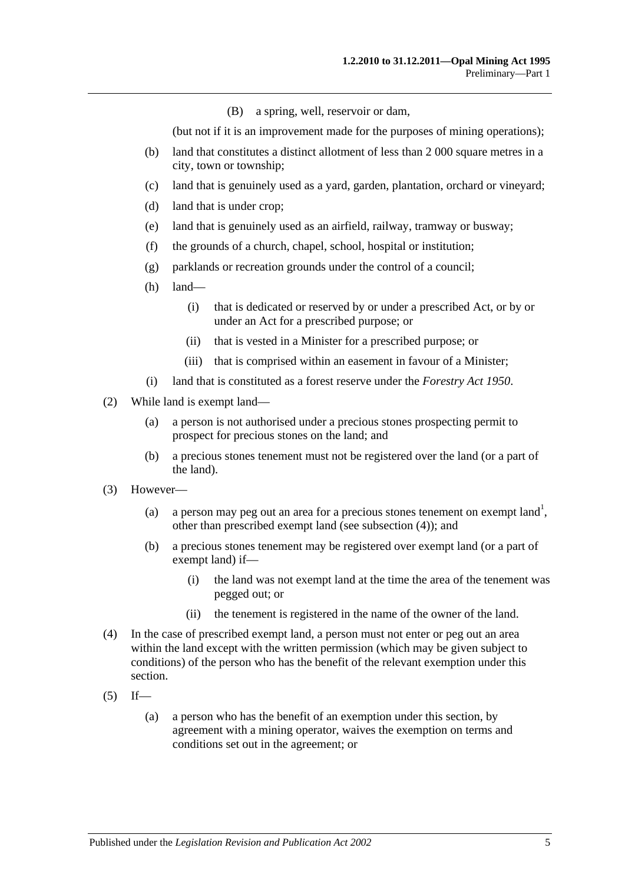(B) a spring, well, reservoir or dam,

(but not if it is an improvement made for the purposes of mining operations);

- (b) land that constitutes a distinct allotment of less than 2 000 square metres in a city, town or township;
- (c) land that is genuinely used as a yard, garden, plantation, orchard or vineyard;
- (d) land that is under crop;
- (e) land that is genuinely used as an airfield, railway, tramway or busway;
- (f) the grounds of a church, chapel, school, hospital or institution;
- (g) parklands or recreation grounds under the control of a council;
- (h) land—
	- (i) that is dedicated or reserved by or under a prescribed Act, or by or under an Act for a prescribed purpose; or
	- (ii) that is vested in a Minister for a prescribed purpose; or
	- (iii) that is comprised within an easement in favour of a Minister;
- (i) land that is constituted as a forest reserve under the *[Forestry Act](http://www.legislation.sa.gov.au/index.aspx?action=legref&type=act&legtitle=Forestry%20Act%201950) 1950*.
- (2) While land is exempt land—
	- (a) a person is not authorised under a precious stones prospecting permit to prospect for precious stones on the land; and
	- (b) a precious stones tenement must not be registered over the land (or a part of the land).
- (3) However—
	- (a) a person may peg out an area for a precious stones tenement on exempt land<sup>1</sup>, other than prescribed exempt land (see [subsection](#page-8-0) (4)); and
	- (b) a precious stones tenement may be registered over exempt land (or a part of exempt land) if—
		- (i) the land was not exempt land at the time the area of the tenement was pegged out; or
		- (ii) the tenement is registered in the name of the owner of the land.
- <span id="page-8-0"></span>(4) In the case of prescribed exempt land, a person must not enter or peg out an area within the land except with the written permission (which may be given subject to conditions) of the person who has the benefit of the relevant exemption under this section.
- <span id="page-8-1"></span> $(5)$  If—
	- (a) a person who has the benefit of an exemption under this section, by agreement with a mining operator, waives the exemption on terms and conditions set out in the agreement; or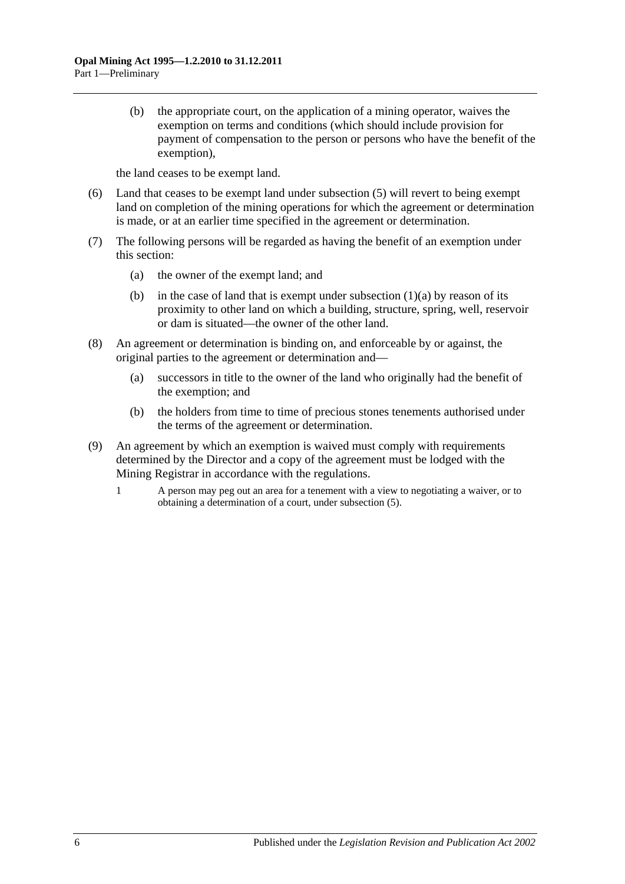(b) the appropriate court, on the application of a mining operator, waives the exemption on terms and conditions (which should include provision for payment of compensation to the person or persons who have the benefit of the exemption),

the land ceases to be exempt land.

- (6) Land that ceases to be exempt land under [subsection](#page-8-1) (5) will revert to being exempt land on completion of the mining operations for which the agreement or determination is made, or at an earlier time specified in the agreement or determination.
- (7) The following persons will be regarded as having the benefit of an exemption under this section:
	- (a) the owner of the exempt land; and
	- (b) in the case of land that is exempt under [subsection](#page-7-3)  $(1)(a)$  by reason of its proximity to other land on which a building, structure, spring, well, reservoir or dam is situated—the owner of the other land.
- (8) An agreement or determination is binding on, and enforceable by or against, the original parties to the agreement or determination and—
	- (a) successors in title to the owner of the land who originally had the benefit of the exemption; and
	- (b) the holders from time to time of precious stones tenements authorised under the terms of the agreement or determination.
- (9) An agreement by which an exemption is waived must comply with requirements determined by the Director and a copy of the agreement must be lodged with the Mining Registrar in accordance with the regulations.
	- 1 A person may peg out an area for a tenement with a view to negotiating a waiver, or to obtaining a determination of a court, under [subsection](#page-8-1) (5).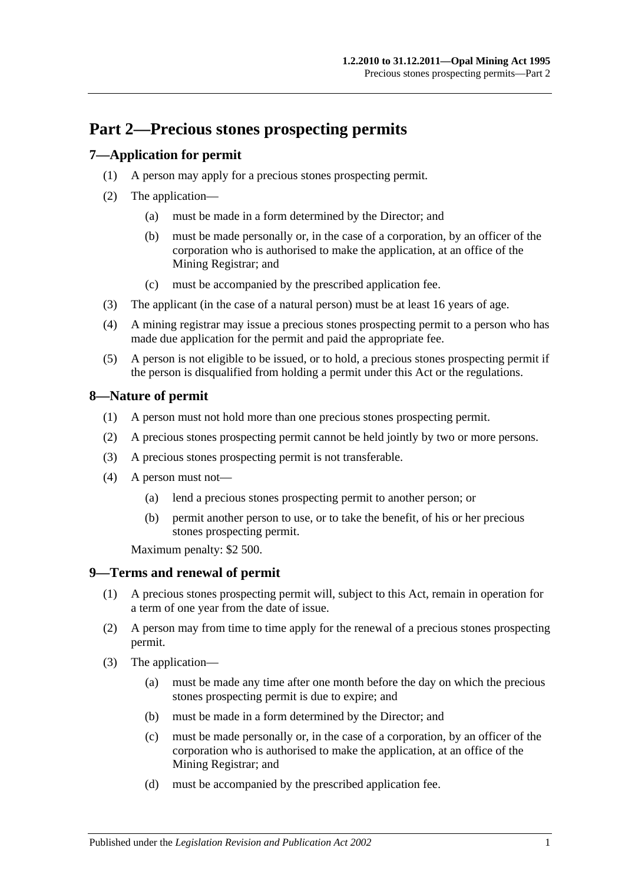## <span id="page-10-0"></span>**Part 2—Precious stones prospecting permits**

## <span id="page-10-1"></span>**7—Application for permit**

- (1) A person may apply for a precious stones prospecting permit.
- (2) The application—
	- (a) must be made in a form determined by the Director; and
	- (b) must be made personally or, in the case of a corporation, by an officer of the corporation who is authorised to make the application, at an office of the Mining Registrar; and
	- (c) must be accompanied by the prescribed application fee.
- (3) The applicant (in the case of a natural person) must be at least 16 years of age.
- (4) A mining registrar may issue a precious stones prospecting permit to a person who has made due application for the permit and paid the appropriate fee.
- (5) A person is not eligible to be issued, or to hold, a precious stones prospecting permit if the person is disqualified from holding a permit under this Act or the regulations.

## <span id="page-10-2"></span>**8—Nature of permit**

- (1) A person must not hold more than one precious stones prospecting permit.
- (2) A precious stones prospecting permit cannot be held jointly by two or more persons.
- (3) A precious stones prospecting permit is not transferable.
- (4) A person must not—
	- (a) lend a precious stones prospecting permit to another person; or
	- (b) permit another person to use, or to take the benefit, of his or her precious stones prospecting permit.

Maximum penalty: \$2 500.

## <span id="page-10-3"></span>**9—Terms and renewal of permit**

- (1) A precious stones prospecting permit will, subject to this Act, remain in operation for a term of one year from the date of issue.
- (2) A person may from time to time apply for the renewal of a precious stones prospecting permit.
- (3) The application—
	- (a) must be made any time after one month before the day on which the precious stones prospecting permit is due to expire; and
	- (b) must be made in a form determined by the Director; and
	- (c) must be made personally or, in the case of a corporation, by an officer of the corporation who is authorised to make the application, at an office of the Mining Registrar; and
	- (d) must be accompanied by the prescribed application fee.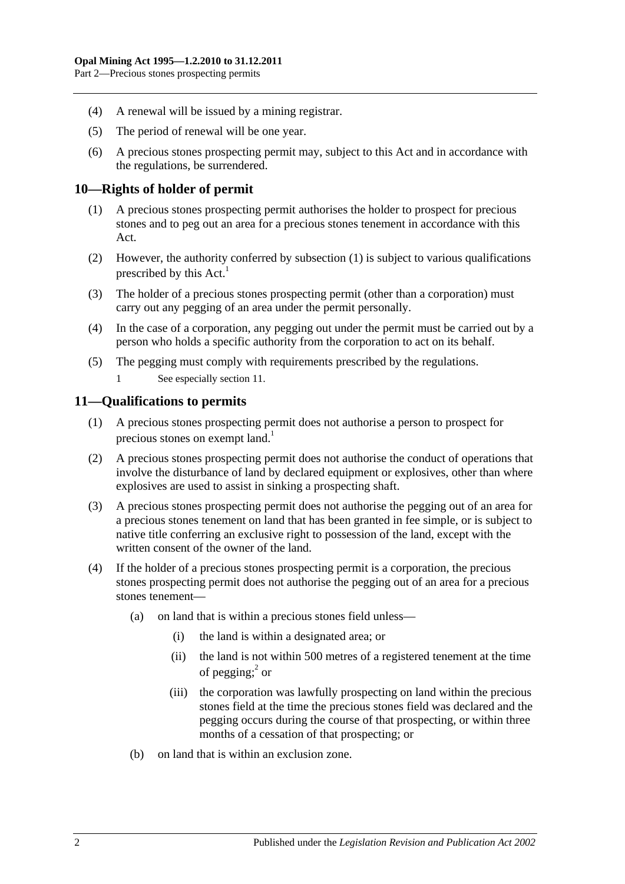- (4) A renewal will be issued by a mining registrar.
- (5) The period of renewal will be one year.
- (6) A precious stones prospecting permit may, subject to this Act and in accordance with the regulations, be surrendered.

#### <span id="page-11-2"></span><span id="page-11-0"></span>**10—Rights of holder of permit**

- (1) A precious stones prospecting permit authorises the holder to prospect for precious stones and to peg out an area for a precious stones tenement in accordance with this Act.
- (2) However, the authority conferred by [subsection](#page-11-2) (1) is subject to various qualifications prescribed by this  $Act.<sup>1</sup>$
- (3) The holder of a precious stones prospecting permit (other than a corporation) must carry out any pegging of an area under the permit personally.
- (4) In the case of a corporation, any pegging out under the permit must be carried out by a person who holds a specific authority from the corporation to act on its behalf.
- (5) The pegging must comply with requirements prescribed by the regulations.
	- 1 See especiall[y section](#page-11-1) 11.

## <span id="page-11-1"></span>**11—Qualifications to permits**

- (1) A precious stones prospecting permit does not authorise a person to prospect for precious stones on exempt land.<sup>1</sup>
- (2) A precious stones prospecting permit does not authorise the conduct of operations that involve the disturbance of land by declared equipment or explosives, other than where explosives are used to assist in sinking a prospecting shaft.
- (3) A precious stones prospecting permit does not authorise the pegging out of an area for a precious stones tenement on land that has been granted in fee simple, or is subject to native title conferring an exclusive right to possession of the land, except with the written consent of the owner of the land.
- (4) If the holder of a precious stones prospecting permit is a corporation, the precious stones prospecting permit does not authorise the pegging out of an area for a precious stones tenement—
	- (a) on land that is within a precious stones field unless—
		- (i) the land is within a designated area; or
		- (ii) the land is not within 500 metres of a registered tenement at the time of pegging; $^{2}$  or
		- (iii) the corporation was lawfully prospecting on land within the precious stones field at the time the precious stones field was declared and the pegging occurs during the course of that prospecting, or within three months of a cessation of that prospecting; or
	- (b) on land that is within an exclusion zone.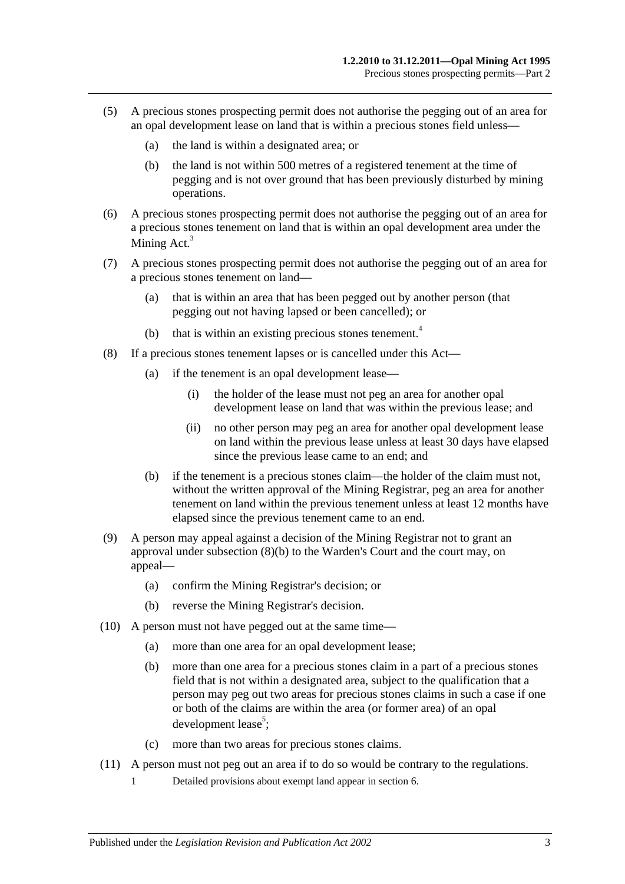- (5) A precious stones prospecting permit does not authorise the pegging out of an area for an opal development lease on land that is within a precious stones field unless—
	- (a) the land is within a designated area; or
	- (b) the land is not within 500 metres of a registered tenement at the time of pegging and is not over ground that has been previously disturbed by mining operations.
- (6) A precious stones prospecting permit does not authorise the pegging out of an area for a precious stones tenement on land that is within an opal development area under the Mining  $Act.<sup>3</sup>$
- (7) A precious stones prospecting permit does not authorise the pegging out of an area for a precious stones tenement on land—
	- (a) that is within an area that has been pegged out by another person (that pegging out not having lapsed or been cancelled); or
	- (b) that is within an existing precious stones tenement.<sup>4</sup>
- (8) If a precious stones tenement lapses or is cancelled under this Act—
	- (a) if the tenement is an opal development lease—
		- (i) the holder of the lease must not peg an area for another opal development lease on land that was within the previous lease; and
		- (ii) no other person may peg an area for another opal development lease on land within the previous lease unless at least 30 days have elapsed since the previous lease came to an end; and
	- (b) if the tenement is a precious stones claim—the holder of the claim must not, without the written approval of the Mining Registrar, peg an area for another tenement on land within the previous tenement unless at least 12 months have elapsed since the previous tenement came to an end.
- <span id="page-12-0"></span>(9) A person may appeal against a decision of the Mining Registrar not to grant an approval under [subsection](#page-12-0) (8)(b) to the Warden's Court and the court may, on appeal—
	- (a) confirm the Mining Registrar's decision; or
	- (b) reverse the Mining Registrar's decision.
- (10) A person must not have pegged out at the same time—
	- (a) more than one area for an opal development lease;
	- (b) more than one area for a precious stones claim in a part of a precious stones field that is not within a designated area, subject to the qualification that a person may peg out two areas for precious stones claims in such a case if one or both of the claims are within the area (or former area) of an opal development lease<sup>5</sup>;
	- (c) more than two areas for precious stones claims.
- (11) A person must not peg out an area if to do so would be contrary to the regulations.
	- 1 Detailed provisions about exempt land appear in [section](#page-7-2) 6.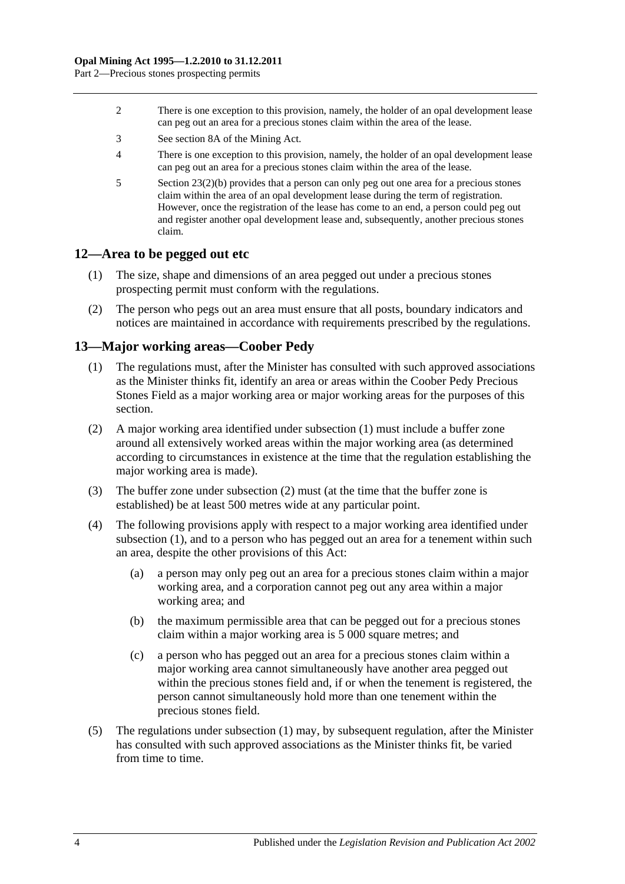Part 2—Precious stones prospecting permits

- 2 There is one exception to this provision, namely, the holder of an opal development lease can peg out an area for a precious stones claim within the area of the lease.
- 3 See section 8A of the Mining Act.
- 4 There is one exception to this provision, namely, the holder of an opal development lease can peg out an area for a precious stones claim within the area of the lease.
- 5 Section [23\(2\)\(b\)](#page-20-3) provides that a person can only peg out one area for a precious stones claim within the area of an opal development lease during the term of registration. However, once the registration of the lease has come to an end, a person could peg out and register another opal development lease and, subsequently, another precious stones claim.

#### <span id="page-13-0"></span>**12—Area to be pegged out etc**

- (1) The size, shape and dimensions of an area pegged out under a precious stones prospecting permit must conform with the regulations.
- (2) The person who pegs out an area must ensure that all posts, boundary indicators and notices are maintained in accordance with requirements prescribed by the regulations.

#### <span id="page-13-2"></span><span id="page-13-1"></span>**13—Major working areas—Coober Pedy**

- (1) The regulations must, after the Minister has consulted with such approved associations as the Minister thinks fit, identify an area or areas within the Coober Pedy Precious Stones Field as a major working area or major working areas for the purposes of this section.
- <span id="page-13-3"></span>(2) A major working area identified under [subsection](#page-13-2) (1) must include a buffer zone around all extensively worked areas within the major working area (as determined according to circumstances in existence at the time that the regulation establishing the major working area is made).
- (3) The buffer zone under [subsection](#page-13-3) (2) must (at the time that the buffer zone is established) be at least 500 metres wide at any particular point.
- (4) The following provisions apply with respect to a major working area identified under [subsection](#page-13-2) (1), and to a person who has pegged out an area for a tenement within such an area, despite the other provisions of this Act:
	- (a) a person may only peg out an area for a precious stones claim within a major working area, and a corporation cannot peg out any area within a major working area; and
	- (b) the maximum permissible area that can be pegged out for a precious stones claim within a major working area is 5 000 square metres; and
	- (c) a person who has pegged out an area for a precious stones claim within a major working area cannot simultaneously have another area pegged out within the precious stones field and, if or when the tenement is registered, the person cannot simultaneously hold more than one tenement within the precious stones field.
- (5) The regulations under [subsection](#page-13-2) (1) may, by subsequent regulation, after the Minister has consulted with such approved associations as the Minister thinks fit, be varied from time to time.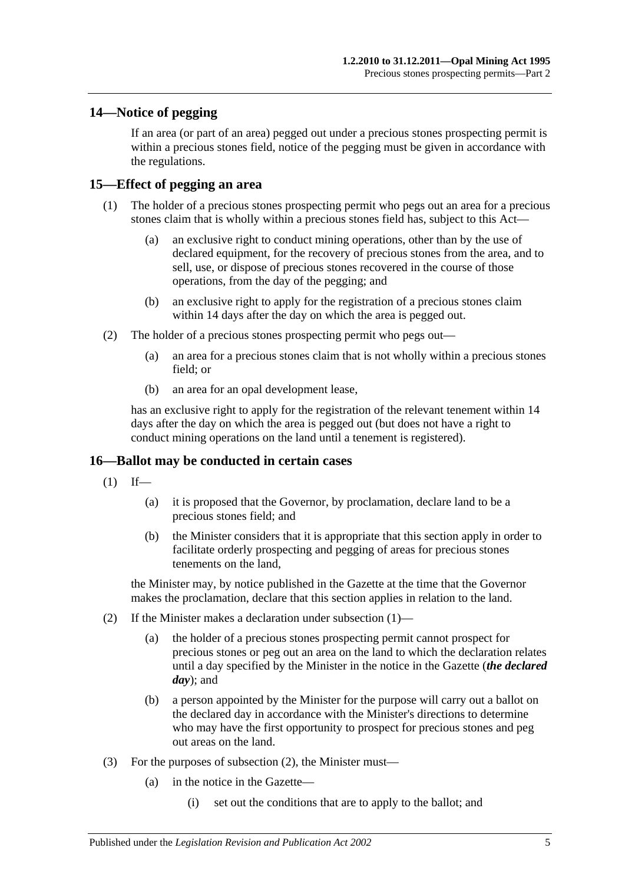## <span id="page-14-0"></span>**14—Notice of pegging**

If an area (or part of an area) pegged out under a precious stones prospecting permit is within a precious stones field, notice of the pegging must be given in accordance with the regulations.

## <span id="page-14-1"></span>**15—Effect of pegging an area**

- (1) The holder of a precious stones prospecting permit who pegs out an area for a precious stones claim that is wholly within a precious stones field has, subject to this Act—
	- (a) an exclusive right to conduct mining operations, other than by the use of declared equipment, for the recovery of precious stones from the area, and to sell, use, or dispose of precious stones recovered in the course of those operations, from the day of the pegging; and
	- (b) an exclusive right to apply for the registration of a precious stones claim within 14 days after the day on which the area is pegged out.
- (2) The holder of a precious stones prospecting permit who pegs out—
	- (a) an area for a precious stones claim that is not wholly within a precious stones field; or
	- (b) an area for an opal development lease,

has an exclusive right to apply for the registration of the relevant tenement within 14 days after the day on which the area is pegged out (but does not have a right to conduct mining operations on the land until a tenement is registered).

#### <span id="page-14-3"></span><span id="page-14-2"></span>**16—Ballot may be conducted in certain cases**

- $(1)$  If—
	- (a) it is proposed that the Governor, by proclamation, declare land to be a precious stones field; and
	- (b) the Minister considers that it is appropriate that this section apply in order to facilitate orderly prospecting and pegging of areas for precious stones tenements on the land,

the Minister may, by notice published in the Gazette at the time that the Governor makes the proclamation, declare that this section applies in relation to the land.

- <span id="page-14-4"></span>(2) If the Minister makes a declaration under [subsection](#page-14-3) (1)—
	- (a) the holder of a precious stones prospecting permit cannot prospect for precious stones or peg out an area on the land to which the declaration relates until a day specified by the Minister in the notice in the Gazette (*the declared day*); and
	- (b) a person appointed by the Minister for the purpose will carry out a ballot on the declared day in accordance with the Minister's directions to determine who may have the first opportunity to prospect for precious stones and peg out areas on the land.
- <span id="page-14-5"></span>(3) For the purposes of [subsection](#page-14-4) (2), the Minister must—
	- (a) in the notice in the Gazette—
		- (i) set out the conditions that are to apply to the ballot; and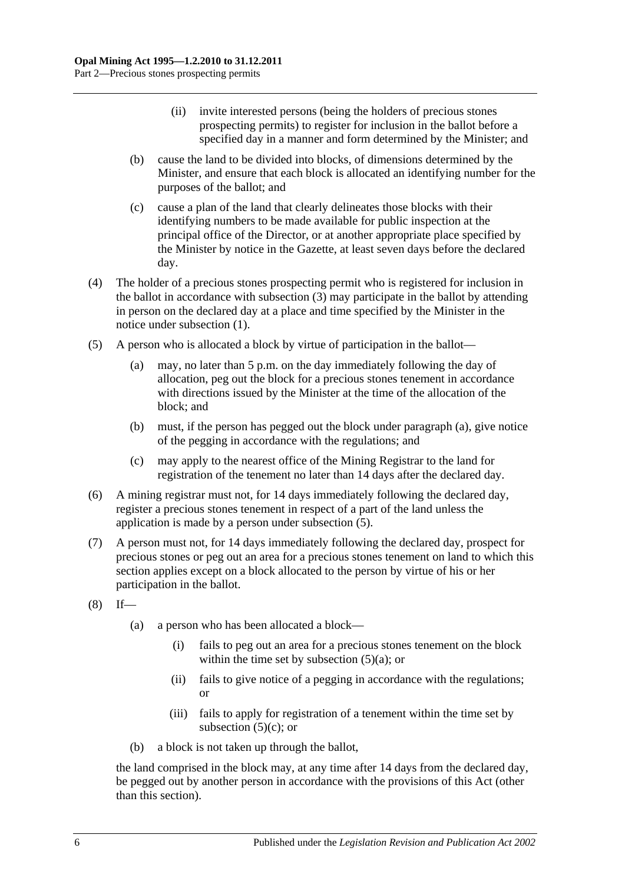- (ii) invite interested persons (being the holders of precious stones prospecting permits) to register for inclusion in the ballot before a specified day in a manner and form determined by the Minister; and
- (b) cause the land to be divided into blocks, of dimensions determined by the Minister, and ensure that each block is allocated an identifying number for the purposes of the ballot; and
- (c) cause a plan of the land that clearly delineates those blocks with their identifying numbers to be made available for public inspection at the principal office of the Director, or at another appropriate place specified by the Minister by notice in the Gazette, at least seven days before the declared day.
- (4) The holder of a precious stones prospecting permit who is registered for inclusion in the ballot in accordance with [subsection](#page-14-5) (3) may participate in the ballot by attending in person on the declared day at a place and time specified by the Minister in the notice under [subsection](#page-14-3) (1).
- <span id="page-15-1"></span><span id="page-15-0"></span>(5) A person who is allocated a block by virtue of participation in the ballot—
	- (a) may, no later than 5 p.m. on the day immediately following the day of allocation, peg out the block for a precious stones tenement in accordance with directions issued by the Minister at the time of the allocation of the block; and
	- (b) must, if the person has pegged out the block under [paragraph](#page-15-0) (a), give notice of the pegging in accordance with the regulations; and
	- (c) may apply to the nearest office of the Mining Registrar to the land for registration of the tenement no later than 14 days after the declared day.
- <span id="page-15-2"></span>(6) A mining registrar must not, for 14 days immediately following the declared day, register a precious stones tenement in respect of a part of the land unless the application is made by a person under [subsection](#page-15-1) (5).
- (7) A person must not, for 14 days immediately following the declared day, prospect for precious stones or peg out an area for a precious stones tenement on land to which this section applies except on a block allocated to the person by virtue of his or her participation in the ballot.
- $(8)$  If—
	- (a) a person who has been allocated a block—
		- (i) fails to peg out an area for a precious stones tenement on the block within the time set by [subsection](#page-15-0)  $(5)(a)$ ; or
		- (ii) fails to give notice of a pegging in accordance with the regulations; or
		- (iii) fails to apply for registration of a tenement within the time set by [subsection](#page-15-2)  $(5)(c)$ ; or
	- (b) a block is not taken up through the ballot,

the land comprised in the block may, at any time after 14 days from the declared day, be pegged out by another person in accordance with the provisions of this Act (other than this section).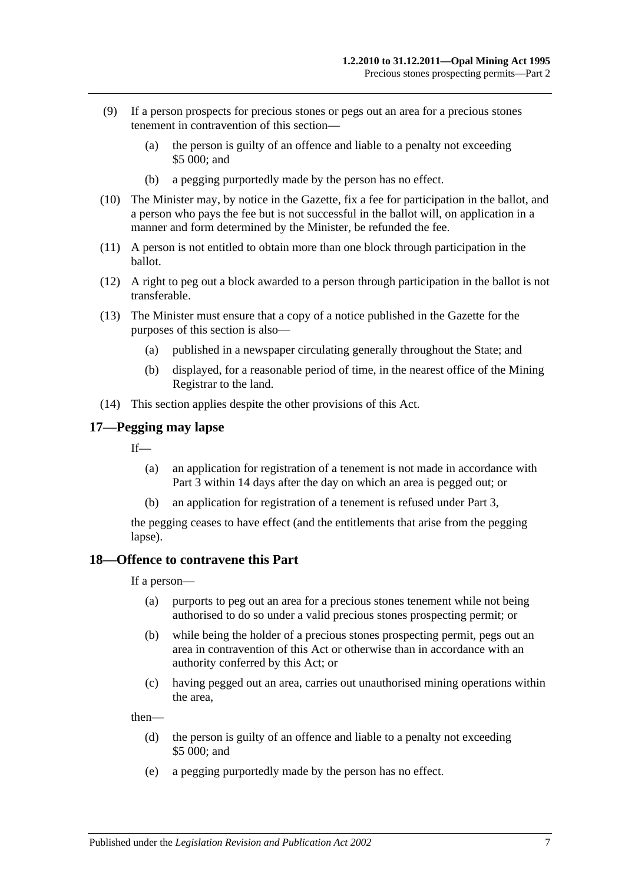- (9) If a person prospects for precious stones or pegs out an area for a precious stones tenement in contravention of this section—
	- (a) the person is guilty of an offence and liable to a penalty not exceeding \$5 000; and
	- (b) a pegging purportedly made by the person has no effect.
- (10) The Minister may, by notice in the Gazette, fix a fee for participation in the ballot, and a person who pays the fee but is not successful in the ballot will, on application in a manner and form determined by the Minister, be refunded the fee.
- (11) A person is not entitled to obtain more than one block through participation in the ballot.
- (12) A right to peg out a block awarded to a person through participation in the ballot is not transferable.
- (13) The Minister must ensure that a copy of a notice published in the Gazette for the purposes of this section is also—
	- (a) published in a newspaper circulating generally throughout the State; and
	- (b) displayed, for a reasonable period of time, in the nearest office of the Mining Registrar to the land.
- (14) This section applies despite the other provisions of this Act.

#### <span id="page-16-0"></span>**17—Pegging may lapse**

If—

- (a) an application for registration of a tenement is not made in accordance with [Part 3](#page-18-0) within 14 days after the day on which an area is pegged out; or
- (b) an application for registration of a tenement is refused under [Part 3,](#page-18-0)

the pegging ceases to have effect (and the entitlements that arise from the pegging lapse).

#### <span id="page-16-1"></span>**18—Offence to contravene this Part**

If a person—

- (a) purports to peg out an area for a precious stones tenement while not being authorised to do so under a valid precious stones prospecting permit; or
- (b) while being the holder of a precious stones prospecting permit, pegs out an area in contravention of this Act or otherwise than in accordance with an authority conferred by this Act; or
- (c) having pegged out an area, carries out unauthorised mining operations within the area,

then—

- (d) the person is guilty of an offence and liable to a penalty not exceeding \$5 000; and
- (e) a pegging purportedly made by the person has no effect.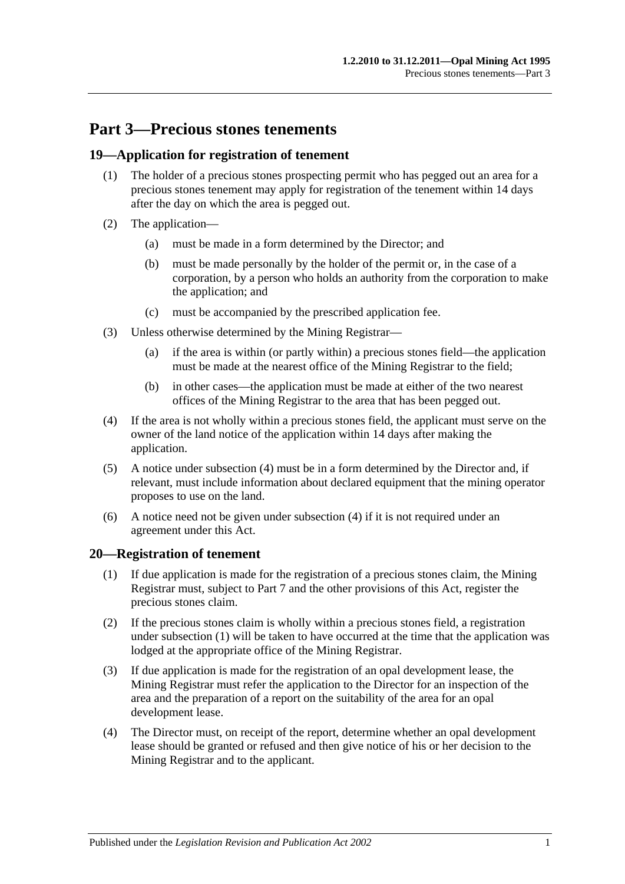## <span id="page-18-0"></span>**Part 3—Precious stones tenements**

## <span id="page-18-1"></span>**19—Application for registration of tenement**

- (1) The holder of a precious stones prospecting permit who has pegged out an area for a precious stones tenement may apply for registration of the tenement within 14 days after the day on which the area is pegged out.
- (2) The application—
	- (a) must be made in a form determined by the Director; and
	- (b) must be made personally by the holder of the permit or, in the case of a corporation, by a person who holds an authority from the corporation to make the application; and
	- (c) must be accompanied by the prescribed application fee.
- (3) Unless otherwise determined by the Mining Registrar—
	- (a) if the area is within (or partly within) a precious stones field—the application must be made at the nearest office of the Mining Registrar to the field;
	- (b) in other cases—the application must be made at either of the two nearest offices of the Mining Registrar to the area that has been pegged out.
- <span id="page-18-3"></span>(4) If the area is not wholly within a precious stones field, the applicant must serve on the owner of the land notice of the application within 14 days after making the application.
- (5) A notice under [subsection](#page-18-3) (4) must be in a form determined by the Director and, if relevant, must include information about declared equipment that the mining operator proposes to use on the land.
- (6) A notice need not be given under [subsection](#page-18-3) (4) if it is not required under an agreement under this Act.

#### <span id="page-18-4"></span><span id="page-18-2"></span>**20—Registration of tenement**

- (1) If due application is made for the registration of a precious stones claim, the Mining Registrar must, subject to [Part 7](#page-38-0) and the other provisions of this Act, register the precious stones claim.
- <span id="page-18-6"></span>(2) If the precious stones claim is wholly within a precious stones field, a registration under [subsection](#page-18-4) (1) will be taken to have occurred at the time that the application was lodged at the appropriate office of the Mining Registrar.
- (3) If due application is made for the registration of an opal development lease, the Mining Registrar must refer the application to the Director for an inspection of the area and the preparation of a report on the suitability of the area for an opal development lease.
- <span id="page-18-5"></span>(4) The Director must, on receipt of the report, determine whether an opal development lease should be granted or refused and then give notice of his or her decision to the Mining Registrar and to the applicant.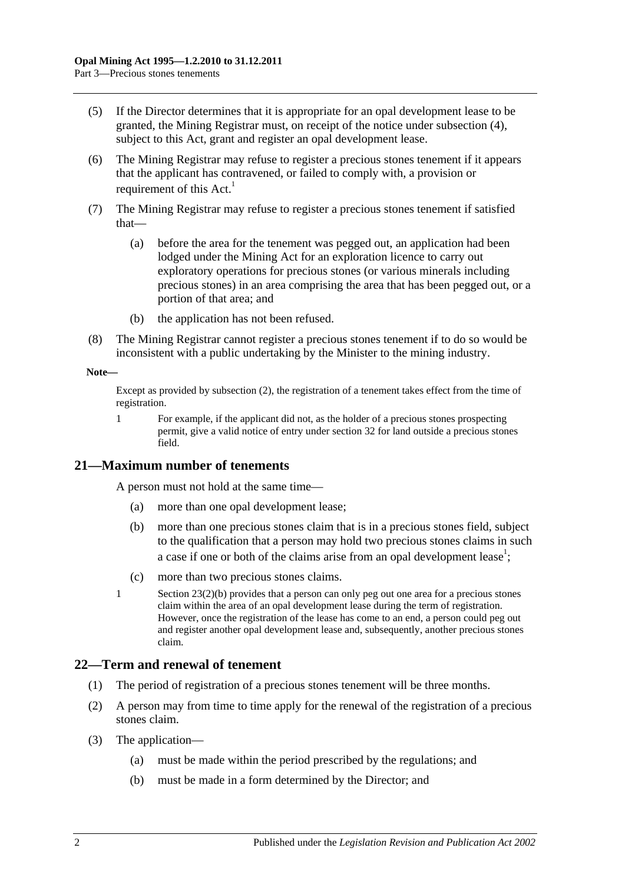- (5) If the Director determines that it is appropriate for an opal development lease to be granted, the Mining Registrar must, on receipt of the notice under [subsection](#page-18-5) (4), subject to this Act, grant and register an opal development lease.
- (6) The Mining Registrar may refuse to register a precious stones tenement if it appears that the applicant has contravened, or failed to comply with, a provision or requirement of this Act.<sup>1</sup>
- (7) The Mining Registrar may refuse to register a precious stones tenement if satisfied that—
	- (a) before the area for the tenement was pegged out, an application had been lodged under the Mining Act for an exploration licence to carry out exploratory operations for precious stones (or various minerals including precious stones) in an area comprising the area that has been pegged out, or a portion of that area; and
	- (b) the application has not been refused.
- (8) The Mining Registrar cannot register a precious stones tenement if to do so would be inconsistent with a public undertaking by the Minister to the mining industry.

#### **Note—**

Except as provided by [subsection](#page-18-6) (2), the registration of a tenement takes effect from the time of registration.

1 For example, if the applicant did not, as the holder of a precious stones prospecting permit, give a valid notice of entry unde[r section](#page-26-3) 32 for land outside a precious stones field.

#### <span id="page-19-0"></span>**21—Maximum number of tenements**

A person must not hold at the same time—

- (a) more than one opal development lease;
- (b) more than one precious stones claim that is in a precious stones field, subject to the qualification that a person may hold two precious stones claims in such a case if one or both of the claims arise from an opal development lease<sup>1</sup>;
- (c) more than two precious stones claims.
- 1 Section [23\(2\)\(b\)](#page-20-3) provides that a person can only peg out one area for a precious stones claim within the area of an opal development lease during the term of registration. However, once the registration of the lease has come to an end, a person could peg out and register another opal development lease and, subsequently, another precious stones claim.

#### <span id="page-19-1"></span>**22—Term and renewal of tenement**

- (1) The period of registration of a precious stones tenement will be three months.
- (2) A person may from time to time apply for the renewal of the registration of a precious stones claim.
- (3) The application—
	- (a) must be made within the period prescribed by the regulations; and
	- (b) must be made in a form determined by the Director; and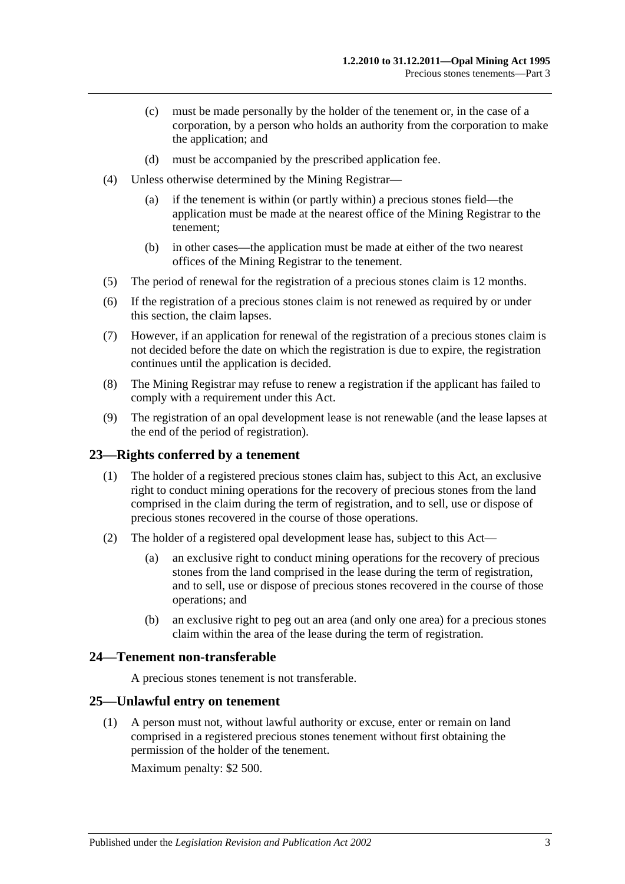- (c) must be made personally by the holder of the tenement or, in the case of a corporation, by a person who holds an authority from the corporation to make the application; and
- (d) must be accompanied by the prescribed application fee.
- (4) Unless otherwise determined by the Mining Registrar—
	- (a) if the tenement is within (or partly within) a precious stones field—the application must be made at the nearest office of the Mining Registrar to the tenement;
	- (b) in other cases—the application must be made at either of the two nearest offices of the Mining Registrar to the tenement.
- (5) The period of renewal for the registration of a precious stones claim is 12 months.
- (6) If the registration of a precious stones claim is not renewed as required by or under this section, the claim lapses.
- (7) However, if an application for renewal of the registration of a precious stones claim is not decided before the date on which the registration is due to expire, the registration continues until the application is decided.
- (8) The Mining Registrar may refuse to renew a registration if the applicant has failed to comply with a requirement under this Act.
- (9) The registration of an opal development lease is not renewable (and the lease lapses at the end of the period of registration).

#### <span id="page-20-0"></span>**23—Rights conferred by a tenement**

- (1) The holder of a registered precious stones claim has, subject to this Act, an exclusive right to conduct mining operations for the recovery of precious stones from the land comprised in the claim during the term of registration, and to sell, use or dispose of precious stones recovered in the course of those operations.
- (2) The holder of a registered opal development lease has, subject to this Act—
	- (a) an exclusive right to conduct mining operations for the recovery of precious stones from the land comprised in the lease during the term of registration, and to sell, use or dispose of precious stones recovered in the course of those operations; and
	- (b) an exclusive right to peg out an area (and only one area) for a precious stones claim within the area of the lease during the term of registration.

#### <span id="page-20-3"></span><span id="page-20-1"></span>**24—Tenement non-transferable**

A precious stones tenement is not transferable.

#### <span id="page-20-2"></span>**25—Unlawful entry on tenement**

(1) A person must not, without lawful authority or excuse, enter or remain on land comprised in a registered precious stones tenement without first obtaining the permission of the holder of the tenement.

Maximum penalty: \$2 500.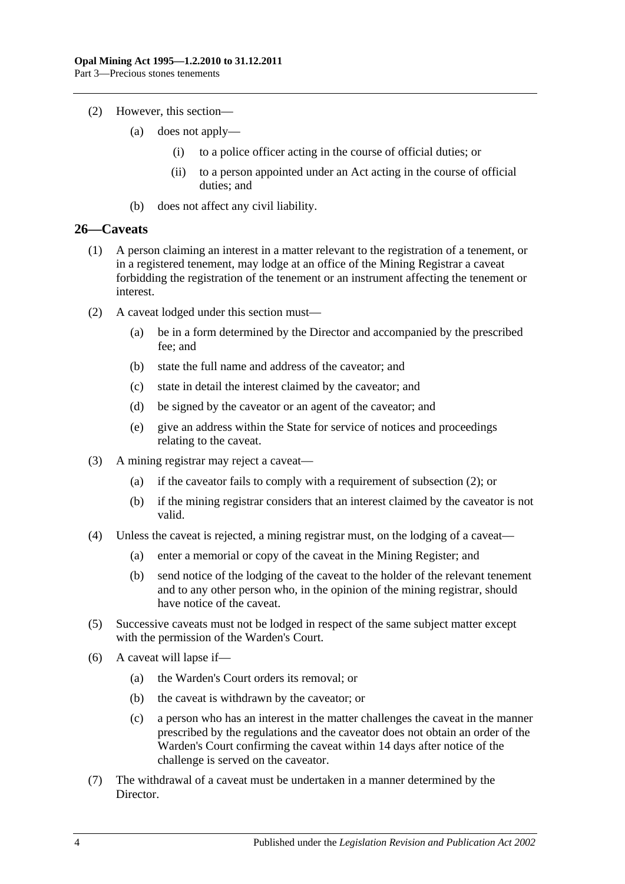- (2) However, this section—
	- (a) does not apply—
		- (i) to a police officer acting in the course of official duties; or
		- (ii) to a person appointed under an Act acting in the course of official duties; and
	- (b) does not affect any civil liability.

#### <span id="page-21-0"></span>**26—Caveats**

- (1) A person claiming an interest in a matter relevant to the registration of a tenement, or in a registered tenement, may lodge at an office of the Mining Registrar a caveat forbidding the registration of the tenement or an instrument affecting the tenement or interest.
- <span id="page-21-1"></span>(2) A caveat lodged under this section must—
	- (a) be in a form determined by the Director and accompanied by the prescribed fee; and
	- (b) state the full name and address of the caveator; and
	- (c) state in detail the interest claimed by the caveator; and
	- (d) be signed by the caveator or an agent of the caveator; and
	- (e) give an address within the State for service of notices and proceedings relating to the caveat.
- (3) A mining registrar may reject a caveat—
	- (a) if the caveator fails to comply with a requirement of [subsection](#page-21-1) (2); or
	- (b) if the mining registrar considers that an interest claimed by the caveator is not valid.
- (4) Unless the caveat is rejected, a mining registrar must, on the lodging of a caveat—
	- (a) enter a memorial or copy of the caveat in the Mining Register; and
	- (b) send notice of the lodging of the caveat to the holder of the relevant tenement and to any other person who, in the opinion of the mining registrar, should have notice of the caveat.
- (5) Successive caveats must not be lodged in respect of the same subject matter except with the permission of the Warden's Court.
- (6) A caveat will lapse if—
	- (a) the Warden's Court orders its removal; or
	- (b) the caveat is withdrawn by the caveator; or
	- (c) a person who has an interest in the matter challenges the caveat in the manner prescribed by the regulations and the caveator does not obtain an order of the Warden's Court confirming the caveat within 14 days after notice of the challenge is served on the caveator.
- (7) The withdrawal of a caveat must be undertaken in a manner determined by the Director.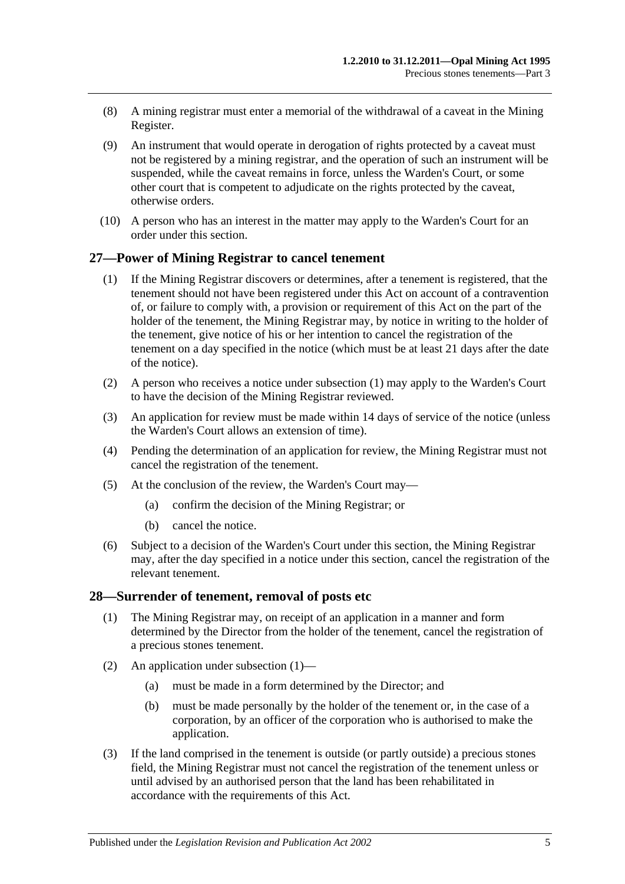- (8) A mining registrar must enter a memorial of the withdrawal of a caveat in the Mining Register.
- (9) An instrument that would operate in derogation of rights protected by a caveat must not be registered by a mining registrar, and the operation of such an instrument will be suspended, while the caveat remains in force, unless the Warden's Court, or some other court that is competent to adjudicate on the rights protected by the caveat, otherwise orders.
- (10) A person who has an interest in the matter may apply to the Warden's Court for an order under this section.

#### <span id="page-22-2"></span><span id="page-22-0"></span>**27—Power of Mining Registrar to cancel tenement**

- (1) If the Mining Registrar discovers or determines, after a tenement is registered, that the tenement should not have been registered under this Act on account of a contravention of, or failure to comply with, a provision or requirement of this Act on the part of the holder of the tenement, the Mining Registrar may, by notice in writing to the holder of the tenement, give notice of his or her intention to cancel the registration of the tenement on a day specified in the notice (which must be at least 21 days after the date of the notice).
- (2) A person who receives a notice under [subsection](#page-22-2) (1) may apply to the Warden's Court to have the decision of the Mining Registrar reviewed.
- (3) An application for review must be made within 14 days of service of the notice (unless the Warden's Court allows an extension of time).
- (4) Pending the determination of an application for review, the Mining Registrar must not cancel the registration of the tenement.
- (5) At the conclusion of the review, the Warden's Court may—
	- (a) confirm the decision of the Mining Registrar; or
	- (b) cancel the notice.
- (6) Subject to a decision of the Warden's Court under this section, the Mining Registrar may, after the day specified in a notice under this section, cancel the registration of the relevant tenement.

#### <span id="page-22-3"></span><span id="page-22-1"></span>**28—Surrender of tenement, removal of posts etc**

- (1) The Mining Registrar may, on receipt of an application in a manner and form determined by the Director from the holder of the tenement, cancel the registration of a precious stones tenement.
- (2) An application under [subsection](#page-22-3) (1)—
	- (a) must be made in a form determined by the Director; and
	- (b) must be made personally by the holder of the tenement or, in the case of a corporation, by an officer of the corporation who is authorised to make the application.
- (3) If the land comprised in the tenement is outside (or partly outside) a precious stones field, the Mining Registrar must not cancel the registration of the tenement unless or until advised by an authorised person that the land has been rehabilitated in accordance with the requirements of this Act.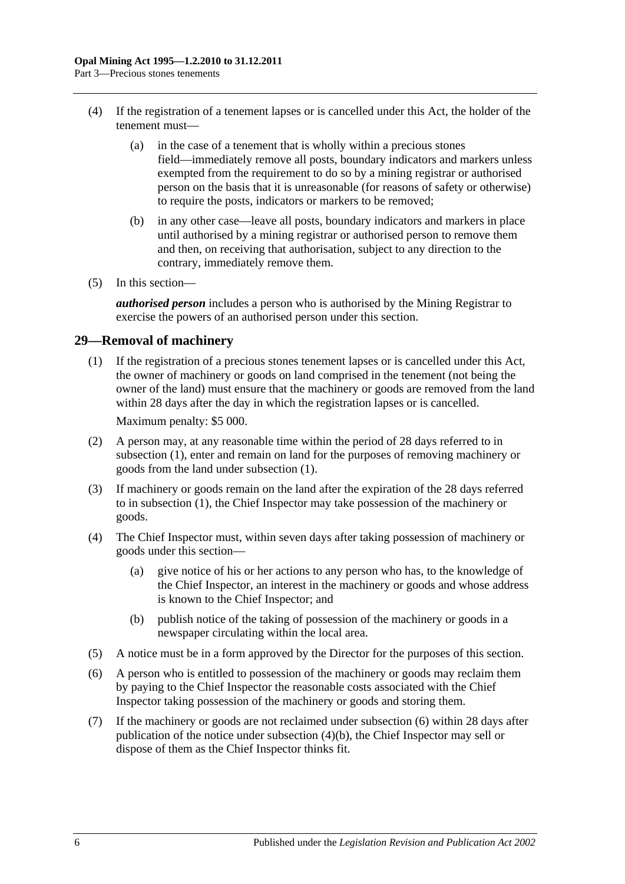- (4) If the registration of a tenement lapses or is cancelled under this Act, the holder of the tenement must—
	- (a) in the case of a tenement that is wholly within a precious stones field—immediately remove all posts, boundary indicators and markers unless exempted from the requirement to do so by a mining registrar or authorised person on the basis that it is unreasonable (for reasons of safety or otherwise) to require the posts, indicators or markers to be removed;
	- (b) in any other case—leave all posts, boundary indicators and markers in place until authorised by a mining registrar or authorised person to remove them and then, on receiving that authorisation, subject to any direction to the contrary, immediately remove them.
- (5) In this section—

*authorised person* includes a person who is authorised by the Mining Registrar to exercise the powers of an authorised person under this section.

## <span id="page-23-1"></span><span id="page-23-0"></span>**29—Removal of machinery**

- (1) If the registration of a precious stones tenement lapses or is cancelled under this Act, the owner of machinery or goods on land comprised in the tenement (not being the owner of the land) must ensure that the machinery or goods are removed from the land within 28 days after the day in which the registration lapses or is cancelled. Maximum penalty: \$5 000.
- (2) A person may, at any reasonable time within the period of 28 days referred to in [subsection](#page-23-1) (1), enter and remain on land for the purposes of removing machinery or goods from the land under [subsection](#page-23-1) (1).
- (3) If machinery or goods remain on the land after the expiration of the 28 days referred to in [subsection](#page-23-1) (1), the Chief Inspector may take possession of the machinery or goods.
- (4) The Chief Inspector must, within seven days after taking possession of machinery or goods under this section—
	- (a) give notice of his or her actions to any person who has, to the knowledge of the Chief Inspector, an interest in the machinery or goods and whose address is known to the Chief Inspector; and
	- (b) publish notice of the taking of possession of the machinery or goods in a newspaper circulating within the local area.
- <span id="page-23-3"></span>(5) A notice must be in a form approved by the Director for the purposes of this section.
- <span id="page-23-2"></span>(6) A person who is entitled to possession of the machinery or goods may reclaim them by paying to the Chief Inspector the reasonable costs associated with the Chief Inspector taking possession of the machinery or goods and storing them.
- (7) If the machinery or goods are not reclaimed under [subsection](#page-23-2) (6) within 28 days after publication of the notice under [subsection](#page-23-3) (4)(b), the Chief Inspector may sell or dispose of them as the Chief Inspector thinks fit.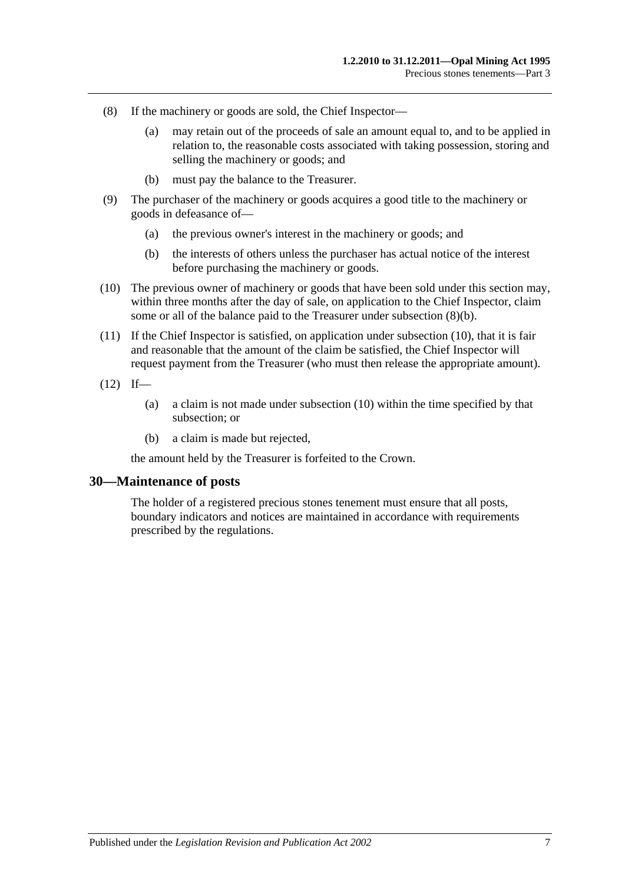- (8) If the machinery or goods are sold, the Chief Inspector—
	- (a) may retain out of the proceeds of sale an amount equal to, and to be applied in relation to, the reasonable costs associated with taking possession, storing and selling the machinery or goods; and
	- (b) must pay the balance to the Treasurer.
- <span id="page-24-1"></span>(9) The purchaser of the machinery or goods acquires a good title to the machinery or goods in defeasance of—
	- (a) the previous owner's interest in the machinery or goods; and
	- (b) the interests of others unless the purchaser has actual notice of the interest before purchasing the machinery or goods.
- <span id="page-24-2"></span>(10) The previous owner of machinery or goods that have been sold under this section may, within three months after the day of sale, on application to the Chief Inspector, claim some or all of the balance paid to the Treasurer under [subsection](#page-24-1) (8)(b).
- (11) If the Chief Inspector is satisfied, on application under [subsection](#page-24-2) (10), that it is fair and reasonable that the amount of the claim be satisfied, the Chief Inspector will request payment from the Treasurer (who must then release the appropriate amount).
- $(12)$  If—
	- (a) a claim is not made under [subsection](#page-24-2) (10) within the time specified by that subsection; or
	- (b) a claim is made but rejected,

the amount held by the Treasurer is forfeited to the Crown.

#### <span id="page-24-0"></span>**30—Maintenance of posts**

The holder of a registered precious stones tenement must ensure that all posts, boundary indicators and notices are maintained in accordance with requirements prescribed by the regulations.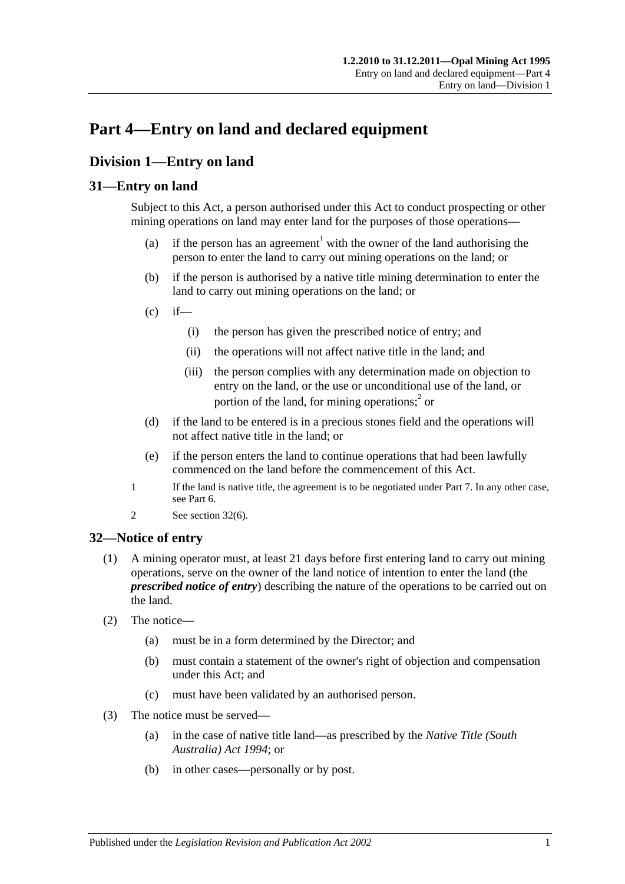## <span id="page-26-0"></span>**Part 4—Entry on land and declared equipment**

## <span id="page-26-1"></span>**Division 1—Entry on land**

## <span id="page-26-2"></span>**31—Entry on land**

Subject to this Act, a person authorised under this Act to conduct prospecting or other mining operations on land may enter land for the purposes of those operations—

- (a) if the person has an agreement<sup>1</sup> with the owner of the land authorising the person to enter the land to carry out mining operations on the land; or
- (b) if the person is authorised by a native title mining determination to enter the land to carry out mining operations on the land; or
- $(c)$  if—
	- (i) the person has given the prescribed notice of entry; and
	- (ii) the operations will not affect native title in the land; and
	- (iii) the person complies with any determination made on objection to entry on the land, or the use or unconditional use of the land, or portion of the land, for mining operations; $\hat{i}$  or
- (d) if the land to be entered is in a precious stones field and the operations will not affect native title in the land; or
- (e) if the person enters the land to continue operations that had been lawfully commenced on the land before the commencement of this Act.
- 1 If the land is native title, the agreement is to be negotiated under [Part 7.](#page-38-0) In any other case, see [Part 6.](#page-34-0)
- 2 See [section](#page-27-1) 32(6).

## <span id="page-26-4"></span><span id="page-26-3"></span>**32—Notice of entry**

- (1) A mining operator must, at least 21 days before first entering land to carry out mining operations, serve on the owner of the land notice of intention to enter the land (the *prescribed notice of entry*) describing the nature of the operations to be carried out on the land.
- <span id="page-26-5"></span>(2) The notice—
	- (a) must be in a form determined by the Director; and
	- (b) must contain a statement of the owner's right of objection and compensation under this Act; and
	- (c) must have been validated by an authorised person.
- (3) The notice must be served—
	- (a) in the case of native title land—as prescribed by the *[Native Title \(South](http://www.legislation.sa.gov.au/index.aspx?action=legref&type=act&legtitle=Native%20Title%20(South%20Australia)%20Act%201994)  [Australia\) Act](http://www.legislation.sa.gov.au/index.aspx?action=legref&type=act&legtitle=Native%20Title%20(South%20Australia)%20Act%201994) 1994*; or
	- (b) in other cases—personally or by post.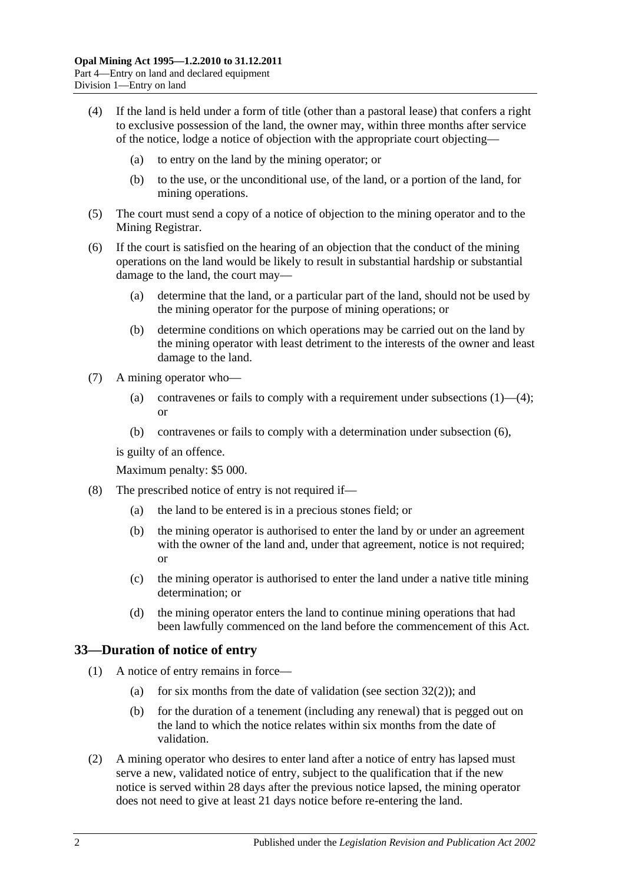- <span id="page-27-2"></span>(4) If the land is held under a form of title (other than a pastoral lease) that confers a right to exclusive possession of the land, the owner may, within three months after service of the notice, lodge a notice of objection with the appropriate court objecting—
	- (a) to entry on the land by the mining operator; or
	- (b) to the use, or the unconditional use, of the land, or a portion of the land, for mining operations.
- (5) The court must send a copy of a notice of objection to the mining operator and to the Mining Registrar.
- <span id="page-27-1"></span>(6) If the court is satisfied on the hearing of an objection that the conduct of the mining operations on the land would be likely to result in substantial hardship or substantial damage to the land, the court may—
	- (a) determine that the land, or a particular part of the land, should not be used by the mining operator for the purpose of mining operations; or
	- (b) determine conditions on which operations may be carried out on the land by the mining operator with least detriment to the interests of the owner and least damage to the land.
- (7) A mining operator who
	- (a) contravenes or fails to comply with a requirement under [subsections](#page-26-4)  $(1)$ — $(4)$ ; or
	- (b) contravenes or fails to comply with a determination under [subsection](#page-27-1) (6),

is guilty of an offence.

Maximum penalty: \$5 000.

- (8) The prescribed notice of entry is not required if—
	- (a) the land to be entered is in a precious stones field; or
	- (b) the mining operator is authorised to enter the land by or under an agreement with the owner of the land and, under that agreement, notice is not required; or
	- (c) the mining operator is authorised to enter the land under a native title mining determination; or
	- (d) the mining operator enters the land to continue mining operations that had been lawfully commenced on the land before the commencement of this Act.

## <span id="page-27-0"></span>**33—Duration of notice of entry**

- (1) A notice of entry remains in force
	- (a) for six months from the date of validation (see [section](#page-26-5)  $32(2)$ ); and
	- (b) for the duration of a tenement (including any renewal) that is pegged out on the land to which the notice relates within six months from the date of validation.
- (2) A mining operator who desires to enter land after a notice of entry has lapsed must serve a new, validated notice of entry, subject to the qualification that if the new notice is served within 28 days after the previous notice lapsed, the mining operator does not need to give at least 21 days notice before re-entering the land.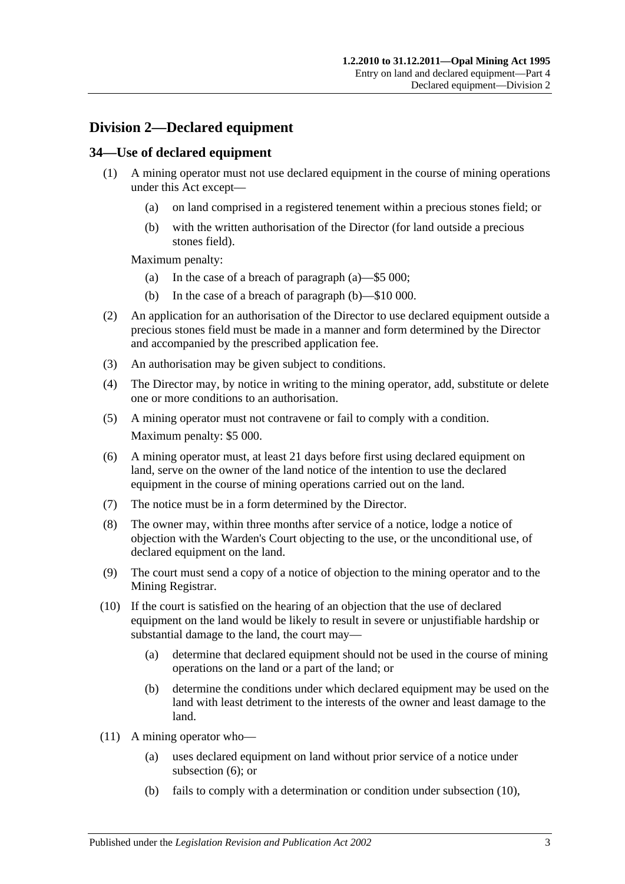## <span id="page-28-0"></span>**Division 2—Declared equipment**

## <span id="page-28-1"></span>**34—Use of declared equipment**

- <span id="page-28-3"></span><span id="page-28-2"></span>(1) A mining operator must not use declared equipment in the course of mining operations under this Act except—
	- (a) on land comprised in a registered tenement within a precious stones field; or
	- (b) with the written authorisation of the Director (for land outside a precious stones field).

Maximum penalty:

- (a) In the case of a breach of [paragraph](#page-28-2) (a)—\$5 000;
- (b) In the case of a breach of [paragraph](#page-28-3) (b)—\$10 000.
- (2) An application for an authorisation of the Director to use declared equipment outside a precious stones field must be made in a manner and form determined by the Director and accompanied by the prescribed application fee.
- (3) An authorisation may be given subject to conditions.
- (4) The Director may, by notice in writing to the mining operator, add, substitute or delete one or more conditions to an authorisation.
- (5) A mining operator must not contravene or fail to comply with a condition. Maximum penalty: \$5 000.
- <span id="page-28-4"></span>(6) A mining operator must, at least 21 days before first using declared equipment on land, serve on the owner of the land notice of the intention to use the declared equipment in the course of mining operations carried out on the land.
- (7) The notice must be in a form determined by the Director.
- (8) The owner may, within three months after service of a notice, lodge a notice of objection with the Warden's Court objecting to the use, or the unconditional use, of declared equipment on the land.
- (9) The court must send a copy of a notice of objection to the mining operator and to the Mining Registrar.
- <span id="page-28-5"></span>(10) If the court is satisfied on the hearing of an objection that the use of declared equipment on the land would be likely to result in severe or unjustifiable hardship or substantial damage to the land, the court may—
	- (a) determine that declared equipment should not be used in the course of mining operations on the land or a part of the land; or
	- (b) determine the conditions under which declared equipment may be used on the land with least detriment to the interests of the owner and least damage to the land.
- <span id="page-28-6"></span>(11) A mining operator who—
	- (a) uses declared equipment on land without prior service of a notice under [subsection](#page-28-4) (6); or
	- (b) fails to comply with a determination or condition under [subsection](#page-28-5) (10),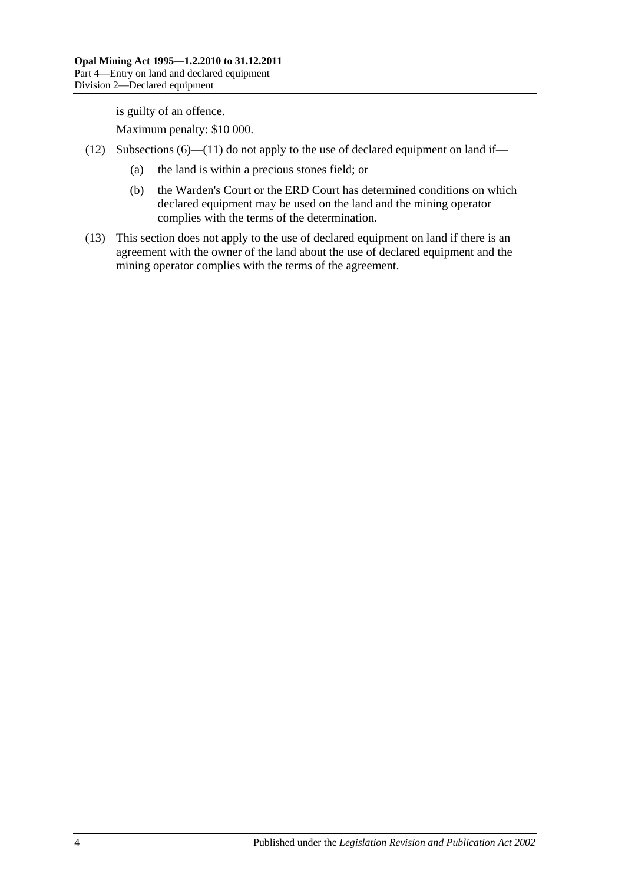is guilty of an offence.

Maximum penalty: \$10 000.

- (12) [Subsections](#page-28-4)  $(6)$ [—\(11\)](#page-28-6) do not apply to the use of declared equipment on land if—
	- (a) the land is within a precious stones field; or
	- (b) the Warden's Court or the ERD Court has determined conditions on which declared equipment may be used on the land and the mining operator complies with the terms of the determination.
- (13) This section does not apply to the use of declared equipment on land if there is an agreement with the owner of the land about the use of declared equipment and the mining operator complies with the terms of the agreement.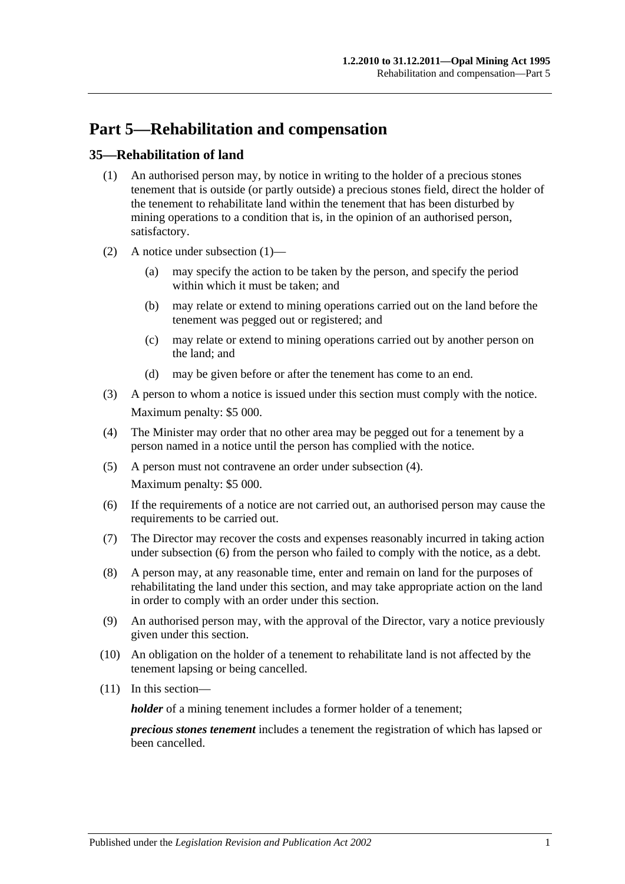## <span id="page-30-0"></span>**Part 5—Rehabilitation and compensation**

## <span id="page-30-2"></span><span id="page-30-1"></span>**35—Rehabilitation of land**

- (1) An authorised person may, by notice in writing to the holder of a precious stones tenement that is outside (or partly outside) a precious stones field, direct the holder of the tenement to rehabilitate land within the tenement that has been disturbed by mining operations to a condition that is, in the opinion of an authorised person, satisfactory.
- (2) A notice under [subsection](#page-30-2) (1)—
	- (a) may specify the action to be taken by the person, and specify the period within which it must be taken; and
	- (b) may relate or extend to mining operations carried out on the land before the tenement was pegged out or registered; and
	- (c) may relate or extend to mining operations carried out by another person on the land; and
	- (d) may be given before or after the tenement has come to an end.
- (3) A person to whom a notice is issued under this section must comply with the notice. Maximum penalty: \$5 000.
- <span id="page-30-3"></span>(4) The Minister may order that no other area may be pegged out for a tenement by a person named in a notice until the person has complied with the notice.
- (5) A person must not contravene an order under [subsection](#page-30-3) (4). Maximum penalty: \$5 000.
- <span id="page-30-4"></span>(6) If the requirements of a notice are not carried out, an authorised person may cause the requirements to be carried out.
- (7) The Director may recover the costs and expenses reasonably incurred in taking action under [subsection](#page-30-4) (6) from the person who failed to comply with the notice, as a debt.
- (8) A person may, at any reasonable time, enter and remain on land for the purposes of rehabilitating the land under this section, and may take appropriate action on the land in order to comply with an order under this section.
- (9) An authorised person may, with the approval of the Director, vary a notice previously given under this section.
- (10) An obligation on the holder of a tenement to rehabilitate land is not affected by the tenement lapsing or being cancelled.
- (11) In this section—

*holder* of a mining tenement includes a former holder of a tenement;

*precious stones tenement* includes a tenement the registration of which has lapsed or been cancelled.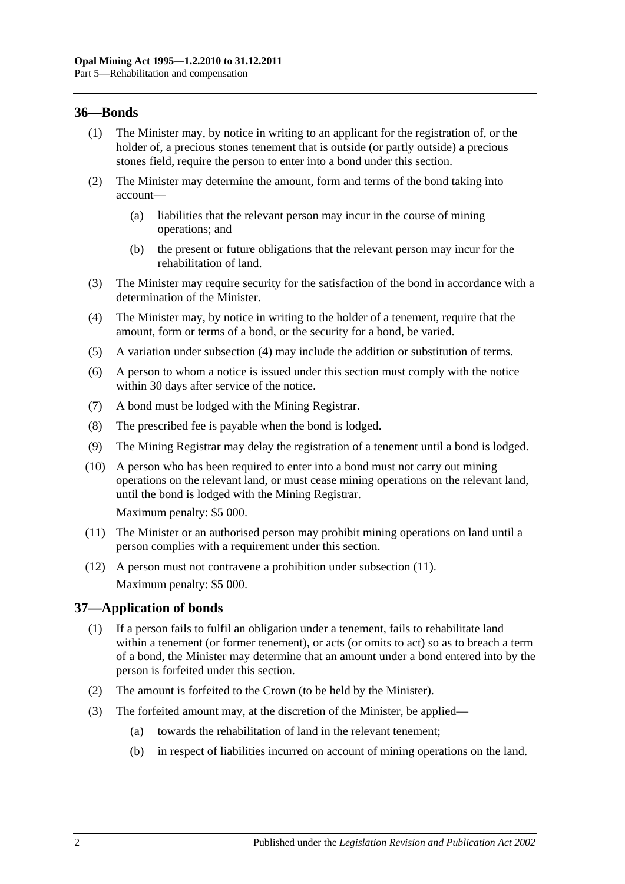## <span id="page-31-0"></span>**36—Bonds**

- (1) The Minister may, by notice in writing to an applicant for the registration of, or the holder of, a precious stones tenement that is outside (or partly outside) a precious stones field, require the person to enter into a bond under this section.
- (2) The Minister may determine the amount, form and terms of the bond taking into account—
	- (a) liabilities that the relevant person may incur in the course of mining operations; and
	- (b) the present or future obligations that the relevant person may incur for the rehabilitation of land.
- (3) The Minister may require security for the satisfaction of the bond in accordance with a determination of the Minister.
- (4) The Minister may, by notice in writing to the holder of a tenement, require that the amount, form or terms of a bond, or the security for a bond, be varied.
- (5) A variation under [subsection](#page-30-3) (4) may include the addition or substitution of terms.
- (6) A person to whom a notice is issued under this section must comply with the notice within 30 days after service of the notice.
- (7) A bond must be lodged with the Mining Registrar.
- (8) The prescribed fee is payable when the bond is lodged.
- (9) The Mining Registrar may delay the registration of a tenement until a bond is lodged.
- (10) A person who has been required to enter into a bond must not carry out mining operations on the relevant land, or must cease mining operations on the relevant land, until the bond is lodged with the Mining Registrar.

Maximum penalty: \$5 000.

- <span id="page-31-2"></span>(11) The Minister or an authorised person may prohibit mining operations on land until a person complies with a requirement under this section.
- (12) A person must not contravene a prohibition under [subsection](#page-31-2) (11). Maximum penalty: \$5 000.

## <span id="page-31-1"></span>**37—Application of bonds**

- (1) If a person fails to fulfil an obligation under a tenement, fails to rehabilitate land within a tenement (or former tenement), or acts (or omits to act) so as to breach a term of a bond, the Minister may determine that an amount under a bond entered into by the person is forfeited under this section.
- (2) The amount is forfeited to the Crown (to be held by the Minister).
- (3) The forfeited amount may, at the discretion of the Minister, be applied—
	- (a) towards the rehabilitation of land in the relevant tenement;
	- (b) in respect of liabilities incurred on account of mining operations on the land.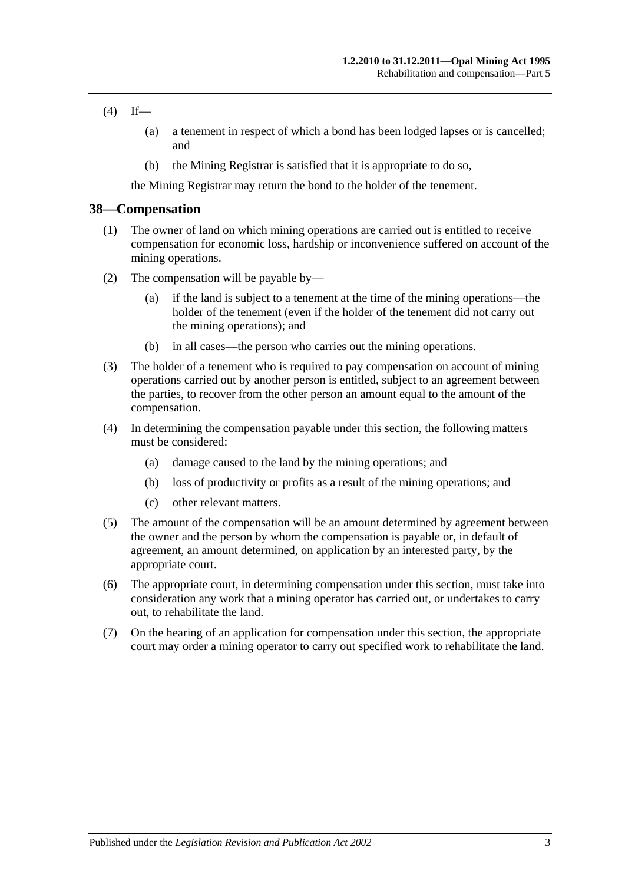#### $(4)$  If—

- (a) a tenement in respect of which a bond has been lodged lapses or is cancelled; and
- (b) the Mining Registrar is satisfied that it is appropriate to do so,

the Mining Registrar may return the bond to the holder of the tenement.

#### <span id="page-32-0"></span>**38—Compensation**

- (1) The owner of land on which mining operations are carried out is entitled to receive compensation for economic loss, hardship or inconvenience suffered on account of the mining operations.
- (2) The compensation will be payable by—
	- (a) if the land is subject to a tenement at the time of the mining operations—the holder of the tenement (even if the holder of the tenement did not carry out the mining operations); and
	- (b) in all cases—the person who carries out the mining operations.
- (3) The holder of a tenement who is required to pay compensation on account of mining operations carried out by another person is entitled, subject to an agreement between the parties, to recover from the other person an amount equal to the amount of the compensation.
- (4) In determining the compensation payable under this section, the following matters must be considered:
	- (a) damage caused to the land by the mining operations; and
	- (b) loss of productivity or profits as a result of the mining operations; and
	- (c) other relevant matters.
- (5) The amount of the compensation will be an amount determined by agreement between the owner and the person by whom the compensation is payable or, in default of agreement, an amount determined, on application by an interested party, by the appropriate court.
- (6) The appropriate court, in determining compensation under this section, must take into consideration any work that a mining operator has carried out, or undertakes to carry out, to rehabilitate the land.
- (7) On the hearing of an application for compensation under this section, the appropriate court may order a mining operator to carry out specified work to rehabilitate the land.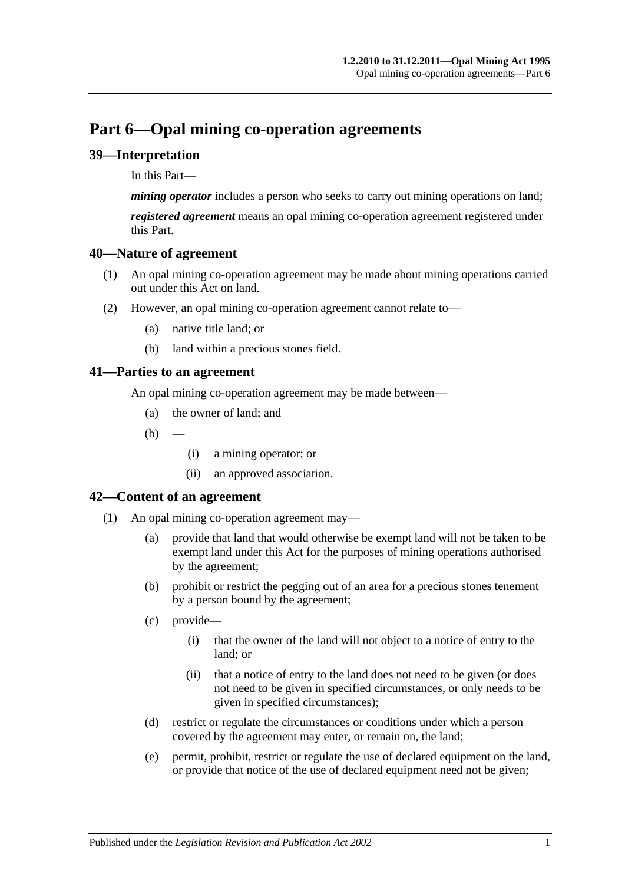## <span id="page-34-0"></span>**Part 6—Opal mining co-operation agreements**

## <span id="page-34-1"></span>**39—Interpretation**

In this Part—

*mining operator* includes a person who seeks to carry out mining operations on land;

*registered agreement* means an opal mining co-operation agreement registered under this Part.

## <span id="page-34-2"></span>**40—Nature of agreement**

- (1) An opal mining co-operation agreement may be made about mining operations carried out under this Act on land.
- (2) However, an opal mining co-operation agreement cannot relate to—
	- (a) native title land; or
	- (b) land within a precious stones field.

## <span id="page-34-3"></span>**41—Parties to an agreement**

An opal mining co-operation agreement may be made between—

- (a) the owner of land; and
- $(b)$
- (i) a mining operator; or
- (ii) an approved association.

## <span id="page-34-4"></span>**42—Content of an agreement**

- (1) An opal mining co-operation agreement may—
	- (a) provide that land that would otherwise be exempt land will not be taken to be exempt land under this Act for the purposes of mining operations authorised by the agreement;
	- (b) prohibit or restrict the pegging out of an area for a precious stones tenement by a person bound by the agreement;
	- (c) provide—
		- (i) that the owner of the land will not object to a notice of entry to the land; or
		- (ii) that a notice of entry to the land does not need to be given (or does not need to be given in specified circumstances, or only needs to be given in specified circumstances);
	- (d) restrict or regulate the circumstances or conditions under which a person covered by the agreement may enter, or remain on, the land;
	- (e) permit, prohibit, restrict or regulate the use of declared equipment on the land, or provide that notice of the use of declared equipment need not be given;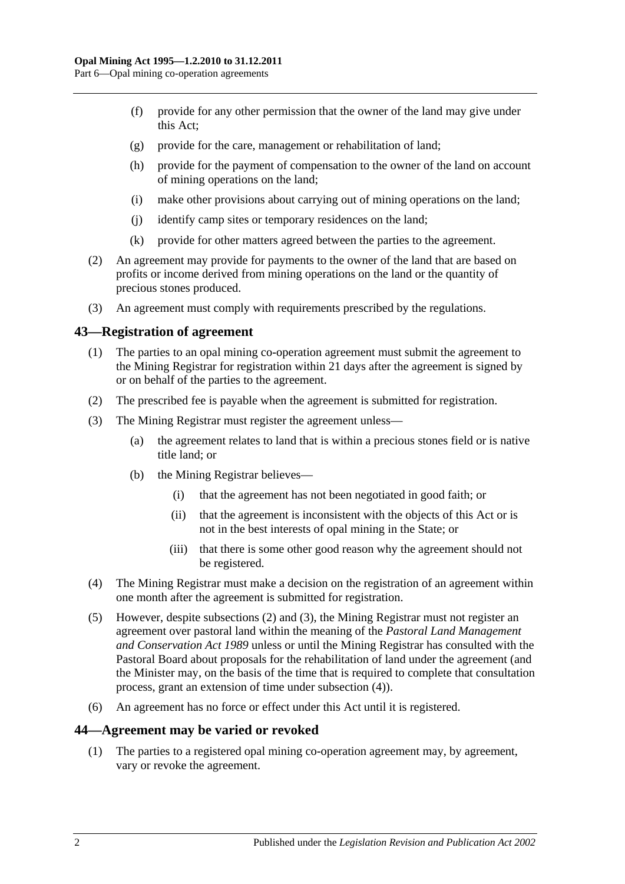- (f) provide for any other permission that the owner of the land may give under this Act;
- (g) provide for the care, management or rehabilitation of land;
- (h) provide for the payment of compensation to the owner of the land on account of mining operations on the land;
- (i) make other provisions about carrying out of mining operations on the land;
- (j) identify camp sites or temporary residences on the land;
- (k) provide for other matters agreed between the parties to the agreement.
- (2) An agreement may provide for payments to the owner of the land that are based on profits or income derived from mining operations on the land or the quantity of precious stones produced.
- (3) An agreement must comply with requirements prescribed by the regulations.

#### <span id="page-35-0"></span>**43—Registration of agreement**

- (1) The parties to an opal mining co-operation agreement must submit the agreement to the Mining Registrar for registration within 21 days after the agreement is signed by or on behalf of the parties to the agreement.
- <span id="page-35-2"></span>(2) The prescribed fee is payable when the agreement is submitted for registration.
- <span id="page-35-3"></span>(3) The Mining Registrar must register the agreement unless—
	- (a) the agreement relates to land that is within a precious stones field or is native title land; or
	- (b) the Mining Registrar believes—
		- (i) that the agreement has not been negotiated in good faith; or
		- (ii) that the agreement is inconsistent with the objects of this Act or is not in the best interests of opal mining in the State; or
		- (iii) that there is some other good reason why the agreement should not be registered.
- <span id="page-35-4"></span>(4) The Mining Registrar must make a decision on the registration of an agreement within one month after the agreement is submitted for registration.
- (5) However, despite [subsections \(2\)](#page-35-2) and [\(3\),](#page-35-3) the Mining Registrar must not register an agreement over pastoral land within the meaning of the *[Pastoral Land Management](http://www.legislation.sa.gov.au/index.aspx?action=legref&type=act&legtitle=Pastoral%20Land%20Management%20and%20Conservation%20Act%201989)  [and Conservation Act](http://www.legislation.sa.gov.au/index.aspx?action=legref&type=act&legtitle=Pastoral%20Land%20Management%20and%20Conservation%20Act%201989) 1989* unless or until the Mining Registrar has consulted with the Pastoral Board about proposals for the rehabilitation of land under the agreement (and the Minister may, on the basis of the time that is required to complete that consultation process, grant an extension of time under [subsection](#page-35-4) (4)).
- (6) An agreement has no force or effect under this Act until it is registered.

#### <span id="page-35-1"></span>**44—Agreement may be varied or revoked**

(1) The parties to a registered opal mining co-operation agreement may, by agreement, vary or revoke the agreement.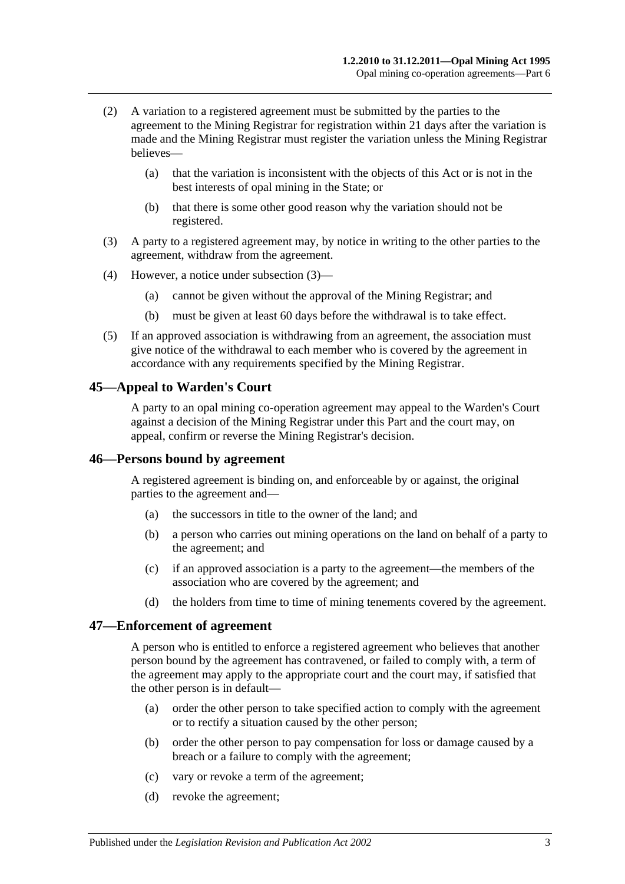- (2) A variation to a registered agreement must be submitted by the parties to the agreement to the Mining Registrar for registration within 21 days after the variation is made and the Mining Registrar must register the variation unless the Mining Registrar believes—
	- (a) that the variation is inconsistent with the objects of this Act or is not in the best interests of opal mining in the State; or
	- (b) that there is some other good reason why the variation should not be registered.
- <span id="page-36-3"></span>(3) A party to a registered agreement may, by notice in writing to the other parties to the agreement, withdraw from the agreement.
- (4) However, a notice under [subsection](#page-36-3) (3)—
	- (a) cannot be given without the approval of the Mining Registrar; and
	- (b) must be given at least 60 days before the withdrawal is to take effect.
- (5) If an approved association is withdrawing from an agreement, the association must give notice of the withdrawal to each member who is covered by the agreement in accordance with any requirements specified by the Mining Registrar.

#### <span id="page-36-0"></span>**45—Appeal to Warden's Court**

A party to an opal mining co-operation agreement may appeal to the Warden's Court against a decision of the Mining Registrar under this Part and the court may, on appeal, confirm or reverse the Mining Registrar's decision.

#### <span id="page-36-1"></span>**46—Persons bound by agreement**

A registered agreement is binding on, and enforceable by or against, the original parties to the agreement and—

- (a) the successors in title to the owner of the land; and
- (b) a person who carries out mining operations on the land on behalf of a party to the agreement; and
- (c) if an approved association is a party to the agreement—the members of the association who are covered by the agreement; and
- (d) the holders from time to time of mining tenements covered by the agreement.

#### <span id="page-36-2"></span>**47—Enforcement of agreement**

A person who is entitled to enforce a registered agreement who believes that another person bound by the agreement has contravened, or failed to comply with, a term of the agreement may apply to the appropriate court and the court may, if satisfied that the other person is in default—

- (a) order the other person to take specified action to comply with the agreement or to rectify a situation caused by the other person;
- (b) order the other person to pay compensation for loss or damage caused by a breach or a failure to comply with the agreement;
- (c) vary or revoke a term of the agreement;
- (d) revoke the agreement;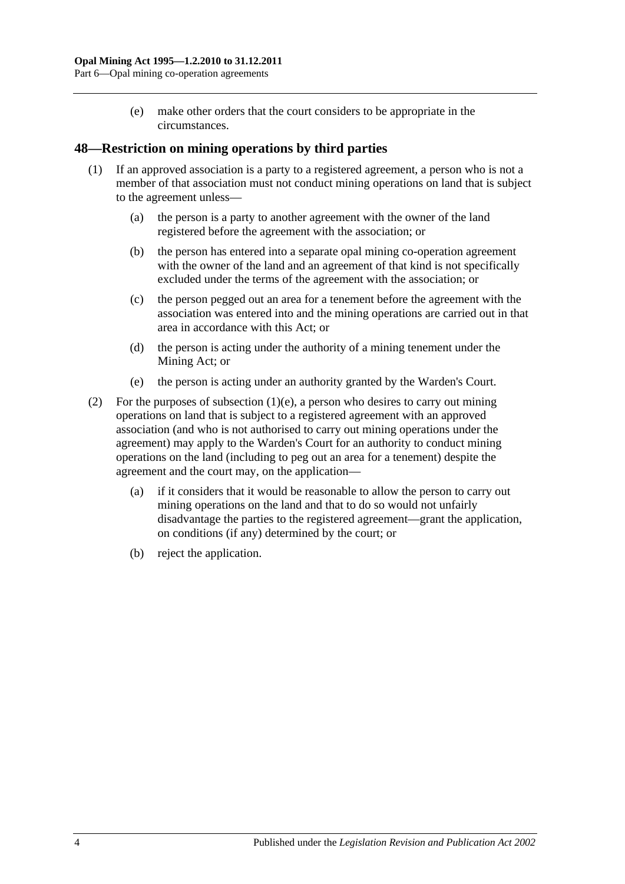(e) make other orders that the court considers to be appropriate in the circumstances.

## <span id="page-37-0"></span>**48—Restriction on mining operations by third parties**

- (1) If an approved association is a party to a registered agreement, a person who is not a member of that association must not conduct mining operations on land that is subject to the agreement unless—
	- (a) the person is a party to another agreement with the owner of the land registered before the agreement with the association; or
	- (b) the person has entered into a separate opal mining co-operation agreement with the owner of the land and an agreement of that kind is not specifically excluded under the terms of the agreement with the association; or
	- (c) the person pegged out an area for a tenement before the agreement with the association was entered into and the mining operations are carried out in that area in accordance with this Act; or
	- (d) the person is acting under the authority of a mining tenement under the Mining Act; or
	- (e) the person is acting under an authority granted by the Warden's Court.
- <span id="page-37-1"></span>(2) For the purposes of [subsection](#page-37-1)  $(1)(e)$ , a person who desires to carry out mining operations on land that is subject to a registered agreement with an approved association (and who is not authorised to carry out mining operations under the agreement) may apply to the Warden's Court for an authority to conduct mining operations on the land (including to peg out an area for a tenement) despite the agreement and the court may, on the application—
	- (a) if it considers that it would be reasonable to allow the person to carry out mining operations on the land and that to do so would not unfairly disadvantage the parties to the registered agreement—grant the application, on conditions (if any) determined by the court; or
	- (b) reject the application.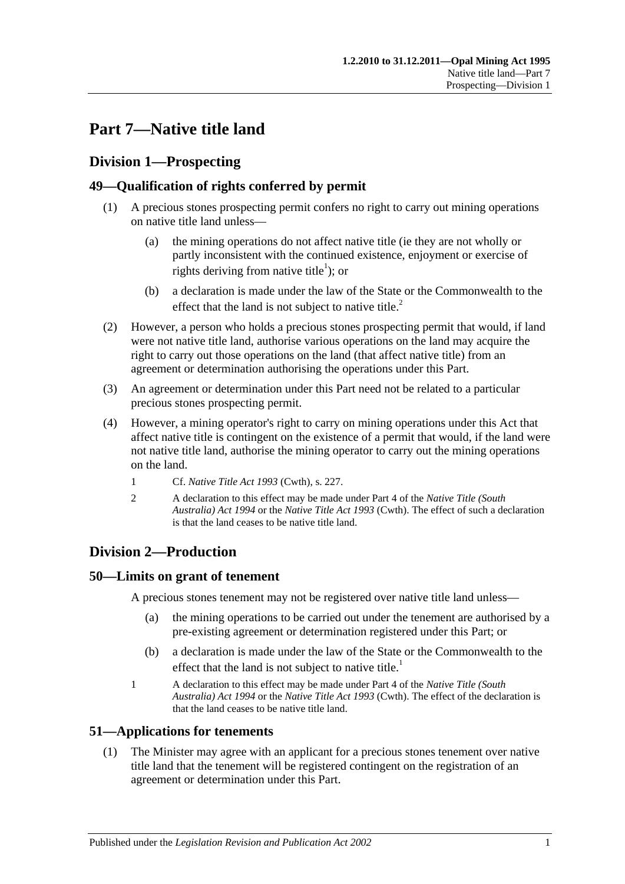## <span id="page-38-0"></span>**Part 7—Native title land**

## <span id="page-38-1"></span>**Division 1—Prospecting**

## <span id="page-38-2"></span>**49—Qualification of rights conferred by permit**

- (1) A precious stones prospecting permit confers no right to carry out mining operations on native title land unless—
	- (a) the mining operations do not affect native title (ie they are not wholly or partly inconsistent with the continued existence, enjoyment or exercise of rights deriving from native title<sup>1</sup>); or
	- (b) a declaration is made under the law of the State or the Commonwealth to the effect that the land is not subject to native title.<sup>2</sup>
- (2) However, a person who holds a precious stones prospecting permit that would, if land were not native title land, authorise various operations on the land may acquire the right to carry out those operations on the land (that affect native title) from an agreement or determination authorising the operations under this Part.
- (3) An agreement or determination under this Part need not be related to a particular precious stones prospecting permit.
- (4) However, a mining operator's right to carry on mining operations under this Act that affect native title is contingent on the existence of a permit that would, if the land were not native title land, authorise the mining operator to carry out the mining operations on the land.
	- 1 Cf. *Native Title Act 1993* (Cwth), s. 227.
	- 2 A declaration to this effect may be made under Part 4 of the *[Native Title \(South](http://www.legislation.sa.gov.au/index.aspx?action=legref&type=act&legtitle=Native%20Title%20(South%20Australia)%20Act%201994)  [Australia\) Act](http://www.legislation.sa.gov.au/index.aspx?action=legref&type=act&legtitle=Native%20Title%20(South%20Australia)%20Act%201994) 1994* or the *Native Title Act 1993* (Cwth). The effect of such a declaration is that the land ceases to be native title land.

## <span id="page-38-3"></span>**Division 2—Production**

## <span id="page-38-4"></span>**50—Limits on grant of tenement**

A precious stones tenement may not be registered over native title land unless—

- (a) the mining operations to be carried out under the tenement are authorised by a pre-existing agreement or determination registered under this Part; or
- (b) a declaration is made under the law of the State or the Commonwealth to the effect that the land is not subject to native title.<sup>1</sup>
- 1 A declaration to this effect may be made under Part 4 of the *[Native Title \(South](http://www.legislation.sa.gov.au/index.aspx?action=legref&type=act&legtitle=Native%20Title%20(South%20Australia)%20Act%201994)  [Australia\) Act](http://www.legislation.sa.gov.au/index.aspx?action=legref&type=act&legtitle=Native%20Title%20(South%20Australia)%20Act%201994) 1994* or the *Native Title Act 1993* (Cwth). The effect of the declaration is that the land ceases to be native title land.

## <span id="page-38-5"></span>**51—Applications for tenements**

(1) The Minister may agree with an applicant for a precious stones tenement over native title land that the tenement will be registered contingent on the registration of an agreement or determination under this Part.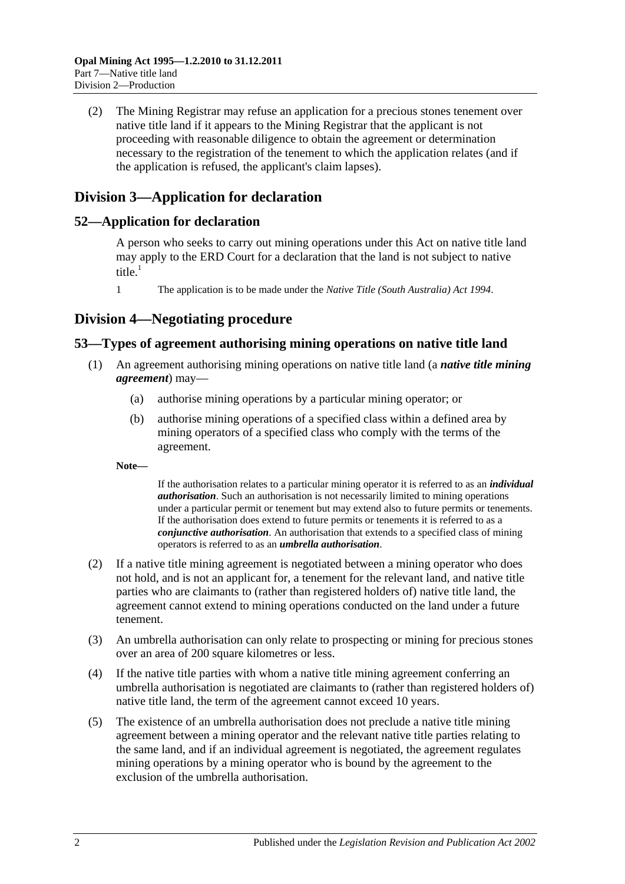(2) The Mining Registrar may refuse an application for a precious stones tenement over native title land if it appears to the Mining Registrar that the applicant is not proceeding with reasonable diligence to obtain the agreement or determination necessary to the registration of the tenement to which the application relates (and if the application is refused, the applicant's claim lapses).

## <span id="page-39-0"></span>**Division 3—Application for declaration**

## <span id="page-39-1"></span>**52—Application for declaration**

A person who seeks to carry out mining operations under this Act on native title land may apply to the ERD Court for a declaration that the land is not subject to native title $\frac{1}{1}$ 

1 The application is to be made under the *[Native Title \(South Australia\) Act](http://www.legislation.sa.gov.au/index.aspx?action=legref&type=act&legtitle=Native%20Title%20(South%20Australia)%20Act%201994) 1994*.

## <span id="page-39-2"></span>**Division 4—Negotiating procedure**

## <span id="page-39-4"></span><span id="page-39-3"></span>**53—Types of agreement authorising mining operations on native title land**

- (1) An agreement authorising mining operations on native title land (a *native title mining agreement*) may—
	- (a) authorise mining operations by a particular mining operator; or
	- (b) authorise mining operations of a specified class within a defined area by mining operators of a specified class who comply with the terms of the agreement.

**Note—**

If the authorisation relates to a particular mining operator it is referred to as an *individual authorisation*. Such an authorisation is not necessarily limited to mining operations under a particular permit or tenement but may extend also to future permits or tenements. If the authorisation does extend to future permits or tenements it is referred to as a *conjunctive authorisation*. An authorisation that extends to a specified class of mining operators is referred to as an *umbrella authorisation*.

- <span id="page-39-5"></span>(2) If a native title mining agreement is negotiated between a mining operator who does not hold, and is not an applicant for, a tenement for the relevant land, and native title parties who are claimants to (rather than registered holders of) native title land, the agreement cannot extend to mining operations conducted on the land under a future tenement.
- <span id="page-39-6"></span>(3) An umbrella authorisation can only relate to prospecting or mining for precious stones over an area of 200 square kilometres or less.
- <span id="page-39-7"></span>(4) If the native title parties with whom a native title mining agreement conferring an umbrella authorisation is negotiated are claimants to (rather than registered holders of) native title land, the term of the agreement cannot exceed 10 years.
- (5) The existence of an umbrella authorisation does not preclude a native title mining agreement between a mining operator and the relevant native title parties relating to the same land, and if an individual agreement is negotiated, the agreement regulates mining operations by a mining operator who is bound by the agreement to the exclusion of the umbrella authorisation.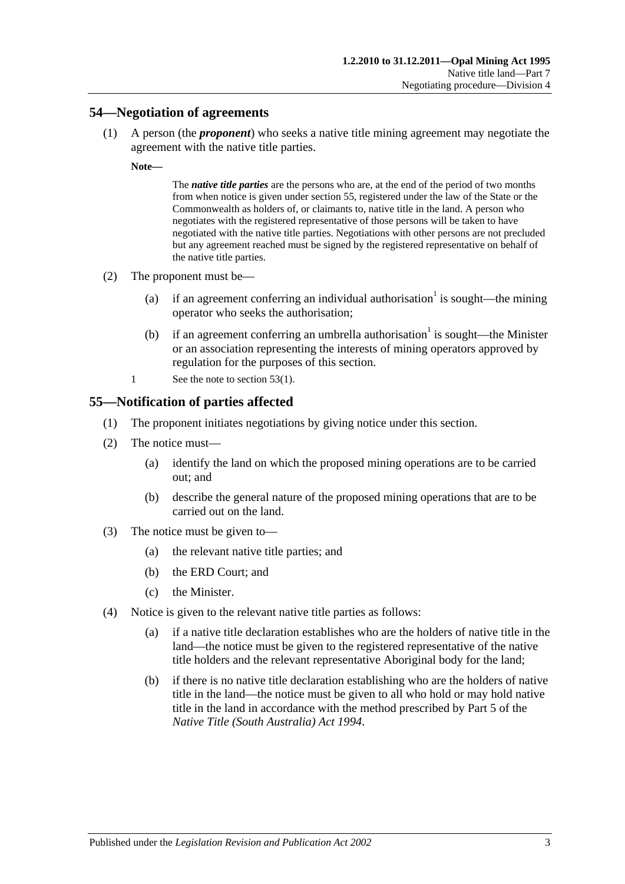#### <span id="page-40-2"></span><span id="page-40-0"></span>**54—Negotiation of agreements**

(1) A person (the *proponent*) who seeks a native title mining agreement may negotiate the agreement with the native title parties.

**Note—**

The *native title parties* are the persons who are, at the end of the period of two months from when notice is given unde[r section](#page-40-1) 55, registered under the law of the State or the Commonwealth as holders of, or claimants to, native title in the land. A person who negotiates with the registered representative of those persons will be taken to have negotiated with the native title parties. Negotiations with other persons are not precluded but any agreement reached must be signed by the registered representative on behalf of the native title parties.

- (2) The proponent must be—
	- (a) if an agreement conferring an individual authorisation<sup>1</sup> is sought—the mining operator who seeks the authorisation;
	- (b) if an agreement conferring an umbrella authorisation<sup>1</sup> is sought—the Minister or an association representing the interests of mining operators approved by regulation for the purposes of this section.
	- 1 See the note to [section](#page-39-4) 53(1).

## <span id="page-40-1"></span>**55—Notification of parties affected**

- (1) The proponent initiates negotiations by giving notice under this section.
- (2) The notice must—
	- (a) identify the land on which the proposed mining operations are to be carried out; and
	- (b) describe the general nature of the proposed mining operations that are to be carried out on the land.
- (3) The notice must be given to—
	- (a) the relevant native title parties; and
	- (b) the ERD Court; and
	- (c) the Minister.
- (4) Notice is given to the relevant native title parties as follows:
	- (a) if a native title declaration establishes who are the holders of native title in the land—the notice must be given to the registered representative of the native title holders and the relevant representative Aboriginal body for the land;
	- (b) if there is no native title declaration establishing who are the holders of native title in the land—the notice must be given to all who hold or may hold native title in the land in accordance with the method prescribed by Part 5 of the *[Native Title \(South Australia\) Act](http://www.legislation.sa.gov.au/index.aspx?action=legref&type=act&legtitle=Native%20Title%20(South%20Australia)%20Act%201994) 1994*.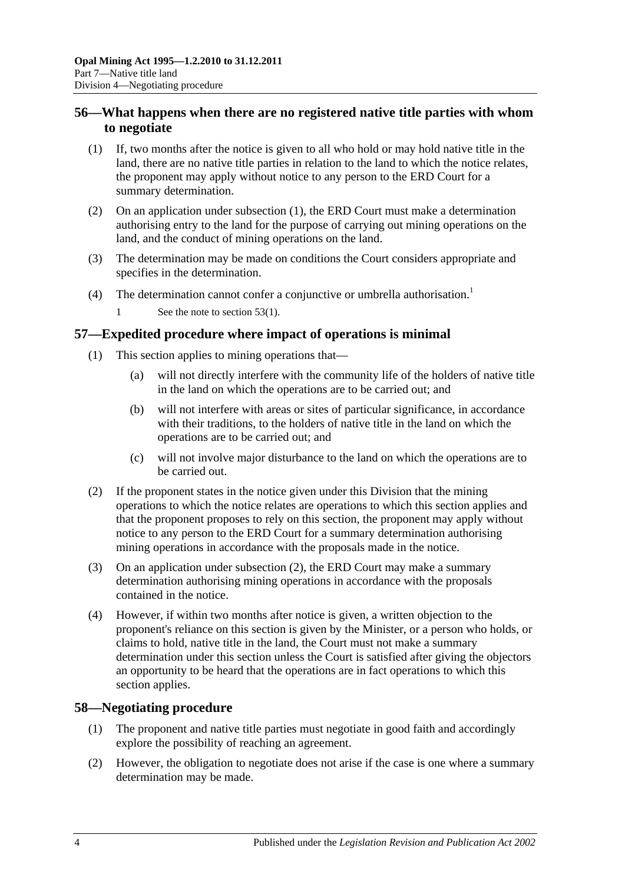## <span id="page-41-0"></span>**56—What happens when there are no registered native title parties with whom to negotiate**

- <span id="page-41-3"></span>(1) If, two months after the notice is given to all who hold or may hold native title in the land, there are no native title parties in relation to the land to which the notice relates, the proponent may apply without notice to any person to the ERD Court for a summary determination.
- (2) On an application under [subsection](#page-41-3) (1), the ERD Court must make a determination authorising entry to the land for the purpose of carrying out mining operations on the land, and the conduct of mining operations on the land.
- (3) The determination may be made on conditions the Court considers appropriate and specifies in the determination.
- (4) The determination cannot confer a conjunctive or umbrella authorisation.<sup>1</sup>
	- 1 See the note to [section](#page-39-4) 53(1).

## <span id="page-41-1"></span>**57—Expedited procedure where impact of operations is minimal**

- (1) This section applies to mining operations that—
	- (a) will not directly interfere with the community life of the holders of native title in the land on which the operations are to be carried out; and
	- (b) will not interfere with areas or sites of particular significance, in accordance with their traditions, to the holders of native title in the land on which the operations are to be carried out; and
	- (c) will not involve major disturbance to the land on which the operations are to be carried out.
- <span id="page-41-4"></span>(2) If the proponent states in the notice given under this Division that the mining operations to which the notice relates are operations to which this section applies and that the proponent proposes to rely on this section, the proponent may apply without notice to any person to the ERD Court for a summary determination authorising mining operations in accordance with the proposals made in the notice.
- (3) On an application under [subsection](#page-41-4) (2), the ERD Court may make a summary determination authorising mining operations in accordance with the proposals contained in the notice.
- (4) However, if within two months after notice is given, a written objection to the proponent's reliance on this section is given by the Minister, or a person who holds, or claims to hold, native title in the land, the Court must not make a summary determination under this section unless the Court is satisfied after giving the objectors an opportunity to be heard that the operations are in fact operations to which this section applies.

## <span id="page-41-2"></span>**58—Negotiating procedure**

- (1) The proponent and native title parties must negotiate in good faith and accordingly explore the possibility of reaching an agreement.
- (2) However, the obligation to negotiate does not arise if the case is one where a summary determination may be made.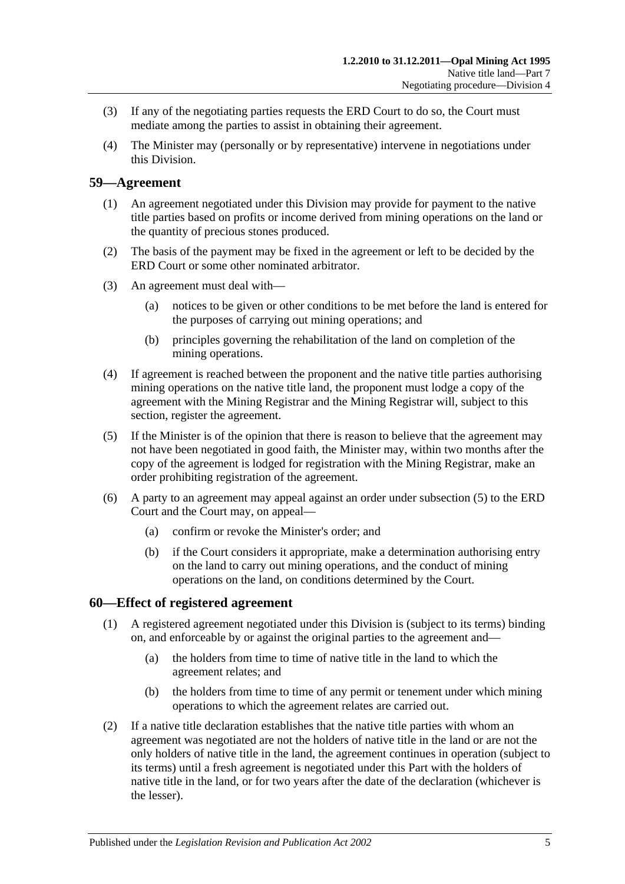- (3) If any of the negotiating parties requests the ERD Court to do so, the Court must mediate among the parties to assist in obtaining their agreement.
- (4) The Minister may (personally or by representative) intervene in negotiations under this Division.

## <span id="page-42-0"></span>**59—Agreement**

- (1) An agreement negotiated under this Division may provide for payment to the native title parties based on profits or income derived from mining operations on the land or the quantity of precious stones produced.
- (2) The basis of the payment may be fixed in the agreement or left to be decided by the ERD Court or some other nominated arbitrator.
- (3) An agreement must deal with—
	- (a) notices to be given or other conditions to be met before the land is entered for the purposes of carrying out mining operations; and
	- (b) principles governing the rehabilitation of the land on completion of the mining operations.
- (4) If agreement is reached between the proponent and the native title parties authorising mining operations on the native title land, the proponent must lodge a copy of the agreement with the Mining Registrar and the Mining Registrar will, subject to this section, register the agreement.
- <span id="page-42-2"></span>(5) If the Minister is of the opinion that there is reason to believe that the agreement may not have been negotiated in good faith, the Minister may, within two months after the copy of the agreement is lodged for registration with the Mining Registrar, make an order prohibiting registration of the agreement.
- (6) A party to an agreement may appeal against an order under [subsection](#page-42-2) (5) to the ERD Court and the Court may, on appeal—
	- (a) confirm or revoke the Minister's order; and
	- (b) if the Court considers it appropriate, make a determination authorising entry on the land to carry out mining operations, and the conduct of mining operations on the land, on conditions determined by the Court.

## <span id="page-42-1"></span>**60—Effect of registered agreement**

- (1) A registered agreement negotiated under this Division is (subject to its terms) binding on, and enforceable by or against the original parties to the agreement and—
	- (a) the holders from time to time of native title in the land to which the agreement relates; and
	- (b) the holders from time to time of any permit or tenement under which mining operations to which the agreement relates are carried out.
- (2) If a native title declaration establishes that the native title parties with whom an agreement was negotiated are not the holders of native title in the land or are not the only holders of native title in the land, the agreement continues in operation (subject to its terms) until a fresh agreement is negotiated under this Part with the holders of native title in the land, or for two years after the date of the declaration (whichever is the lesser).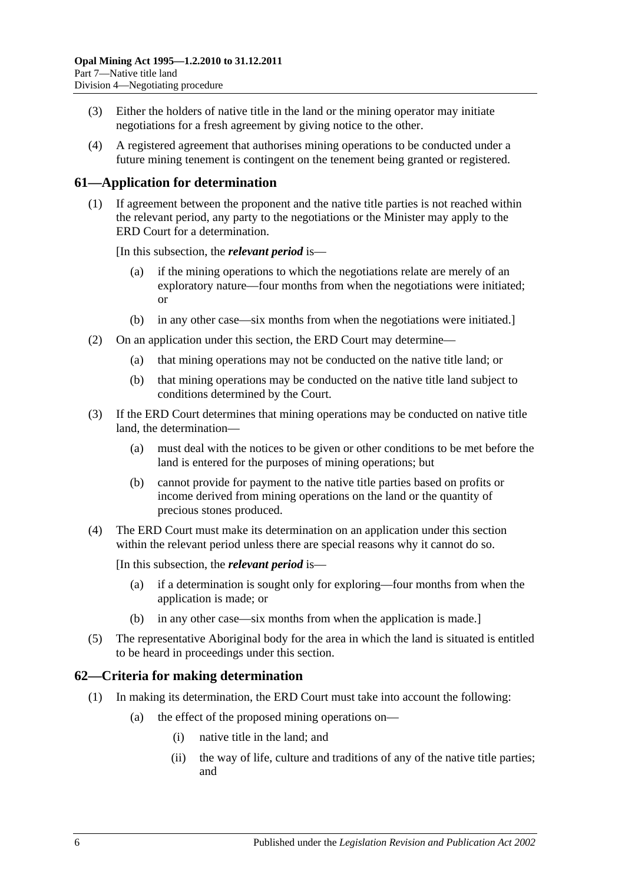- (3) Either the holders of native title in the land or the mining operator may initiate negotiations for a fresh agreement by giving notice to the other.
- (4) A registered agreement that authorises mining operations to be conducted under a future mining tenement is contingent on the tenement being granted or registered.

## <span id="page-43-0"></span>**61—Application for determination**

(1) If agreement between the proponent and the native title parties is not reached within the relevant period, any party to the negotiations or the Minister may apply to the ERD Court for a determination.

[In this subsection, the *relevant period* is—

- if the mining operations to which the negotiations relate are merely of an exploratory nature—four months from when the negotiations were initiated; or
- (b) in any other case—six months from when the negotiations were initiated.]
- (2) On an application under this section, the ERD Court may determine—
	- (a) that mining operations may not be conducted on the native title land; or
	- (b) that mining operations may be conducted on the native title land subject to conditions determined by the Court.
- (3) If the ERD Court determines that mining operations may be conducted on native title land, the determination—
	- (a) must deal with the notices to be given or other conditions to be met before the land is entered for the purposes of mining operations; but
	- (b) cannot provide for payment to the native title parties based on profits or income derived from mining operations on the land or the quantity of precious stones produced.
- (4) The ERD Court must make its determination on an application under this section within the relevant period unless there are special reasons why it cannot do so.

[In this subsection, the *relevant period* is—

- (a) if a determination is sought only for exploring—four months from when the application is made; or
- (b) in any other case—six months from when the application is made.]
- (5) The representative Aboriginal body for the area in which the land is situated is entitled to be heard in proceedings under this section.

## <span id="page-43-1"></span>**62—Criteria for making determination**

- (1) In making its determination, the ERD Court must take into account the following:
	- (a) the effect of the proposed mining operations on—
		- (i) native title in the land; and
		- (ii) the way of life, culture and traditions of any of the native title parties; and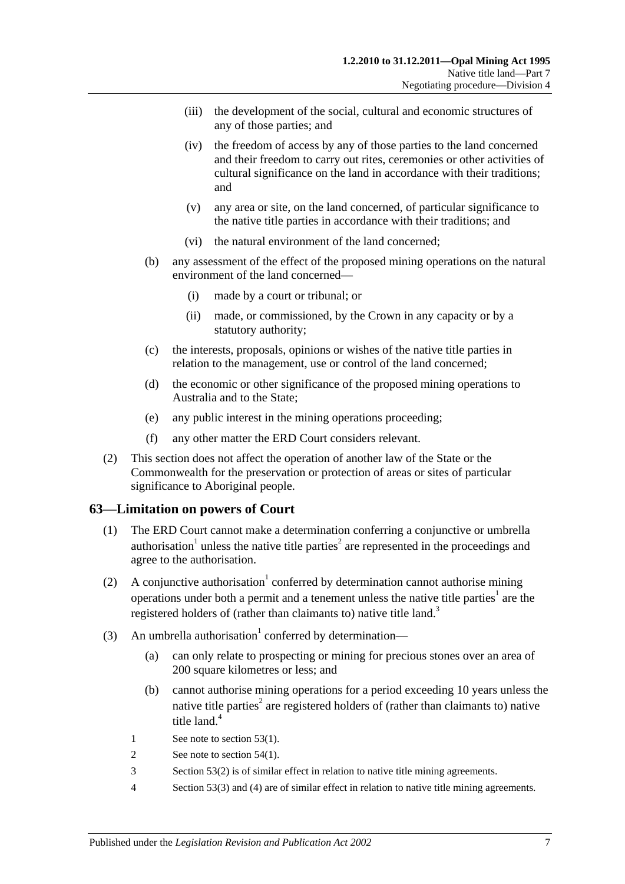- (iii) the development of the social, cultural and economic structures of any of those parties; and
- (iv) the freedom of access by any of those parties to the land concerned and their freedom to carry out rites, ceremonies or other activities of cultural significance on the land in accordance with their traditions; and
- (v) any area or site, on the land concerned, of particular significance to the native title parties in accordance with their traditions; and
- (vi) the natural environment of the land concerned;
- (b) any assessment of the effect of the proposed mining operations on the natural environment of the land concerned—
	- (i) made by a court or tribunal; or
	- (ii) made, or commissioned, by the Crown in any capacity or by a statutory authority;
- (c) the interests, proposals, opinions or wishes of the native title parties in relation to the management, use or control of the land concerned;
- (d) the economic or other significance of the proposed mining operations to Australia and to the State;
- (e) any public interest in the mining operations proceeding;
- (f) any other matter the ERD Court considers relevant.
- (2) This section does not affect the operation of another law of the State or the Commonwealth for the preservation or protection of areas or sites of particular significance to Aboriginal people.

## <span id="page-44-0"></span>**63—Limitation on powers of Court**

- (1) The ERD Court cannot make a determination conferring a conjunctive or umbrella authorisation<sup>1</sup> unless the native title parties<sup>2</sup> are represented in the proceedings and agree to the authorisation.
- (2) A conjunctive authorisation<sup>1</sup> conferred by determination cannot authorise mining operations under both a permit and a tenement unless the native title parties<sup>1</sup> are the registered holders of (rather than claimants to) native title land.<sup>3</sup>
- (3) An umbrella authorisation<sup>1</sup> conferred by determination—
	- (a) can only relate to prospecting or mining for precious stones over an area of 200 square kilometres or less; and
	- (b) cannot authorise mining operations for a period exceeding 10 years unless the native title parties<sup>2</sup> are registered holders of (rather than claimants to) native title land.<sup>4</sup>
	- 1 See note to [section](#page-39-4) 53(1).
	- 2 See note to [section](#page-40-2) 54(1).
	- 3 [Section](#page-39-5) 53(2) is of similar effect in relation to native title mining agreements.
	- 4 [Section](#page-39-6) 53(3) and [\(4\)](#page-39-7) are of similar effect in relation to native title mining agreements.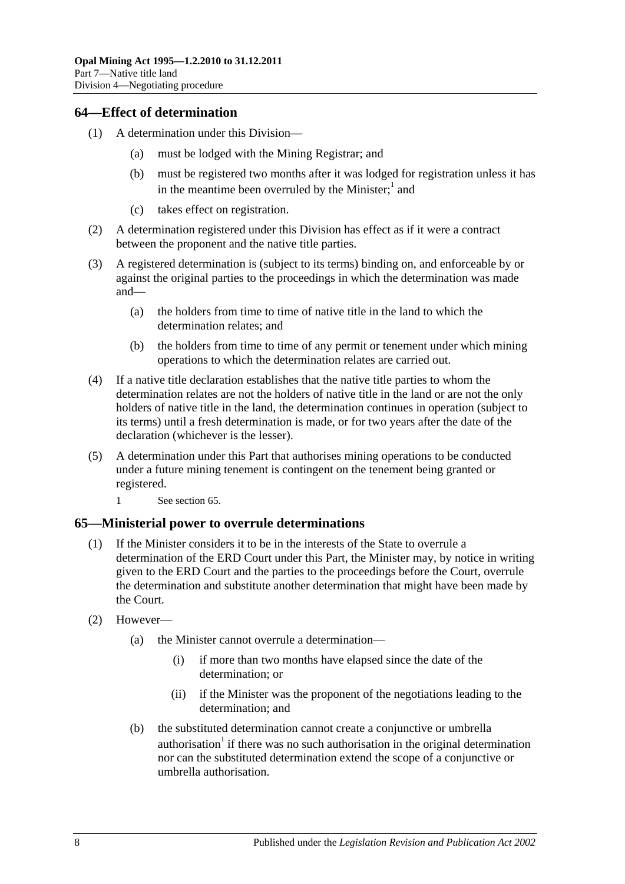## <span id="page-45-0"></span>**64—Effect of determination**

- (1) A determination under this Division—
	- (a) must be lodged with the Mining Registrar; and
	- (b) must be registered two months after it was lodged for registration unless it has in the meantime been overruled by the Minister;<sup>1</sup> and
	- (c) takes effect on registration.
- (2) A determination registered under this Division has effect as if it were a contract between the proponent and the native title parties.
- (3) A registered determination is (subject to its terms) binding on, and enforceable by or against the original parties to the proceedings in which the determination was made and—
	- (a) the holders from time to time of native title in the land to which the determination relates; and
	- (b) the holders from time to time of any permit or tenement under which mining operations to which the determination relates are carried out.
- (4) If a native title declaration establishes that the native title parties to whom the determination relates are not the holders of native title in the land or are not the only holders of native title in the land, the determination continues in operation (subject to its terms) until a fresh determination is made, or for two years after the date of the declaration (whichever is the lesser).
- (5) A determination under this Part that authorises mining operations to be conducted under a future mining tenement is contingent on the tenement being granted or registered.
	- 1 See [section](#page-45-1) 65.

#### <span id="page-45-1"></span>**65—Ministerial power to overrule determinations**

- (1) If the Minister considers it to be in the interests of the State to overrule a determination of the ERD Court under this Part, the Minister may, by notice in writing given to the ERD Court and the parties to the proceedings before the Court, overrule the determination and substitute another determination that might have been made by the Court.
- (2) However—
	- (a) the Minister cannot overrule a determination—
		- (i) if more than two months have elapsed since the date of the determination; or
		- (ii) if the Minister was the proponent of the negotiations leading to the determination; and
	- (b) the substituted determination cannot create a conjunctive or umbrella authorisation<sup>1</sup> if there was no such authorisation in the original determination nor can the substituted determination extend the scope of a conjunctive or umbrella authorisation.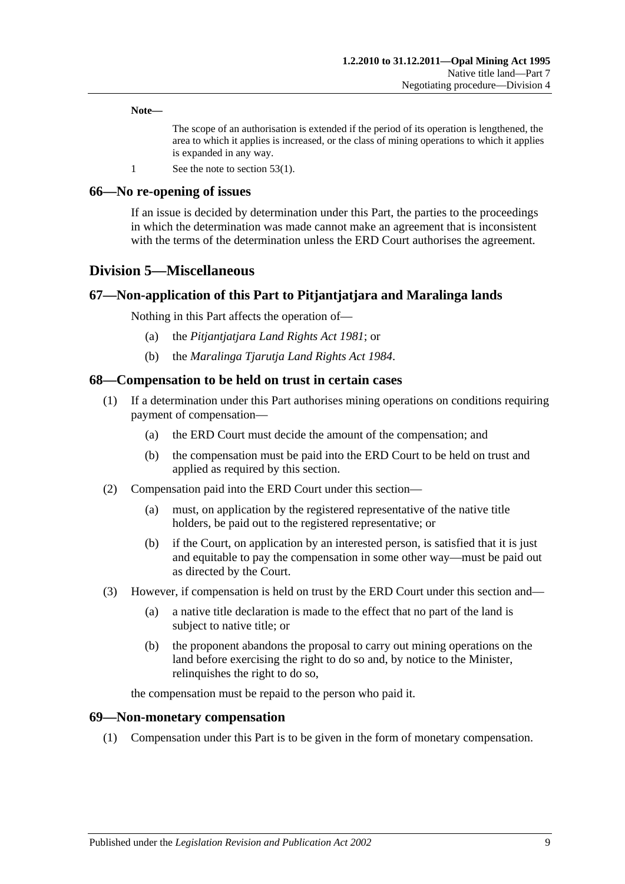**Note—**

The scope of an authorisation is extended if the period of its operation is lengthened, the area to which it applies is increased, or the class of mining operations to which it applies is expanded in any way.

1 See the note to [section](#page-39-4) 53(1).

#### <span id="page-46-0"></span>**66—No re-opening of issues**

If an issue is decided by determination under this Part, the parties to the proceedings in which the determination was made cannot make an agreement that is inconsistent with the terms of the determination unless the ERD Court authorises the agreement.

## <span id="page-46-1"></span>**Division 5—Miscellaneous**

#### <span id="page-46-2"></span>**67—Non-application of this Part to Pitjantjatjara and Maralinga lands**

Nothing in this Part affects the operation of—

- (a) the *[Pitjantjatjara Land Rights Act](http://www.legislation.sa.gov.au/index.aspx?action=legref&type=act&legtitle=Pitjantjatjara%20Land%20Rights%20Act%201981) 1981*; or
- (b) the *[Maralinga Tjarutja Land Rights Act](http://www.legislation.sa.gov.au/index.aspx?action=legref&type=act&legtitle=Maralinga%20Tjarutja%20Land%20Rights%20Act%201984) 1984*.

#### <span id="page-46-3"></span>**68—Compensation to be held on trust in certain cases**

- (1) If a determination under this Part authorises mining operations on conditions requiring payment of compensation—
	- (a) the ERD Court must decide the amount of the compensation; and
	- (b) the compensation must be paid into the ERD Court to be held on trust and applied as required by this section.
- (2) Compensation paid into the ERD Court under this section—
	- (a) must, on application by the registered representative of the native title holders, be paid out to the registered representative; or
	- (b) if the Court, on application by an interested person, is satisfied that it is just and equitable to pay the compensation in some other way—must be paid out as directed by the Court.
- (3) However, if compensation is held on trust by the ERD Court under this section and—
	- (a) a native title declaration is made to the effect that no part of the land is subject to native title; or
	- (b) the proponent abandons the proposal to carry out mining operations on the land before exercising the right to do so and, by notice to the Minister, relinquishes the right to do so,

the compensation must be repaid to the person who paid it.

#### <span id="page-46-4"></span>**69—Non-monetary compensation**

(1) Compensation under this Part is to be given in the form of monetary compensation.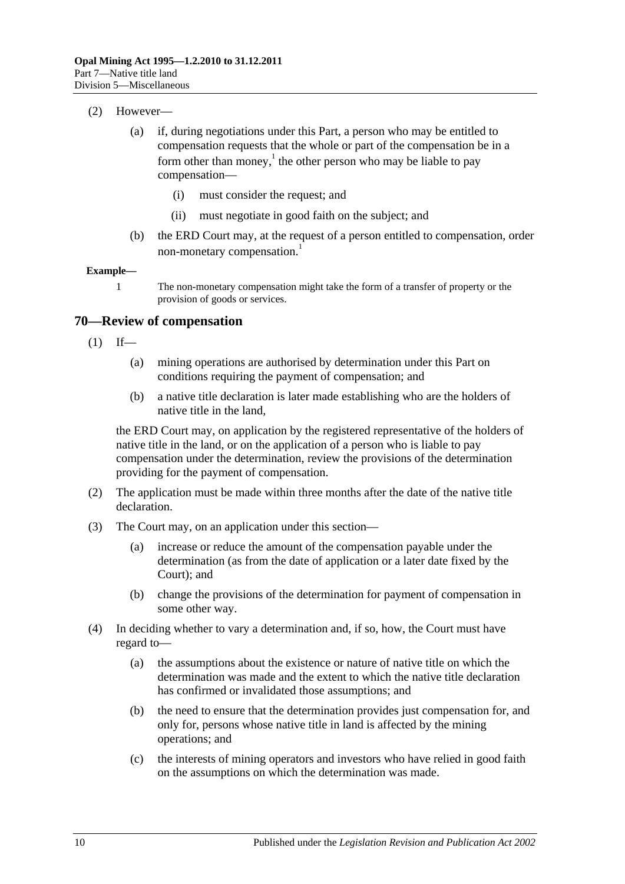- (2) However—
	- (a) if, during negotiations under this Part, a person who may be entitled to compensation requests that the whole or part of the compensation be in a form other than money,<sup>1</sup> the other person who may be liable to pay compensation—
		- (i) must consider the request; and
		- (ii) must negotiate in good faith on the subject; and
	- (b) the ERD Court may, at the request of a person entitled to compensation, order non-monetary compensation.<sup>1</sup>

#### **Example—**

1 The non-monetary compensation might take the form of a transfer of property or the provision of goods or services.

#### <span id="page-47-0"></span>**70—Review of compensation**

- $(1)$  If—
	- (a) mining operations are authorised by determination under this Part on conditions requiring the payment of compensation; and
	- (b) a native title declaration is later made establishing who are the holders of native title in the land,

the ERD Court may, on application by the registered representative of the holders of native title in the land, or on the application of a person who is liable to pay compensation under the determination, review the provisions of the determination providing for the payment of compensation.

- (2) The application must be made within three months after the date of the native title declaration.
- (3) The Court may, on an application under this section—
	- (a) increase or reduce the amount of the compensation payable under the determination (as from the date of application or a later date fixed by the Court); and
	- (b) change the provisions of the determination for payment of compensation in some other way.
- (4) In deciding whether to vary a determination and, if so, how, the Court must have regard to—
	- (a) the assumptions about the existence or nature of native title on which the determination was made and the extent to which the native title declaration has confirmed or invalidated those assumptions; and
	- (b) the need to ensure that the determination provides just compensation for, and only for, persons whose native title in land is affected by the mining operations; and
	- (c) the interests of mining operators and investors who have relied in good faith on the assumptions on which the determination was made.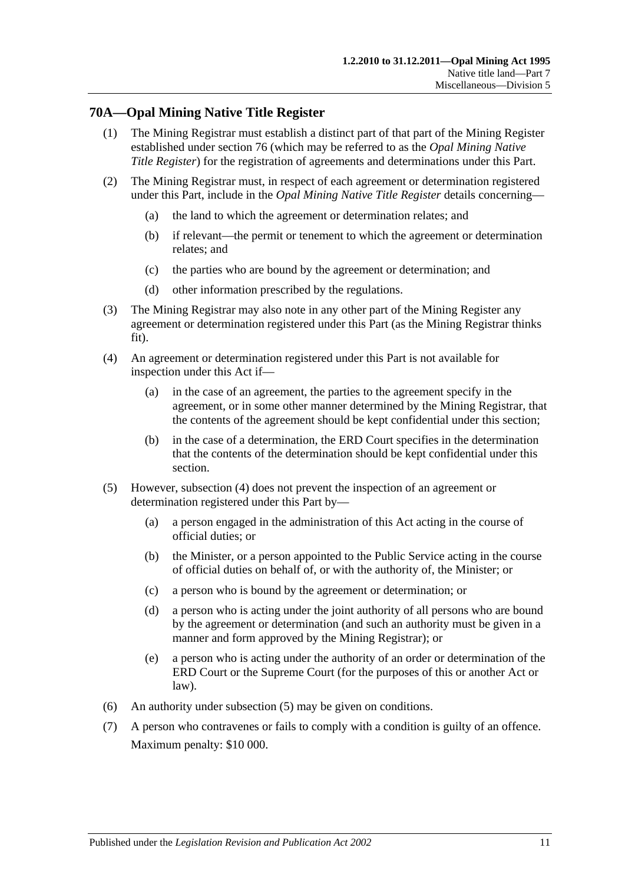## <span id="page-48-0"></span>**70A—Opal Mining Native Title Register**

- (1) The Mining Registrar must establish a distinct part of that part of the Mining Register established under [section](#page-54-1) 76 (which may be referred to as the *Opal Mining Native Title Register*) for the registration of agreements and determinations under this Part.
- (2) The Mining Registrar must, in respect of each agreement or determination registered under this Part, include in the *Opal Mining Native Title Register* details concerning—
	- (a) the land to which the agreement or determination relates; and
	- (b) if relevant—the permit or tenement to which the agreement or determination relates; and
	- (c) the parties who are bound by the agreement or determination; and
	- (d) other information prescribed by the regulations.
- (3) The Mining Registrar may also note in any other part of the Mining Register any agreement or determination registered under this Part (as the Mining Registrar thinks fit).
- <span id="page-48-1"></span>(4) An agreement or determination registered under this Part is not available for inspection under this Act if—
	- (a) in the case of an agreement, the parties to the agreement specify in the agreement, or in some other manner determined by the Mining Registrar, that the contents of the agreement should be kept confidential under this section;
	- (b) in the case of a determination, the ERD Court specifies in the determination that the contents of the determination should be kept confidential under this section.
- <span id="page-48-2"></span>(5) However, [subsection](#page-48-1) (4) does not prevent the inspection of an agreement or determination registered under this Part by—
	- (a) a person engaged in the administration of this Act acting in the course of official duties; or
	- (b) the Minister, or a person appointed to the Public Service acting in the course of official duties on behalf of, or with the authority of, the Minister; or
	- (c) a person who is bound by the agreement or determination; or
	- (d) a person who is acting under the joint authority of all persons who are bound by the agreement or determination (and such an authority must be given in a manner and form approved by the Mining Registrar); or
	- (e) a person who is acting under the authority of an order or determination of the ERD Court or the Supreme Court (for the purposes of this or another Act or law).
- (6) An authority under [subsection](#page-48-2) (5) may be given on conditions.
- (7) A person who contravenes or fails to comply with a condition is guilty of an offence. Maximum penalty: \$10 000.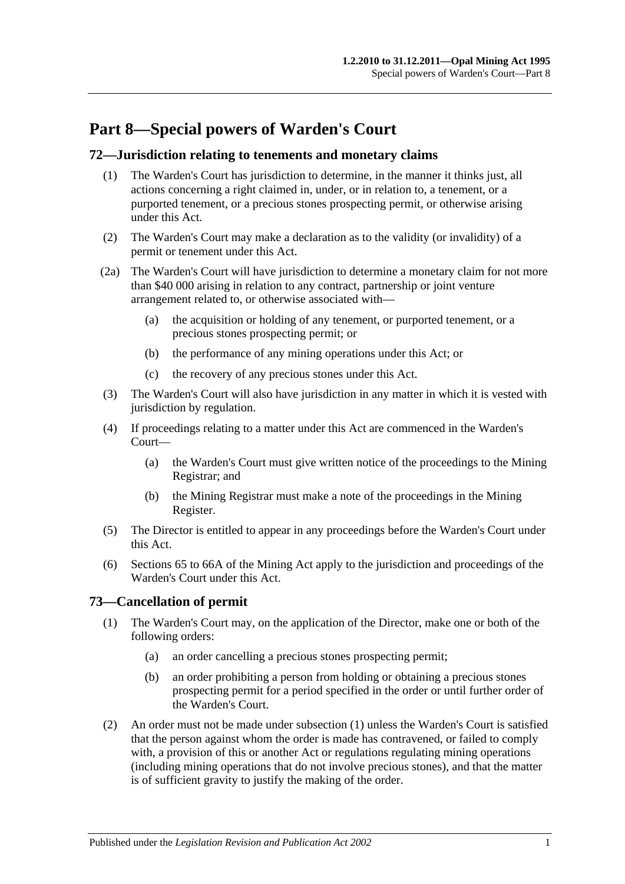## <span id="page-50-0"></span>**Part 8—Special powers of Warden's Court**

## <span id="page-50-1"></span>**72—Jurisdiction relating to tenements and monetary claims**

- (1) The Warden's Court has jurisdiction to determine, in the manner it thinks just, all actions concerning a right claimed in, under, or in relation to, a tenement, or a purported tenement, or a precious stones prospecting permit, or otherwise arising under this Act.
- (2) The Warden's Court may make a declaration as to the validity (or invalidity) of a permit or tenement under this Act.
- (2a) The Warden's Court will have jurisdiction to determine a monetary claim for not more than \$40 000 arising in relation to any contract, partnership or joint venture arrangement related to, or otherwise associated with—
	- (a) the acquisition or holding of any tenement, or purported tenement, or a precious stones prospecting permit; or
	- (b) the performance of any mining operations under this Act; or
	- (c) the recovery of any precious stones under this Act.
- (3) The Warden's Court will also have jurisdiction in any matter in which it is vested with jurisdiction by regulation.
- (4) If proceedings relating to a matter under this Act are commenced in the Warden's Court—
	- (a) the Warden's Court must give written notice of the proceedings to the Mining Registrar; and
	- (b) the Mining Registrar must make a note of the proceedings in the Mining Register.
- (5) The Director is entitled to appear in any proceedings before the Warden's Court under this Act.
- (6) Sections 65 to 66A of the Mining Act apply to the jurisdiction and proceedings of the Warden's Court under this Act.

## <span id="page-50-3"></span><span id="page-50-2"></span>**73—Cancellation of permit**

- (1) The Warden's Court may, on the application of the Director, make one or both of the following orders:
	- (a) an order cancelling a precious stones prospecting permit;
	- (b) an order prohibiting a person from holding or obtaining a precious stones prospecting permit for a period specified in the order or until further order of the Warden's Court.
- (2) An order must not be made under [subsection](#page-50-3) (1) unless the Warden's Court is satisfied that the person against whom the order is made has contravened, or failed to comply with, a provision of this or another Act or regulations regulating mining operations (including mining operations that do not involve precious stones), and that the matter is of sufficient gravity to justify the making of the order.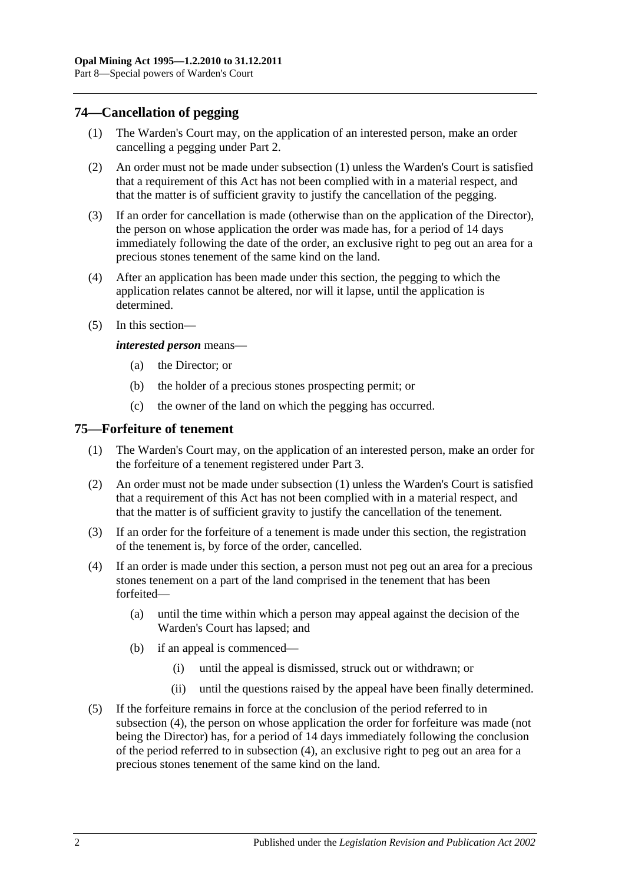## <span id="page-51-2"></span><span id="page-51-0"></span>**74—Cancellation of pegging**

- (1) The Warden's Court may, on the application of an interested person, make an order cancelling a pegging under [Part 2.](#page-10-0)
- (2) An order must not be made under [subsection](#page-51-2) (1) unless the Warden's Court is satisfied that a requirement of this Act has not been complied with in a material respect, and that the matter is of sufficient gravity to justify the cancellation of the pegging.
- (3) If an order for cancellation is made (otherwise than on the application of the Director), the person on whose application the order was made has, for a period of 14 days immediately following the date of the order, an exclusive right to peg out an area for a precious stones tenement of the same kind on the land.
- (4) After an application has been made under this section, the pegging to which the application relates cannot be altered, nor will it lapse, until the application is determined.
- (5) In this section—

#### *interested person* means—

- (a) the Director; or
- (b) the holder of a precious stones prospecting permit; or
- (c) the owner of the land on which the pegging has occurred.

#### <span id="page-51-3"></span><span id="page-51-1"></span>**75—Forfeiture of tenement**

- (1) The Warden's Court may, on the application of an interested person, make an order for the forfeiture of a tenement registered under [Part 3.](#page-18-0)
- (2) An order must not be made under [subsection](#page-51-3) (1) unless the Warden's Court is satisfied that a requirement of this Act has not been complied with in a material respect, and that the matter is of sufficient gravity to justify the cancellation of the tenement.
- (3) If an order for the forfeiture of a tenement is made under this section, the registration of the tenement is, by force of the order, cancelled.
- <span id="page-51-4"></span>(4) If an order is made under this section, a person must not peg out an area for a precious stones tenement on a part of the land comprised in the tenement that has been forfeited—
	- (a) until the time within which a person may appeal against the decision of the Warden's Court has lapsed; and
	- (b) if an appeal is commenced—
		- (i) until the appeal is dismissed, struck out or withdrawn; or
		- (ii) until the questions raised by the appeal have been finally determined.
- (5) If the forfeiture remains in force at the conclusion of the period referred to in [subsection](#page-51-4) (4), the person on whose application the order for forfeiture was made (not being the Director) has, for a period of 14 days immediately following the conclusion of the period referred to in [subsection](#page-51-4) (4), an exclusive right to peg out an area for a precious stones tenement of the same kind on the land.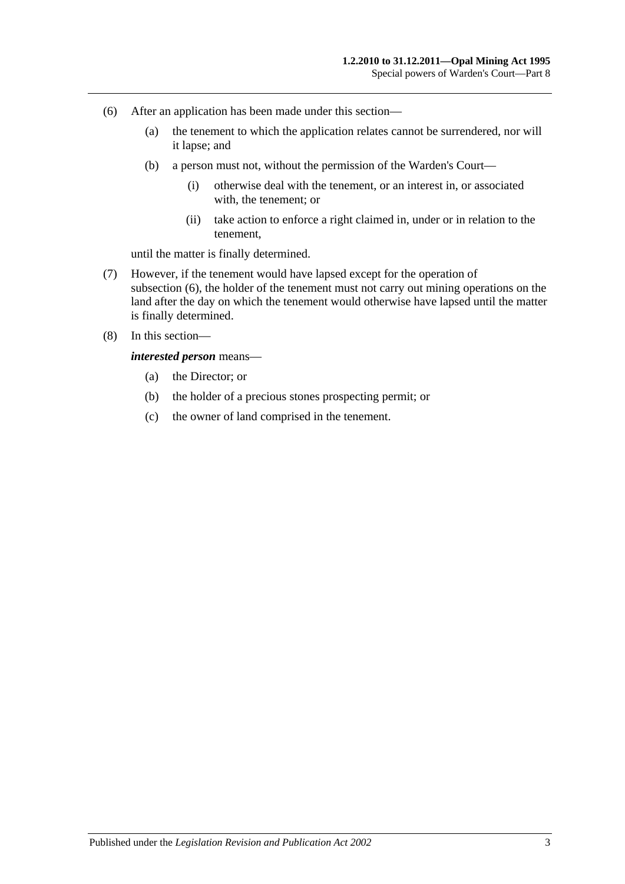- <span id="page-52-0"></span>(6) After an application has been made under this section—
	- (a) the tenement to which the application relates cannot be surrendered, nor will it lapse; and
	- (b) a person must not, without the permission of the Warden's Court—
		- (i) otherwise deal with the tenement, or an interest in, or associated with, the tenement; or
		- (ii) take action to enforce a right claimed in, under or in relation to the tenement,

until the matter is finally determined.

- (7) However, if the tenement would have lapsed except for the operation of [subsection](#page-52-0) (6), the holder of the tenement must not carry out mining operations on the land after the day on which the tenement would otherwise have lapsed until the matter is finally determined.
- (8) In this section—

*interested person* means—

- (a) the Director; or
- (b) the holder of a precious stones prospecting permit; or
- (c) the owner of land comprised in the tenement.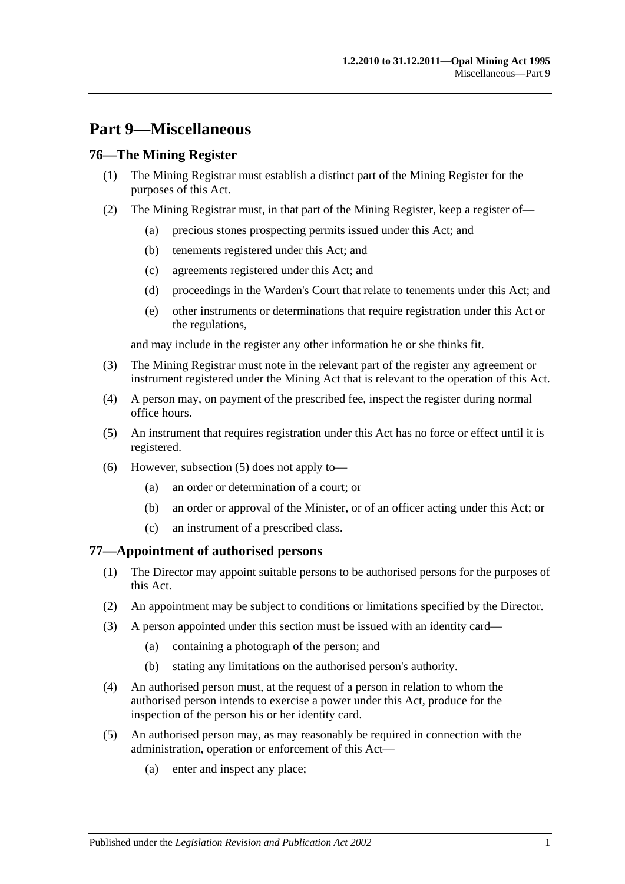## <span id="page-54-0"></span>**Part 9—Miscellaneous**

## <span id="page-54-1"></span>**76—The Mining Register**

- (1) The Mining Registrar must establish a distinct part of the Mining Register for the purposes of this Act.
- (2) The Mining Registrar must, in that part of the Mining Register, keep a register of—
	- (a) precious stones prospecting permits issued under this Act; and
	- (b) tenements registered under this Act; and
	- (c) agreements registered under this Act; and
	- (d) proceedings in the Warden's Court that relate to tenements under this Act; and
	- (e) other instruments or determinations that require registration under this Act or the regulations,

and may include in the register any other information he or she thinks fit.

- (3) The Mining Registrar must note in the relevant part of the register any agreement or instrument registered under the Mining Act that is relevant to the operation of this Act.
- (4) A person may, on payment of the prescribed fee, inspect the register during normal office hours.
- <span id="page-54-3"></span>(5) An instrument that requires registration under this Act has no force or effect until it is registered.
- (6) However, [subsection](#page-54-3) (5) does not apply to—
	- (a) an order or determination of a court; or
	- (b) an order or approval of the Minister, or of an officer acting under this Act; or
	- (c) an instrument of a prescribed class.

## <span id="page-54-2"></span>**77—Appointment of authorised persons**

- (1) The Director may appoint suitable persons to be authorised persons for the purposes of this Act.
- (2) An appointment may be subject to conditions or limitations specified by the Director.
- (3) A person appointed under this section must be issued with an identity card—
	- (a) containing a photograph of the person; and
	- (b) stating any limitations on the authorised person's authority.
- (4) An authorised person must, at the request of a person in relation to whom the authorised person intends to exercise a power under this Act, produce for the inspection of the person his or her identity card.
- (5) An authorised person may, as may reasonably be required in connection with the administration, operation or enforcement of this Act—
	- (a) enter and inspect any place;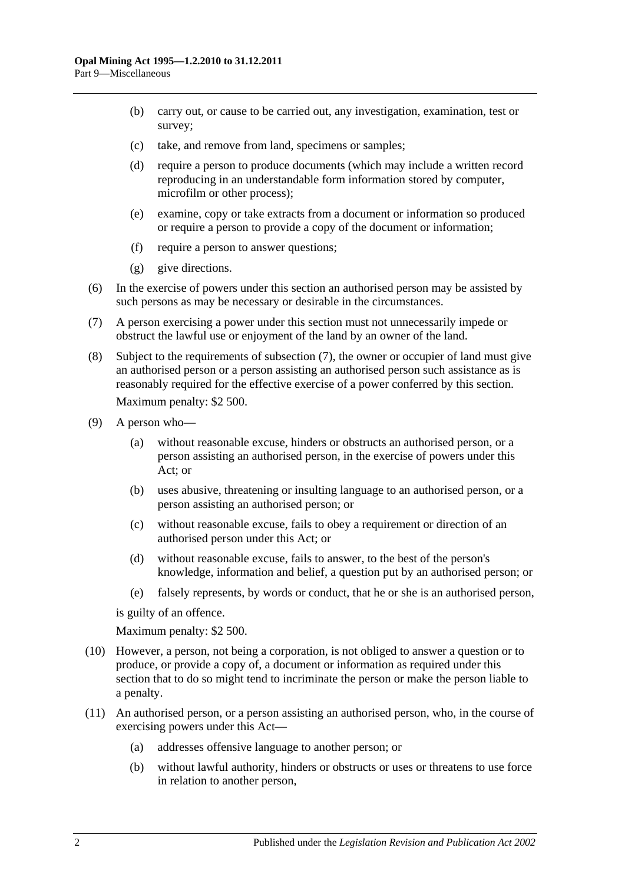- (b) carry out, or cause to be carried out, any investigation, examination, test or survey;
- (c) take, and remove from land, specimens or samples;
- (d) require a person to produce documents (which may include a written record reproducing in an understandable form information stored by computer, microfilm or other process);
- (e) examine, copy or take extracts from a document or information so produced or require a person to provide a copy of the document or information;
- (f) require a person to answer questions;
- (g) give directions.
- (6) In the exercise of powers under this section an authorised person may be assisted by such persons as may be necessary or desirable in the circumstances.
- <span id="page-55-0"></span>(7) A person exercising a power under this section must not unnecessarily impede or obstruct the lawful use or enjoyment of the land by an owner of the land.
- (8) Subject to the requirements of [subsection](#page-55-0) (7), the owner or occupier of land must give an authorised person or a person assisting an authorised person such assistance as is reasonably required for the effective exercise of a power conferred by this section. Maximum penalty: \$2 500.
- (9) A person who—
	- (a) without reasonable excuse, hinders or obstructs an authorised person, or a person assisting an authorised person, in the exercise of powers under this Act; or
	- (b) uses abusive, threatening or insulting language to an authorised person, or a person assisting an authorised person; or
	- (c) without reasonable excuse, fails to obey a requirement or direction of an authorised person under this Act; or
	- (d) without reasonable excuse, fails to answer, to the best of the person's knowledge, information and belief, a question put by an authorised person; or
	- (e) falsely represents, by words or conduct, that he or she is an authorised person,

is guilty of an offence.

Maximum penalty: \$2 500.

- (10) However, a person, not being a corporation, is not obliged to answer a question or to produce, or provide a copy of, a document or information as required under this section that to do so might tend to incriminate the person or make the person liable to a penalty.
- (11) An authorised person, or a person assisting an authorised person, who, in the course of exercising powers under this Act—
	- (a) addresses offensive language to another person; or
	- (b) without lawful authority, hinders or obstructs or uses or threatens to use force in relation to another person,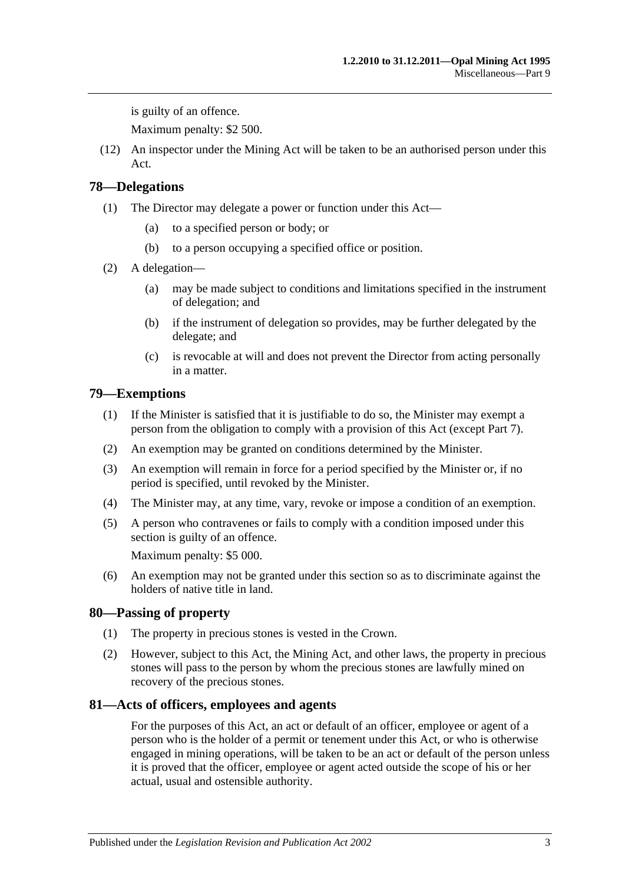is guilty of an offence.

Maximum penalty: \$2 500.

(12) An inspector under the Mining Act will be taken to be an authorised person under this Act.

## <span id="page-56-0"></span>**78—Delegations**

- (1) The Director may delegate a power or function under this Act—
	- (a) to a specified person or body; or
	- (b) to a person occupying a specified office or position.
- (2) A delegation—
	- (a) may be made subject to conditions and limitations specified in the instrument of delegation; and
	- (b) if the instrument of delegation so provides, may be further delegated by the delegate; and
	- (c) is revocable at will and does not prevent the Director from acting personally in a matter.

## <span id="page-56-1"></span>**79—Exemptions**

- (1) If the Minister is satisfied that it is justifiable to do so, the Minister may exempt a person from the obligation to comply with a provision of this Act (except [Part 7\)](#page-38-0).
- (2) An exemption may be granted on conditions determined by the Minister.
- (3) An exemption will remain in force for a period specified by the Minister or, if no period is specified, until revoked by the Minister.
- (4) The Minister may, at any time, vary, revoke or impose a condition of an exemption.
- (5) A person who contravenes or fails to comply with a condition imposed under this section is guilty of an offence. Maximum penalty: \$5 000.
- (6) An exemption may not be granted under this section so as to discriminate against the holders of native title in land.

## <span id="page-56-2"></span>**80—Passing of property**

- (1) The property in precious stones is vested in the Crown.
- (2) However, subject to this Act, the Mining Act, and other laws, the property in precious stones will pass to the person by whom the precious stones are lawfully mined on recovery of the precious stones.

#### <span id="page-56-3"></span>**81—Acts of officers, employees and agents**

For the purposes of this Act, an act or default of an officer, employee or agent of a person who is the holder of a permit or tenement under this Act, or who is otherwise engaged in mining operations, will be taken to be an act or default of the person unless it is proved that the officer, employee or agent acted outside the scope of his or her actual, usual and ostensible authority.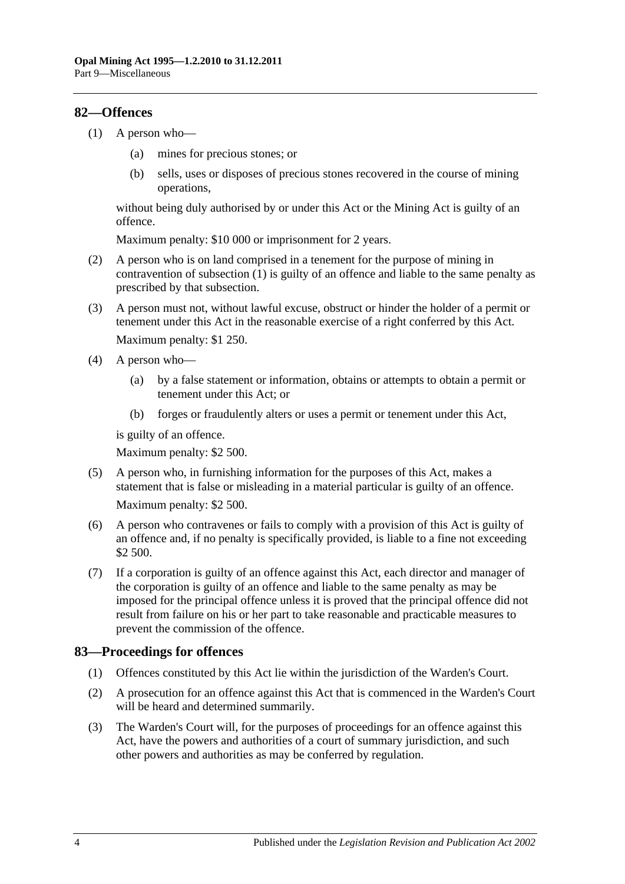## <span id="page-57-2"></span><span id="page-57-0"></span>**82—Offences**

- (1) A person who—
	- (a) mines for precious stones; or
	- (b) sells, uses or disposes of precious stones recovered in the course of mining operations,

without being duly authorised by or under this Act or the Mining Act is guilty of an offence.

Maximum penalty: \$10 000 or imprisonment for 2 years.

- (2) A person who is on land comprised in a tenement for the purpose of mining in contravention of [subsection](#page-57-2) (1) is guilty of an offence and liable to the same penalty as prescribed by that subsection.
- (3) A person must not, without lawful excuse, obstruct or hinder the holder of a permit or tenement under this Act in the reasonable exercise of a right conferred by this Act. Maximum penalty: \$1 250.
- (4) A person who—
	- (a) by a false statement or information, obtains or attempts to obtain a permit or tenement under this Act; or
	- (b) forges or fraudulently alters or uses a permit or tenement under this Act,

is guilty of an offence.

Maximum penalty: \$2 500.

- (5) A person who, in furnishing information for the purposes of this Act, makes a statement that is false or misleading in a material particular is guilty of an offence. Maximum penalty: \$2 500.
- (6) A person who contravenes or fails to comply with a provision of this Act is guilty of an offence and, if no penalty is specifically provided, is liable to a fine not exceeding \$2 500.
- (7) If a corporation is guilty of an offence against this Act, each director and manager of the corporation is guilty of an offence and liable to the same penalty as may be imposed for the principal offence unless it is proved that the principal offence did not result from failure on his or her part to take reasonable and practicable measures to prevent the commission of the offence.

## <span id="page-57-1"></span>**83—Proceedings for offences**

- (1) Offences constituted by this Act lie within the jurisdiction of the Warden's Court.
- (2) A prosecution for an offence against this Act that is commenced in the Warden's Court will be heard and determined summarily.
- (3) The Warden's Court will, for the purposes of proceedings for an offence against this Act, have the powers and authorities of a court of summary jurisdiction, and such other powers and authorities as may be conferred by regulation.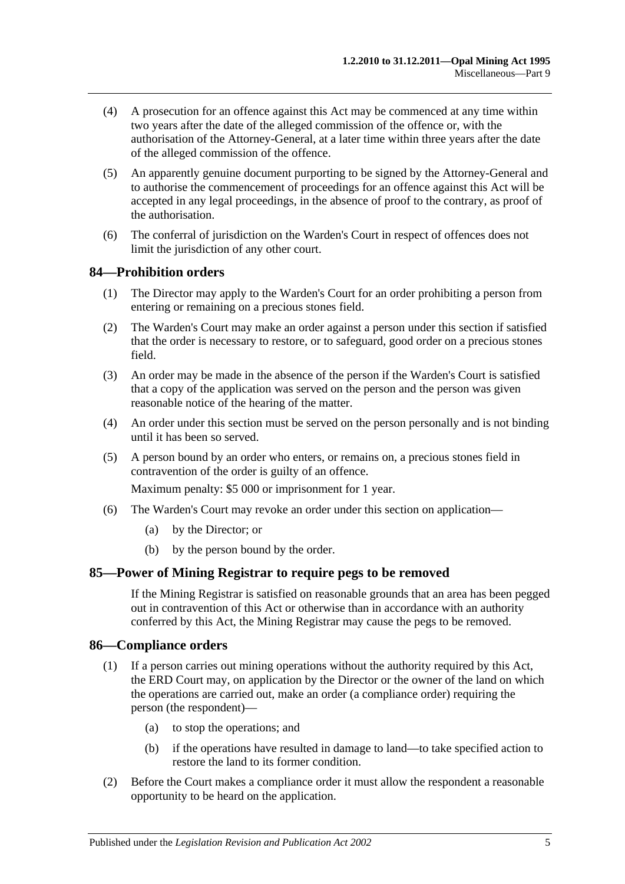- (4) A prosecution for an offence against this Act may be commenced at any time within two years after the date of the alleged commission of the offence or, with the authorisation of the Attorney-General, at a later time within three years after the date of the alleged commission of the offence.
- (5) An apparently genuine document purporting to be signed by the Attorney-General and to authorise the commencement of proceedings for an offence against this Act will be accepted in any legal proceedings, in the absence of proof to the contrary, as proof of the authorisation.
- (6) The conferral of jurisdiction on the Warden's Court in respect of offences does not limit the jurisdiction of any other court.

#### <span id="page-58-0"></span>**84—Prohibition orders**

- (1) The Director may apply to the Warden's Court for an order prohibiting a person from entering or remaining on a precious stones field.
- (2) The Warden's Court may make an order against a person under this section if satisfied that the order is necessary to restore, or to safeguard, good order on a precious stones field.
- (3) An order may be made in the absence of the person if the Warden's Court is satisfied that a copy of the application was served on the person and the person was given reasonable notice of the hearing of the matter.
- (4) An order under this section must be served on the person personally and is not binding until it has been so served.
- (5) A person bound by an order who enters, or remains on, a precious stones field in contravention of the order is guilty of an offence.

Maximum penalty: \$5 000 or imprisonment for 1 year.

- (6) The Warden's Court may revoke an order under this section on application—
	- (a) by the Director; or
	- (b) by the person bound by the order.

#### <span id="page-58-1"></span>**85—Power of Mining Registrar to require pegs to be removed**

If the Mining Registrar is satisfied on reasonable grounds that an area has been pegged out in contravention of this Act or otherwise than in accordance with an authority conferred by this Act, the Mining Registrar may cause the pegs to be removed.

#### <span id="page-58-2"></span>**86—Compliance orders**

- (1) If a person carries out mining operations without the authority required by this Act, the ERD Court may, on application by the Director or the owner of the land on which the operations are carried out, make an order (a compliance order) requiring the person (the respondent)—
	- (a) to stop the operations; and
	- (b) if the operations have resulted in damage to land—to take specified action to restore the land to its former condition.
- (2) Before the Court makes a compliance order it must allow the respondent a reasonable opportunity to be heard on the application.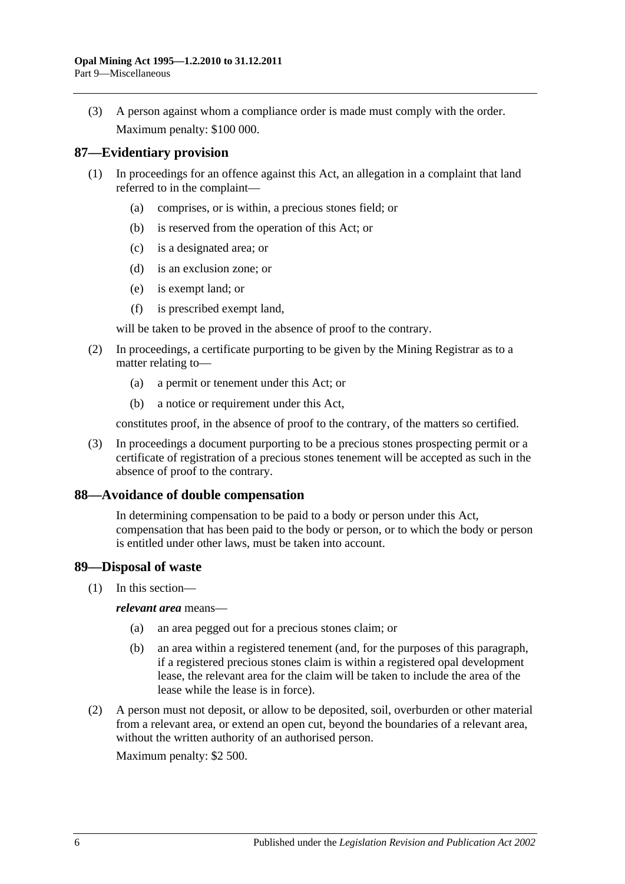(3) A person against whom a compliance order is made must comply with the order. Maximum penalty: \$100 000.

## <span id="page-59-0"></span>**87—Evidentiary provision**

- (1) In proceedings for an offence against this Act, an allegation in a complaint that land referred to in the complaint—
	- (a) comprises, or is within, a precious stones field; or
	- (b) is reserved from the operation of this Act; or
	- (c) is a designated area; or
	- (d) is an exclusion zone; or
	- (e) is exempt land; or
	- (f) is prescribed exempt land,

will be taken to be proved in the absence of proof to the contrary.

- (2) In proceedings, a certificate purporting to be given by the Mining Registrar as to a matter relating to—
	- (a) a permit or tenement under this Act; or
	- (b) a notice or requirement under this Act,

constitutes proof, in the absence of proof to the contrary, of the matters so certified.

(3) In proceedings a document purporting to be a precious stones prospecting permit or a certificate of registration of a precious stones tenement will be accepted as such in the absence of proof to the contrary.

#### <span id="page-59-1"></span>**88—Avoidance of double compensation**

In determining compensation to be paid to a body or person under this Act, compensation that has been paid to the body or person, or to which the body or person is entitled under other laws, must be taken into account.

#### <span id="page-59-2"></span>**89—Disposal of waste**

(1) In this section—

*relevant area* means—

- (a) an area pegged out for a precious stones claim; or
- (b) an area within a registered tenement (and, for the purposes of this paragraph, if a registered precious stones claim is within a registered opal development lease, the relevant area for the claim will be taken to include the area of the lease while the lease is in force).
- <span id="page-59-3"></span>(2) A person must not deposit, or allow to be deposited, soil, overburden or other material from a relevant area, or extend an open cut, beyond the boundaries of a relevant area, without the written authority of an authorised person.

Maximum penalty: \$2 500.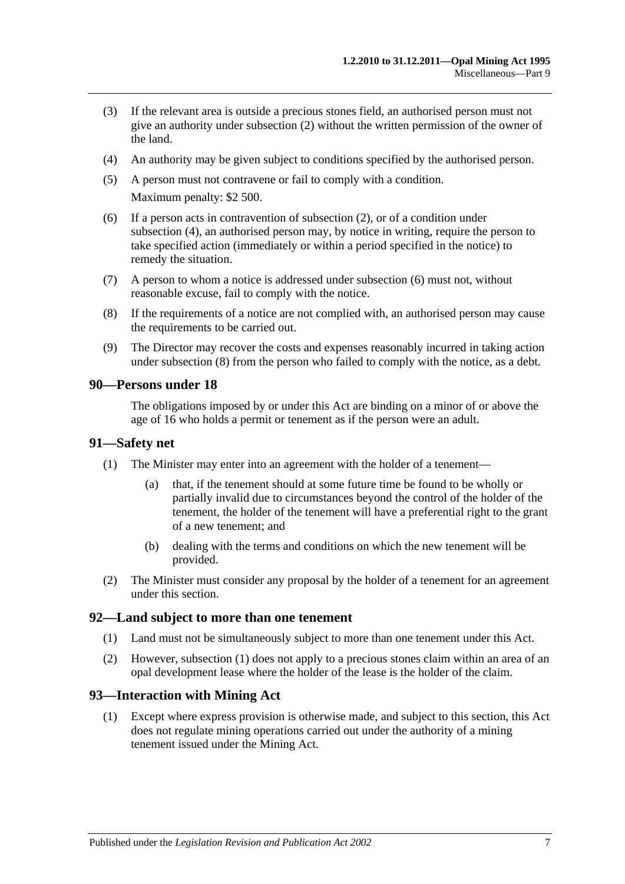- (3) If the relevant area is outside a precious stones field, an authorised person must not give an authority under [subsection](#page-59-3) (2) without the written permission of the owner of the land.
- <span id="page-60-4"></span>(4) An authority may be given subject to conditions specified by the authorised person.
- (5) A person must not contravene or fail to comply with a condition. Maximum penalty: \$2 500.
- <span id="page-60-5"></span>(6) If a person acts in contravention of [subsection](#page-59-3) (2), or of a condition under [subsection](#page-60-4) (4), an authorised person may, by notice in writing, require the person to take specified action (immediately or within a period specified in the notice) to remedy the situation.
- (7) A person to whom a notice is addressed under [subsection](#page-60-5) (6) must not, without reasonable excuse, fail to comply with the notice.
- <span id="page-60-6"></span>(8) If the requirements of a notice are not complied with, an authorised person may cause the requirements to be carried out.
- (9) The Director may recover the costs and expenses reasonably incurred in taking action under [subsection](#page-60-6) (8) from the person who failed to comply with the notice, as a debt.

#### <span id="page-60-0"></span>**90—Persons under 18**

The obligations imposed by or under this Act are binding on a minor of or above the age of 16 who holds a permit or tenement as if the person were an adult.

#### <span id="page-60-1"></span>**91—Safety net**

- (1) The Minister may enter into an agreement with the holder of a tenement—
	- (a) that, if the tenement should at some future time be found to be wholly or partially invalid due to circumstances beyond the control of the holder of the tenement, the holder of the tenement will have a preferential right to the grant of a new tenement; and
	- (b) dealing with the terms and conditions on which the new tenement will be provided.
- (2) The Minister must consider any proposal by the holder of a tenement for an agreement under this section.

#### <span id="page-60-7"></span><span id="page-60-2"></span>**92—Land subject to more than one tenement**

- (1) Land must not be simultaneously subject to more than one tenement under this Act.
- (2) However, [subsection](#page-60-7) (1) does not apply to a precious stones claim within an area of an opal development lease where the holder of the lease is the holder of the claim.

#### <span id="page-60-3"></span>**93—Interaction with Mining Act**

(1) Except where express provision is otherwise made, and subject to this section, this Act does not regulate mining operations carried out under the authority of a mining tenement issued under the Mining Act.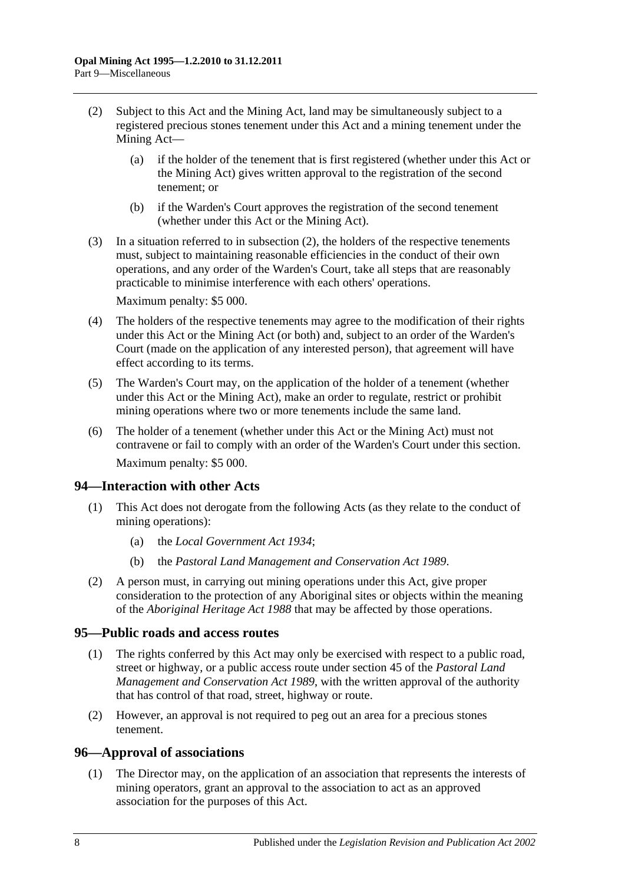- <span id="page-61-3"></span>(2) Subject to this Act and the Mining Act, land may be simultaneously subject to a registered precious stones tenement under this Act and a mining tenement under the Mining Act—
	- (a) if the holder of the tenement that is first registered (whether under this Act or the Mining Act) gives written approval to the registration of the second tenement; or
	- (b) if the Warden's Court approves the registration of the second tenement (whether under this Act or the Mining Act).
- (3) In a situation referred to in [subsection](#page-61-3) (2), the holders of the respective tenements must, subject to maintaining reasonable efficiencies in the conduct of their own operations, and any order of the Warden's Court, take all steps that are reasonably practicable to minimise interference with each others' operations.

Maximum penalty: \$5 000.

- (4) The holders of the respective tenements may agree to the modification of their rights under this Act or the Mining Act (or both) and, subject to an order of the Warden's Court (made on the application of any interested person), that agreement will have effect according to its terms.
- (5) The Warden's Court may, on the application of the holder of a tenement (whether under this Act or the Mining Act), make an order to regulate, restrict or prohibit mining operations where two or more tenements include the same land.
- (6) The holder of a tenement (whether under this Act or the Mining Act) must not contravene or fail to comply with an order of the Warden's Court under this section. Maximum penalty: \$5 000.

## <span id="page-61-0"></span>**94—Interaction with other Acts**

- (1) This Act does not derogate from the following Acts (as they relate to the conduct of mining operations):
	- (a) the *[Local Government Act](http://www.legislation.sa.gov.au/index.aspx?action=legref&type=act&legtitle=Local%20Government%20Act%201934) 1934*;
	- (b) the *[Pastoral Land Management and Conservation Act](http://www.legislation.sa.gov.au/index.aspx?action=legref&type=act&legtitle=Pastoral%20Land%20Management%20and%20Conservation%20Act%201989) 1989*.
- (2) A person must, in carrying out mining operations under this Act, give proper consideration to the protection of any Aboriginal sites or objects within the meaning of the *[Aboriginal Heritage Act](http://www.legislation.sa.gov.au/index.aspx?action=legref&type=act&legtitle=Aboriginal%20Heritage%20Act%201988) 1988* that may be affected by those operations.

#### <span id="page-61-1"></span>**95—Public roads and access routes**

- (1) The rights conferred by this Act may only be exercised with respect to a public road, street or highway, or a public access route under section 45 of the *[Pastoral Land](http://www.legislation.sa.gov.au/index.aspx?action=legref&type=act&legtitle=Pastoral%20Land%20Management%20and%20Conservation%20Act%201989)  [Management and Conservation Act](http://www.legislation.sa.gov.au/index.aspx?action=legref&type=act&legtitle=Pastoral%20Land%20Management%20and%20Conservation%20Act%201989) 1989*, with the written approval of the authority that has control of that road, street, highway or route.
- (2) However, an approval is not required to peg out an area for a precious stones tenement.

#### <span id="page-61-4"></span><span id="page-61-2"></span>**96—Approval of associations**

(1) The Director may, on the application of an association that represents the interests of mining operators, grant an approval to the association to act as an approved association for the purposes of this Act.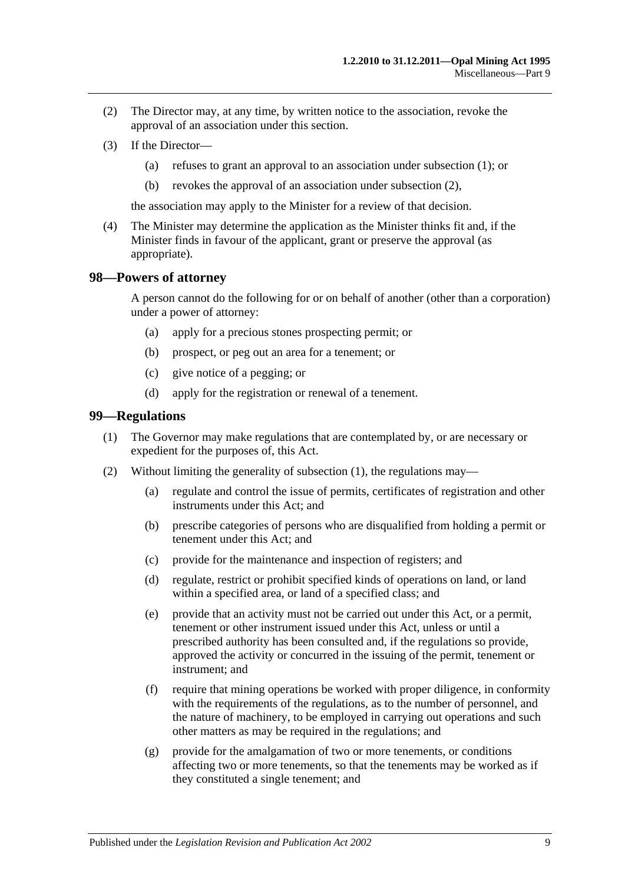- <span id="page-62-2"></span>(2) The Director may, at any time, by written notice to the association, revoke the approval of an association under this section.
- (3) If the Director—
	- (a) refuses to grant an approval to an association under [subsection](#page-61-4) (1); or
	- (b) revokes the approval of an association under [subsection](#page-62-2) (2),

the association may apply to the Minister for a review of that decision.

(4) The Minister may determine the application as the Minister thinks fit and, if the Minister finds in favour of the applicant, grant or preserve the approval (as appropriate).

#### <span id="page-62-0"></span>**98—Powers of attorney**

A person cannot do the following for or on behalf of another (other than a corporation) under a power of attorney:

- (a) apply for a precious stones prospecting permit; or
- (b) prospect, or peg out an area for a tenement; or
- (c) give notice of a pegging; or
- (d) apply for the registration or renewal of a tenement.

#### <span id="page-62-3"></span><span id="page-62-1"></span>**99—Regulations**

- (1) The Governor may make regulations that are contemplated by, or are necessary or expedient for the purposes of, this Act.
- (2) Without limiting the generality of [subsection](#page-62-3) (1), the regulations may—
	- (a) regulate and control the issue of permits, certificates of registration and other instruments under this Act; and
	- (b) prescribe categories of persons who are disqualified from holding a permit or tenement under this Act; and
	- (c) provide for the maintenance and inspection of registers; and
	- (d) regulate, restrict or prohibit specified kinds of operations on land, or land within a specified area, or land of a specified class; and
	- (e) provide that an activity must not be carried out under this Act, or a permit, tenement or other instrument issued under this Act, unless or until a prescribed authority has been consulted and, if the regulations so provide, approved the activity or concurred in the issuing of the permit, tenement or instrument; and
	- (f) require that mining operations be worked with proper diligence, in conformity with the requirements of the regulations, as to the number of personnel, and the nature of machinery, to be employed in carrying out operations and such other matters as may be required in the regulations; and
	- (g) provide for the amalgamation of two or more tenements, or conditions affecting two or more tenements, so that the tenements may be worked as if they constituted a single tenement; and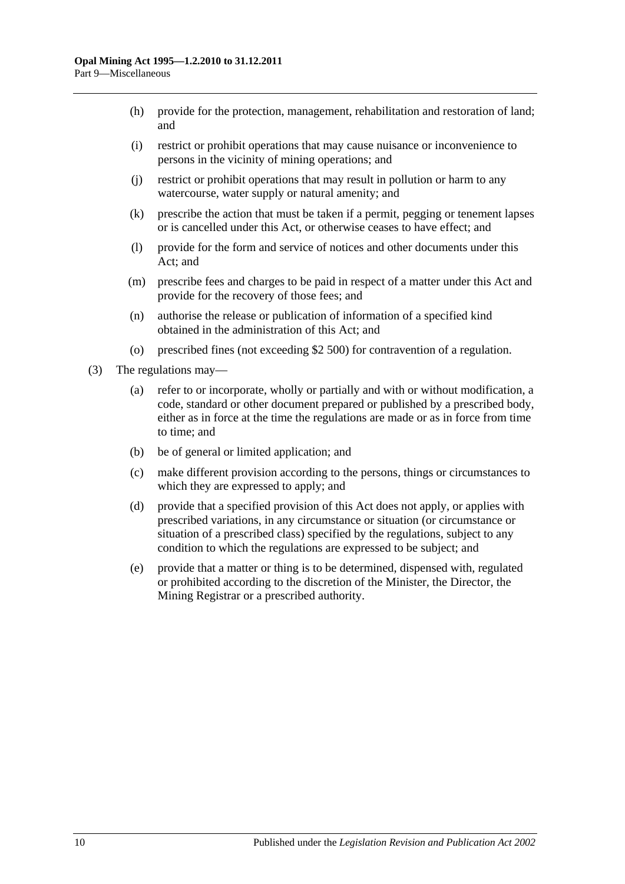- (h) provide for the protection, management, rehabilitation and restoration of land; and
- (i) restrict or prohibit operations that may cause nuisance or inconvenience to persons in the vicinity of mining operations; and
- (j) restrict or prohibit operations that may result in pollution or harm to any watercourse, water supply or natural amenity; and
- (k) prescribe the action that must be taken if a permit, pegging or tenement lapses or is cancelled under this Act, or otherwise ceases to have effect; and
- (l) provide for the form and service of notices and other documents under this Act; and
- (m) prescribe fees and charges to be paid in respect of a matter under this Act and provide for the recovery of those fees; and
- (n) authorise the release or publication of information of a specified kind obtained in the administration of this Act; and
- (o) prescribed fines (not exceeding \$2 500) for contravention of a regulation.
- (3) The regulations may—
	- (a) refer to or incorporate, wholly or partially and with or without modification, a code, standard or other document prepared or published by a prescribed body, either as in force at the time the regulations are made or as in force from time to time; and
	- (b) be of general or limited application; and
	- (c) make different provision according to the persons, things or circumstances to which they are expressed to apply; and
	- (d) provide that a specified provision of this Act does not apply, or applies with prescribed variations, in any circumstance or situation (or circumstance or situation of a prescribed class) specified by the regulations, subject to any condition to which the regulations are expressed to be subject; and
	- (e) provide that a matter or thing is to be determined, dispensed with, regulated or prohibited according to the discretion of the Minister, the Director, the Mining Registrar or a prescribed authority.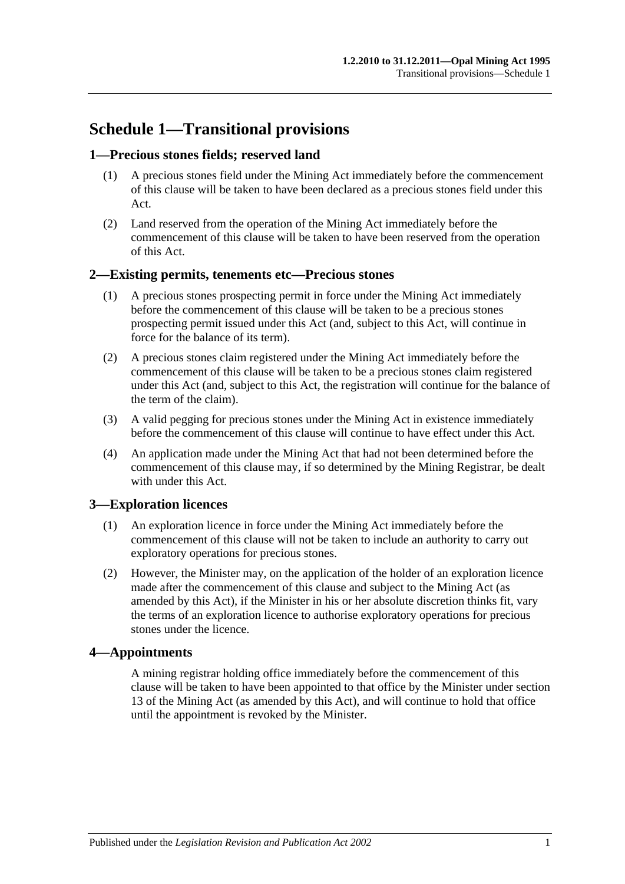## <span id="page-64-0"></span>**Schedule 1—Transitional provisions**

## <span id="page-64-1"></span>**1—Precious stones fields; reserved land**

- (1) A precious stones field under the Mining Act immediately before the commencement of this clause will be taken to have been declared as a precious stones field under this Act.
- (2) Land reserved from the operation of the Mining Act immediately before the commencement of this clause will be taken to have been reserved from the operation of this Act.

## <span id="page-64-2"></span>**2—Existing permits, tenements etc—Precious stones**

- (1) A precious stones prospecting permit in force under the Mining Act immediately before the commencement of this clause will be taken to be a precious stones prospecting permit issued under this Act (and, subject to this Act, will continue in force for the balance of its term).
- (2) A precious stones claim registered under the Mining Act immediately before the commencement of this clause will be taken to be a precious stones claim registered under this Act (and, subject to this Act, the registration will continue for the balance of the term of the claim).
- (3) A valid pegging for precious stones under the Mining Act in existence immediately before the commencement of this clause will continue to have effect under this Act.
- (4) An application made under the Mining Act that had not been determined before the commencement of this clause may, if so determined by the Mining Registrar, be dealt with under this Act.

## <span id="page-64-3"></span>**3—Exploration licences**

- (1) An exploration licence in force under the Mining Act immediately before the commencement of this clause will not be taken to include an authority to carry out exploratory operations for precious stones.
- (2) However, the Minister may, on the application of the holder of an exploration licence made after the commencement of this clause and subject to the Mining Act (as amended by this Act), if the Minister in his or her absolute discretion thinks fit, vary the terms of an exploration licence to authorise exploratory operations for precious stones under the licence.

## <span id="page-64-4"></span>**4—Appointments**

A mining registrar holding office immediately before the commencement of this clause will be taken to have been appointed to that office by the Minister under section 13 of the Mining Act (as amended by this Act), and will continue to hold that office until the appointment is revoked by the Minister.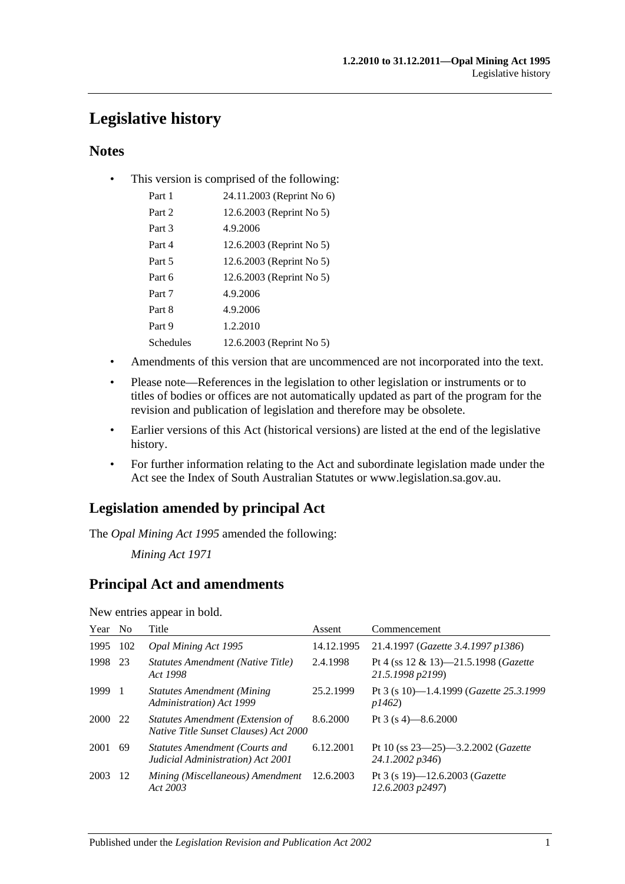## <span id="page-66-0"></span>**Legislative history**

## **Notes**

• This version is comprised of the following:

| Part 1    | 24.11.2003 (Reprint No 6) |
|-----------|---------------------------|
| Part 2    | 12.6.2003 (Reprint No 5)  |
| Part 3    | 4.9.2006                  |
| Part 4    | 12.6.2003 (Reprint No 5)  |
| Part 5    | 12.6.2003 (Reprint No 5)  |
| Part 6    | 12.6.2003 (Reprint No 5)  |
| Part 7    | 4.9.2006                  |
| Part 8    | 4.9.2006                  |
| Part 9    | 1.2.2010                  |
| Schedules | 12.6.2003 (Reprint No 5)  |

- Amendments of this version that are uncommenced are not incorporated into the text.
- Please note—References in the legislation to other legislation or instruments or to titles of bodies or offices are not automatically updated as part of the program for the revision and publication of legislation and therefore may be obsolete.
- Earlier versions of this Act (historical versions) are listed at the end of the legislative history.
- For further information relating to the Act and subordinate legislation made under the Act see the Index of South Australian Statutes or www.legislation.sa.gov.au.

## **Legislation amended by principal Act**

The *Opal Mining Act 1995* amended the following:

*Mining Act 1971*

## **Principal Act and amendments**

New entries appear in bold.

| Year | No  | Title                                                                     | Assent     | Commencement                                                          |
|------|-----|---------------------------------------------------------------------------|------------|-----------------------------------------------------------------------|
| 1995 | 102 | <b>Opal Mining Act 1995</b>                                               | 14.12.1995 | 21.4.1997 (Gazette 3.4.1997 p1386)                                    |
| 1998 | 23  | Statutes Amendment (Native Title)<br>Act 1998                             | 2.4.1998   | Pt 4 (ss $12 \& 13$ )-21.5.1998 (Gazette<br>21.5.1998 p2199)          |
| 1999 | - 1 | <b>Statutes Amendment (Mining)</b><br>Administration) Act 1999            | 25.2.1999  | Pt 3 (s 10)-1.4.1999 (Gazette 25.3.1999<br>p1462                      |
| 2000 | 22  | Statutes Amendment (Extension of<br>Native Title Sunset Clauses) Act 2000 | 8.6.2000   | Pt 3 (s 4)-8.6.2000                                                   |
| 2001 | -69 | Statutes Amendment (Courts and<br>Judicial Administration) Act 2001       | 6.12.2001  | Pt 10 (ss $23 - 25$ ) $-3.2.2002$ ( <i>Gazette</i><br>24.1.2002 p346) |
| 2003 | -12 | Mining (Miscellaneous) Amendment<br>Act 2003                              | 12.6.2003  | Pt 3 (s 19)-12.6.2003 ( <i>Gazette</i><br>12.6.2003 p2497)            |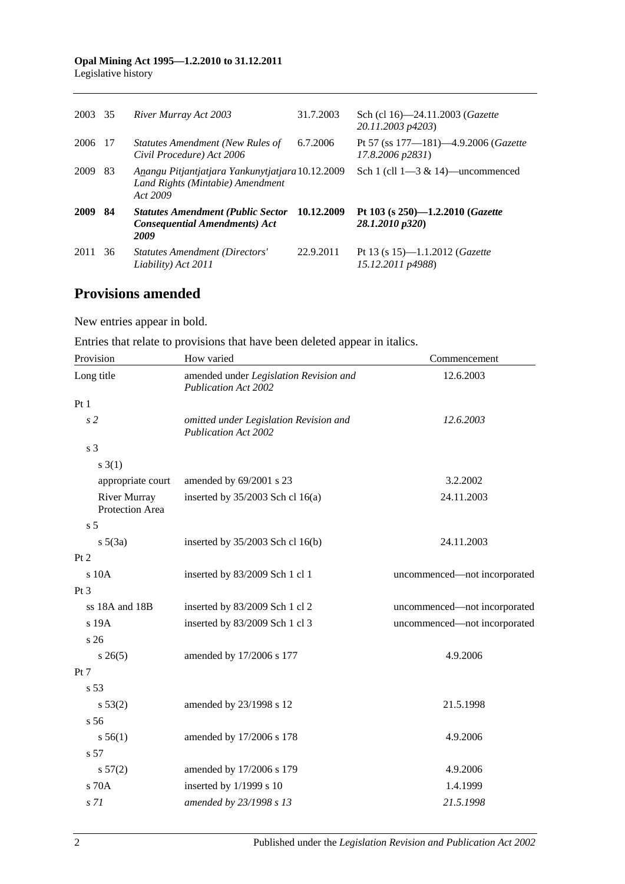## **Opal Mining Act 1995—1.2.2010 to 31.12.2011**

Legislative history

| 2003 35 |     | River Murray Act 2003                                                                            | 31.7.2003  | Sch (cl 16)-24.11.2003 (Gazette<br>20.11.2003 p4203)                   |
|---------|-----|--------------------------------------------------------------------------------------------------|------------|------------------------------------------------------------------------|
| 2006 17 |     | Statutes Amendment (New Rules of<br>Civil Procedure) Act 2006                                    | 6.7.2006   | Pt 57 (ss $177 - 181$ ) -4.9.2006 ( <i>Gazette</i><br>17.8.2006 p2831) |
| 2009    | -83 | Anangu Pitjantjatjara Yankunytjatjara 10.12.2009<br>Land Rights (Mintabie) Amendment<br>Act 2009 |            | Sch 1 (cll $1-3 & 14$ )—uncommenced                                    |
| 2009    | -84 | <b>Statutes Amendment (Public Sector</b><br><b>Consequential Amendments) Act</b><br>2009         | 10.12.2009 | Pt 103 (s $250$ )-1.2.2010 ( <i>Gazette</i><br>28.1.2010 p320)         |
| 2011    | 36  | Statutes Amendment (Directors'<br>Liability) Act 2011                                            | 22.9.2011  | Pt 13 (s 15)—1.1.2012 ( <i>Gazette</i><br>15.12.2011 p4988)            |

## **Provisions amended**

New entries appear in bold.

Entries that relate to provisions that have been deleted appear in italics.

| Provision                              | How varied                                                            | Commencement                 |
|----------------------------------------|-----------------------------------------------------------------------|------------------------------|
| Long title                             | amended under Legislation Revision and<br><b>Publication Act 2002</b> | 12.6.2003                    |
| Pt1                                    |                                                                       |                              |
| s <sub>2</sub>                         | omitted under Legislation Revision and<br><b>Publication Act 2002</b> | 12.6.2003                    |
| s 3                                    |                                                                       |                              |
| $s \; 3(1)$                            |                                                                       |                              |
| appropriate court                      | amended by 69/2001 s 23                                               | 3.2.2002                     |
| <b>River Murray</b><br>Protection Area | inserted by $35/2003$ Sch cl 16(a)                                    | 24.11.2003                   |
| s <sub>5</sub>                         |                                                                       |                              |
| $s\ 5(3a)$                             | inserted by 35/2003 Sch cl 16(b)                                      | 24.11.2003                   |
| Pt 2                                   |                                                                       |                              |
| $s$ 10 $A$                             | inserted by 83/2009 Sch 1 cl 1                                        | uncommenced-not incorporated |
| Pt <sub>3</sub>                        |                                                                       |                              |
| ss 18A and 18B                         | inserted by 83/2009 Sch 1 cl 2                                        | uncommenced—not incorporated |
| $s$ 19 $A$                             | inserted by 83/2009 Sch 1 cl 3                                        | uncommenced-not incorporated |
| s <sub>26</sub>                        |                                                                       |                              |
| $s \; 26(5)$                           | amended by 17/2006 s 177                                              | 4.9.2006                     |
| Pt 7                                   |                                                                       |                              |
| s <sub>53</sub>                        |                                                                       |                              |
| s 53(2)                                | amended by 23/1998 s 12                                               | 21.5.1998                    |
| s 56                                   |                                                                       |                              |
| s 56(1)                                | amended by 17/2006 s 178                                              | 4.9.2006                     |
| s 57                                   |                                                                       |                              |
| s 57(2)                                | amended by 17/2006 s 179                                              | 4.9.2006                     |
| s 70A                                  | inserted by 1/1999 s 10                                               | 1.4.1999                     |
| s 71                                   | amended by 23/1998 s 13                                               | 21.5.1998                    |

2 Published under the *Legislation Revision and Publication Act 2002*